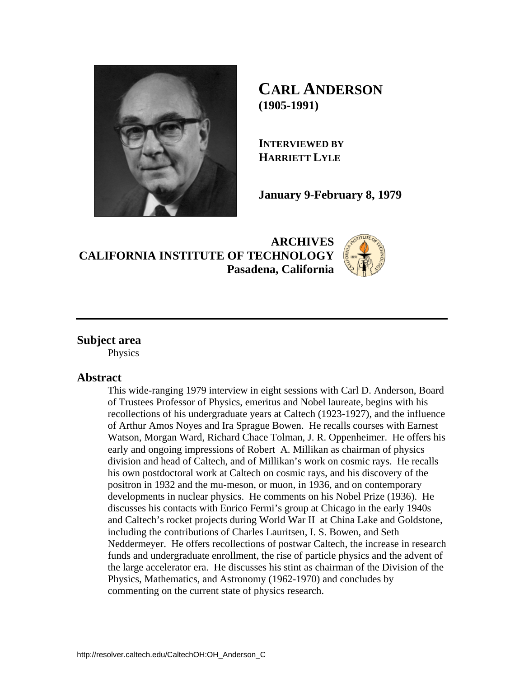

**CARL ANDERSON (1905-1991)** 

**INTERVIEWED BY HARRIETT LYLE**

**January 9-February 8, 1979** 

**ARCHIVES CALIFORNIA INSTITUTE OF TECHNOLOGY Pasadena, California**



# **Subject area**

Physics

# **Abstract**

This wide-ranging 1979 interview in eight sessions with Carl D. Anderson, Board of Trustees Professor of Physics, emeritus and Nobel laureate, begins with his recollections of his undergraduate years at Caltech (1923-1927), and the influence of Arthur Amos Noyes and Ira Sprague Bowen. He recalls courses with Earnest Watson, Morgan Ward, Richard Chace Tolman, J. R. Oppenheimer. He offers his early and ongoing impressions of Robert A. Millikan as chairman of physics division and head of Caltech, and of Millikan's work on cosmic rays. He recalls his own postdoctoral work at Caltech on cosmic rays, and his discovery of the positron in 1932 and the mu-meson, or muon, in 1936, and on contemporary developments in nuclear physics. He comments on his Nobel Prize (1936). He discusses his contacts with Enrico Fermi's group at Chicago in the early 1940s and Caltech's rocket projects during World War II at China Lake and Goldstone, including the contributions of Charles Lauritsen, I. S. Bowen, and Seth Neddermeyer. He offers recollections of postwar Caltech, the increase in research funds and undergraduate enrollment, the rise of particle physics and the advent of the large accelerator era. He discusses his stint as chairman of the Division of the Physics, Mathematics, and Astronomy (1962-1970) and concludes by commenting on the current state of physics research.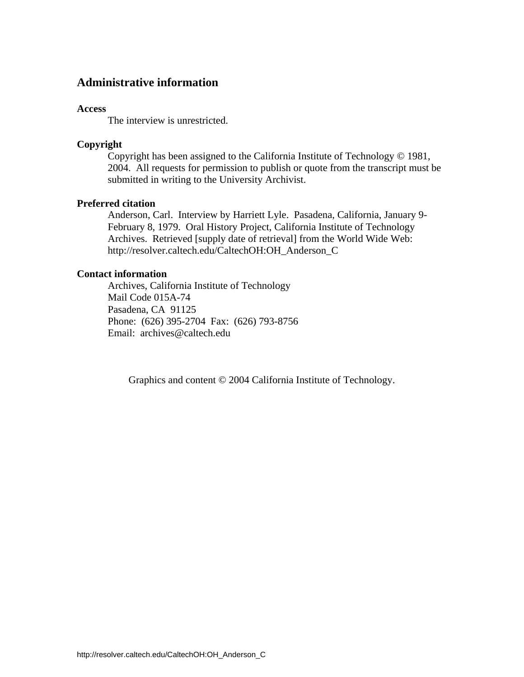# **Administrative information**

### **Access**

The interview is unrestricted.

## **Copyright**

 Copyright has been assigned to the California Institute of Technology © 1981, 2004. All requests for permission to publish or quote from the transcript must be submitted in writing to the University Archivist.

# **Preferred citation**

 Anderson, Carl. Interview by Harriett Lyle. Pasadena, California, January 9- February 8, 1979. Oral History Project, California Institute of Technology Archives. Retrieved [supply date of retrieval] from the World Wide Web: http://resolver.caltech.edu/CaltechOH:OH\_Anderson\_C

### **Contact information**

 Archives, California Institute of Technology Mail Code 015A-74 Pasadena, CA 91125 Phone: (626) 395-2704 Fax: (626) 793-8756 Email: archives@caltech.edu

Graphics and content © 2004 California Institute of Technology.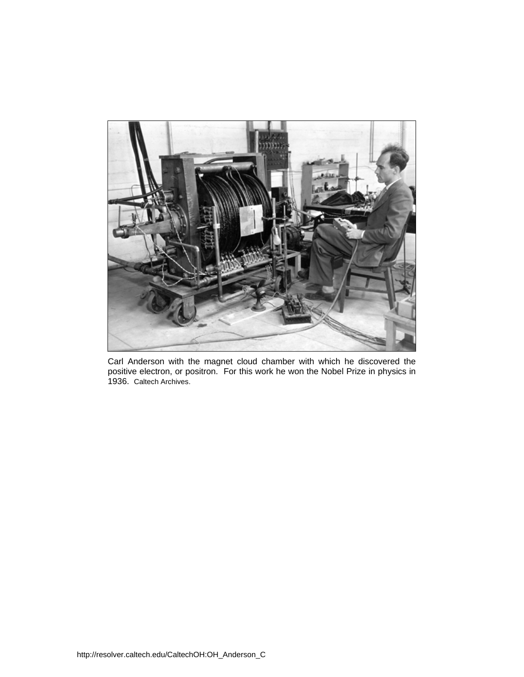

Carl Anderson with the magnet cloud chamber with which he discovered the positive electron, or positron. For this work he won the Nobel Prize in physics in 1936. Caltech Archives.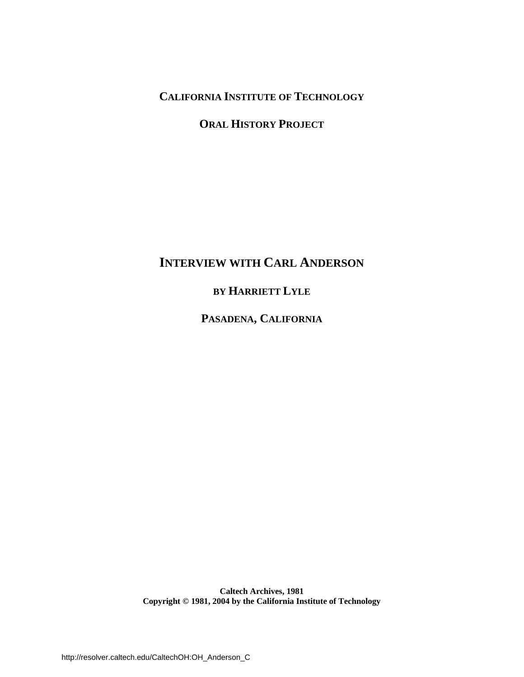**CALIFORNIA INSTITUTE OF TECHNOLOGY**

**ORAL HISTORY PROJECT**

# **INTERVIEW WITH CARL ANDERSON**

**BY HARRIETT LYLE**

**PASADENA, CALIFORNIA**

**Caltech Archives, 1981 Copyright © 1981, 2004 by the California Institute of Technology**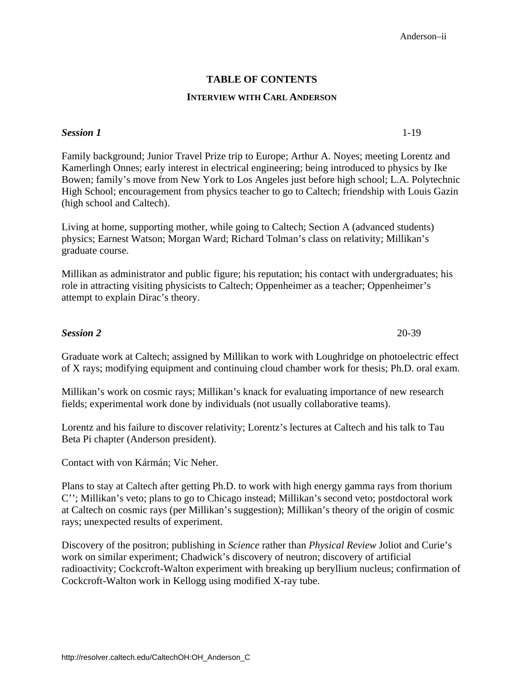# **TABLE OF CONTENTS**

### **INTERVIEW WITH CARL ANDERSON**

## **Session 1** 1-19

Family background; Junior Travel Prize trip to Europe; Arthur A. Noyes; meeting Lorentz and Kamerlingh Onnes; early interest in electrical engineering; being introduced to physics by Ike [Bowen; family's move from New York to Los Angeles just before high school; L.A. Polytechnic](#page-7-0)  High School; encouragement from physics teacher to go to Caltech; friendship with Louis Gazin (high school and Caltech).

Living at home, supporting mother, while going to Caltech; Section A (advanced students) physics; Earnest Watson; Morgan Ward; Richard Tolman's class on relativity; Millikan's graduate course.

Millikan as administrator and public figure; his reputation; his contact with undergraduates; his role in attracting visiting physicists to Caltech; Oppenheimer as a teacher; Oppenheimer's attempt to explain Dirac's theory.

## *Session 2* 20-39

Graduate work at Caltech; assigned by Millikan to work with Loughridge on photoelectric effect of X rays; modifying equipment and continuing cloud chamber work for thesis; Ph.D. oral exam.

Millikan's work on cosmic rays; Millikan's knack for evaluating importance of new research fields; experimental work done by individuals (not usually collaborative teams).

Lorentz and his failure to discover relativity; Lorentz's lectures at Caltech and his talk to Tau Beta Pi chapter (Anderson president).

Contact with von Kármán; Vic Neher.

Plans to stay at Caltech after getting Ph.D. to work with high energy gamma rays from thorium C''; Millikan's veto; plans to go to Chicago instead; Millikan's second veto; postdoctoral work at Caltech on cosmic rays (per Millikan's suggestion); Millikan's theory of the origin of cosmic rays; unexpected results of experiment.

Discovery of the positron; publishing in *Science* rather than *Physical Review* Joliot and Curie's work on similar experiment; Chadwick's discovery of neutron; discovery of artificial [radioactivity; Cockcroft-Walton experiment with breaking up beryllium nucleus; confirmation of](#page-26-0)  Cockcroft-Walton work in Kellogg using modified X-ray tube.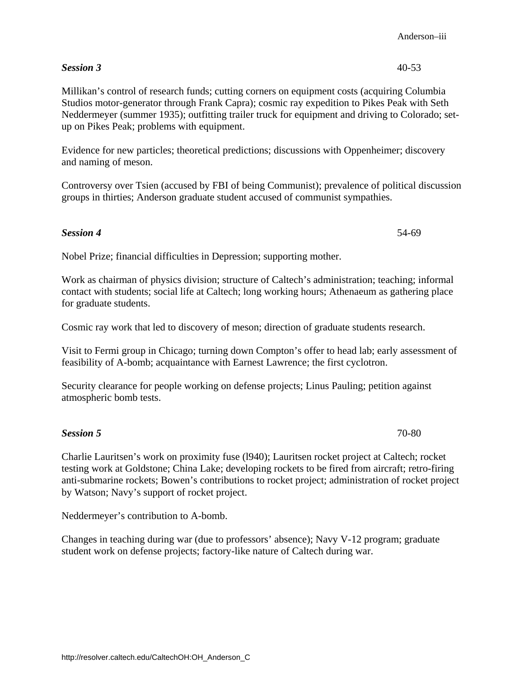# **Session 3** 40-53

Millikan's control of research funds; cutting corners on equipment costs (acquiring Columbia Studios motor-generator through Frank Capra); cosmic ray expedition to Pikes Peak with Seth Neddermeyer (summer 1935); outfitting trailer truck for equipment and driving to Colorado; setup on Pikes Peak; problems with equipment.

Evidence for new particles; theoretical predictions; discussions with Oppenheimer; discovery and naming of meson.

[Controversy over Tsien \(accused by FBI of being Communist\); prevalence of political discussion](#page-46-0)  groups in thirties; Anderson graduate student accused of communist sympathies.

# **Session 4** 54-69

Nobel Prize; financial difficulties in Depression; supporting mother.

Work as chairman of physics division; structure of Caltech's administration; teaching; informal contact with students; social life at Caltech; long working hours; Athenaeum as gathering place for graduate students.

Cosmic ray work that led to discovery of meson; direction of graduate students research.

[Visit to Fermi group in Chicago; turning down Compton's offer to head lab; early assessment of](#page-60-0)  feasibility of A-bomb; acquaintance with Earnest Lawrence; the first cyclotron.

Security clearance for people working on defense projects; Linus Pauling; petition against atmospheric bomb tests.

Charlie Lauritsen's work on proximity fuse (l940); Lauritsen rocket project at Caltech; rocket testing work at Goldstone; China Lake; developing rockets to be fired from aircraft; retro-firing [anti-submarine rockets; Bowen's contributions to rocket project; administration of rocket project](#page-76-0)  by Watson; Navy's support of rocket project.

Neddermeyer's contribution to A-bomb.

Changes in teaching during war (due to professors' absence); Navy V-12 program; graduate student work on defense projects; factory-like nature of Caltech during war.

**Session 5** 70-80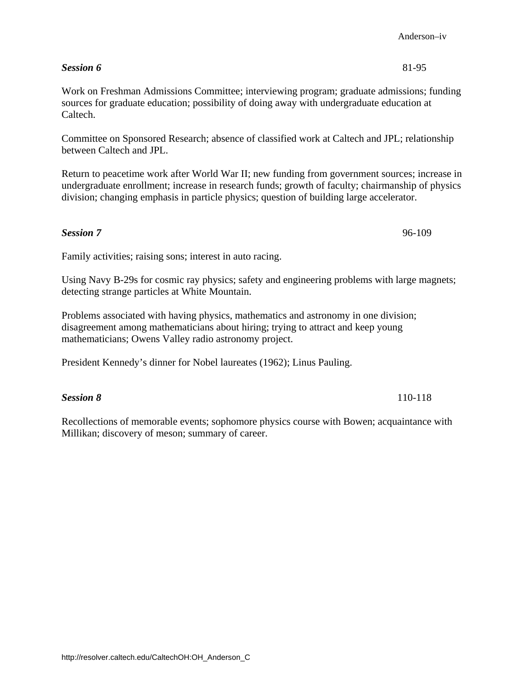# **Session 6** 81-95

Work on Freshman Admissions Committee; interviewing program; graduate admissions; funding sources for graduate education; possibility of doing away with undergraduate education at Caltech.

Committee on Sponsored Research; absence of classified work at Caltech and JPL; relationship between Caltech and JPL.

[Return to peacetime work after World War II; new funding from government sources; increase in](#page-87-0)  undergraduate enrollment; increase in research funds; growth of faculty; chairmanship of physics division; changing emphasis in particle physics; question of building large accelerator.

# **Session 7** 96-109

Family activities; raising sons; interest in auto racing.

[Using Navy B-29s for cosmic ray physics; safety and engineering problems with large magnets;](#page-102-0)  detecting strange particles at White Mountain.

Problems associated with having physics, mathematics and astronomy in one division; disagreement among mathematicians about hiring; trying to attract and keep young mathematicians; Owens Valley radio astronomy project.

President Kennedy's dinner for Nobel laureates (1962); Linus Pauling.

# *Session 8* 110-118

[Recollections of memorable events; sophomore physics course with Bowen; acquaintance with](#page-116-0)  Millikan; discovery of meson; summary of career.

Anderson–iv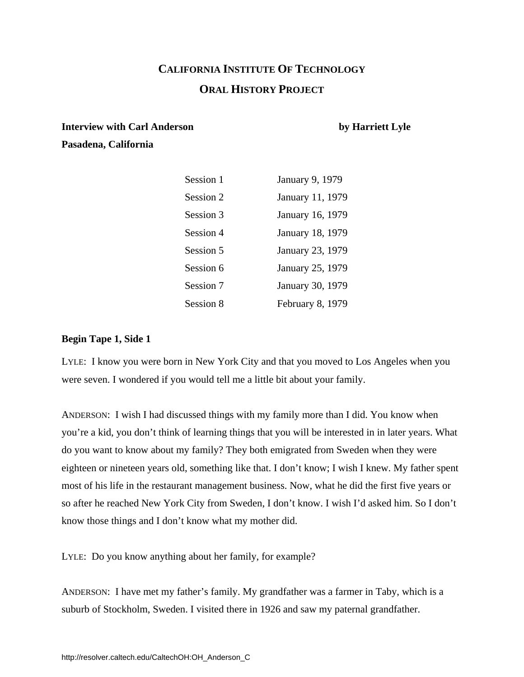# **CALIFORNIA INSTITUTE OF TECHNOLOGY ORAL HISTORY PROJECT**

# <span id="page-7-0"></span>**Interview with Carl Anderson** by Harriett Lyle **Pasadena, California**

# Session 1 January 9, 1979 Session 2 January 11, 1979 Session 3 January 16, 1979 Session 4 January 18, 1979 Session 5 January 23, 1979 Session 6 January 25, 1979 Session 7 January 30, 1979 Session 8 February 8, 1979

# **Begin Tape 1, Side 1**

LYLE: I know you were born in New York City and that you moved to Los Angeles when you were seven. I wondered if you would tell me a little bit about your family.

ANDERSON: I wish I had discussed things with my family more than I did. You know when you're a kid, you don't think of learning things that you will be interested in in later years. What do you want to know about my family? They both emigrated from Sweden when they were eighteen or nineteen years old, something like that. I don't know; I wish I knew. My father spent most of his life in the restaurant management business. Now, what he did the first five years or so after he reached New York City from Sweden, I don't know. I wish I'd asked him. So I don't know those things and I don't know what my mother did.

LYLE: Do you know anything about her family, for example?

ANDERSON: I have met my father's family. My grandfather was a farmer in Taby, which is a suburb of Stockholm, Sweden. I visited there in 1926 and saw my paternal grandfather.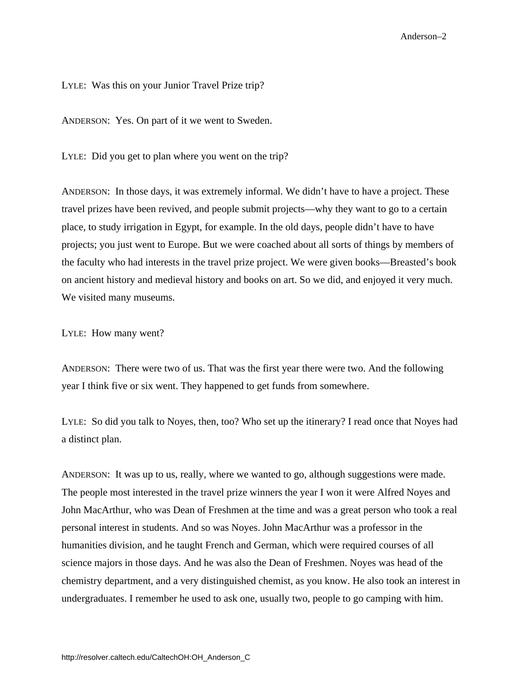LYLE: Was this on your Junior Travel Prize trip?

ANDERSON: Yes. On part of it we went to Sweden.

LYLE: Did you get to plan where you went on the trip?

ANDERSON: In those days, it was extremely informal. We didn't have to have a project. These travel prizes have been revived, and people submit projects—why they want to go to a certain place, to study irrigation in Egypt, for example. In the old days, people didn't have to have projects; you just went to Europe. But we were coached about all sorts of things by members of the faculty who had interests in the travel prize project. We were given books—Breasted's book on ancient history and medieval history and books on art. So we did, and enjoyed it very much. We visited many museums.

LYLE: How many went?

ANDERSON: There were two of us. That was the first year there were two. And the following year I think five or six went. They happened to get funds from somewhere.

LYLE: So did you talk to Noyes, then, too? Who set up the itinerary? I read once that Noyes had a distinct plan.

ANDERSON: It was up to us, really, where we wanted to go, although suggestions were made. The people most interested in the travel prize winners the year I won it were Alfred Noyes and John MacArthur, who was Dean of Freshmen at the time and was a great person who took a real personal interest in students. And so was Noyes. John MacArthur was a professor in the humanities division, and he taught French and German, which were required courses of all science majors in those days. And he was also the Dean of Freshmen. Noyes was head of the chemistry department, and a very distinguished chemist, as you know. He also took an interest in undergraduates. I remember he used to ask one, usually two, people to go camping with him.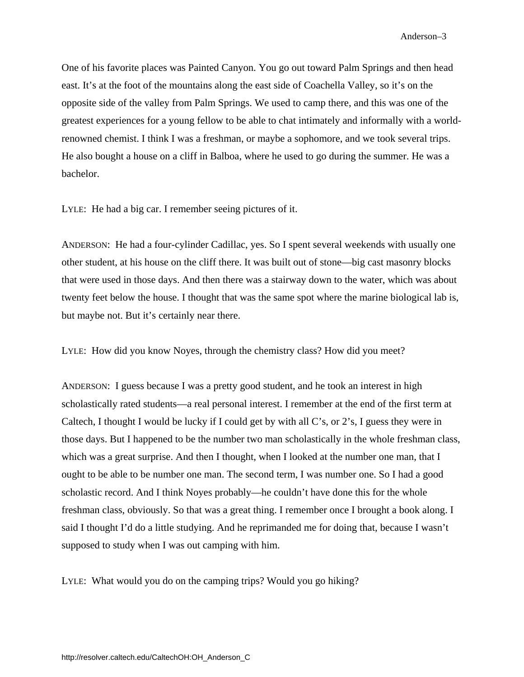One of his favorite places was Painted Canyon. You go out toward Palm Springs and then head east. It's at the foot of the mountains along the east side of Coachella Valley, so it's on the opposite side of the valley from Palm Springs. We used to camp there, and this was one of the greatest experiences for a young fellow to be able to chat intimately and informally with a worldrenowned chemist. I think I was a freshman, or maybe a sophomore, and we took several trips. He also bought a house on a cliff in Balboa, where he used to go during the summer. He was a bachelor.

LYLE: He had a big car. I remember seeing pictures of it.

ANDERSON: He had a four-cylinder Cadillac, yes. So I spent several weekends with usually one other student, at his house on the cliff there. It was built out of stone—big cast masonry blocks that were used in those days. And then there was a stairway down to the water, which was about twenty feet below the house. I thought that was the same spot where the marine biological lab is, but maybe not. But it's certainly near there.

LYLE: How did you know Noyes, through the chemistry class? How did you meet?

ANDERSON: I guess because I was a pretty good student, and he took an interest in high scholastically rated students—a real personal interest. I remember at the end of the first term at Caltech, I thought I would be lucky if I could get by with all C's, or 2's, I guess they were in those days. But I happened to be the number two man scholastically in the whole freshman class, which was a great surprise. And then I thought, when I looked at the number one man, that I ought to be able to be number one man. The second term, I was number one. So I had a good scholastic record. And I think Noyes probably—he couldn't have done this for the whole freshman class, obviously. So that was a great thing. I remember once I brought a book along. I said I thought I'd do a little studying. And he reprimanded me for doing that, because I wasn't supposed to study when I was out camping with him.

LYLE: What would you do on the camping trips? Would you go hiking?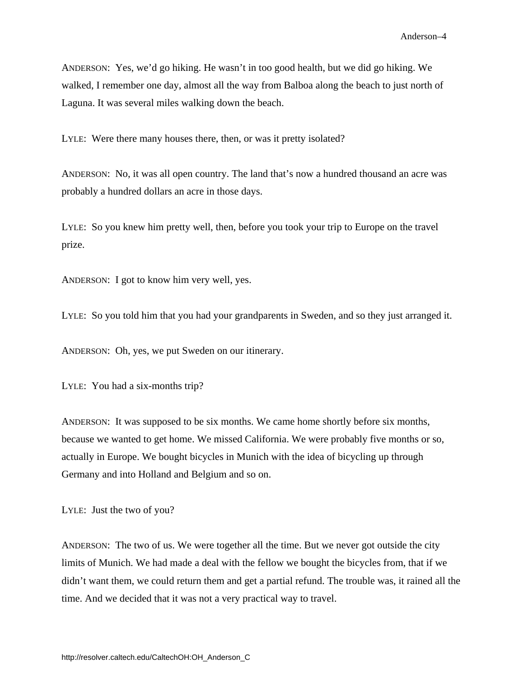ANDERSON: Yes, we'd go hiking. He wasn't in too good health, but we did go hiking. We walked, I remember one day, almost all the way from Balboa along the beach to just north of Laguna. It was several miles walking down the beach.

LYLE: Were there many houses there, then, or was it pretty isolated?

ANDERSON: No, it was all open country. The land that's now a hundred thousand an acre was probably a hundred dollars an acre in those days.

LYLE: So you knew him pretty well, then, before you took your trip to Europe on the travel prize.

ANDERSON: I got to know him very well, yes.

LYLE: So you told him that you had your grandparents in Sweden, and so they just arranged it.

ANDERSON: Oh, yes, we put Sweden on our itinerary.

LYLE: You had a six-months trip?

ANDERSON: It was supposed to be six months. We came home shortly before six months, because we wanted to get home. We missed California. We were probably five months or so, actually in Europe. We bought bicycles in Munich with the idea of bicycling up through Germany and into Holland and Belgium and so on.

LYLE: Just the two of you?

ANDERSON: The two of us. We were together all the time. But we never got outside the city limits of Munich. We had made a deal with the fellow we bought the bicycles from, that if we didn't want them, we could return them and get a partial refund. The trouble was, it rained all the time. And we decided that it was not a very practical way to travel.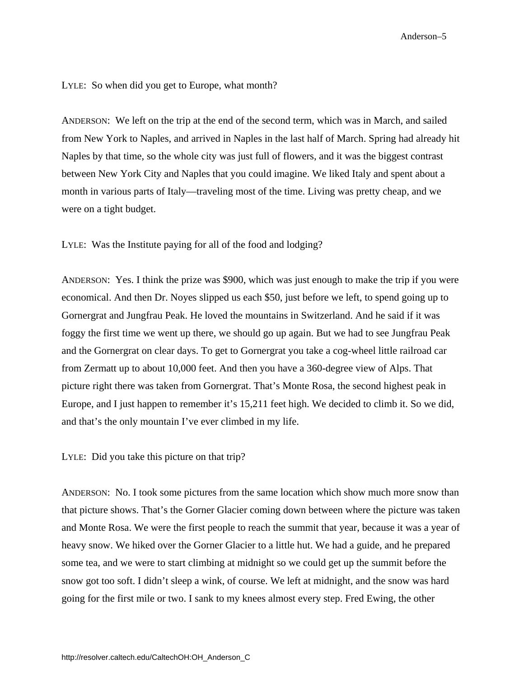LYLE: So when did you get to Europe, what month?

ANDERSON: We left on the trip at the end of the second term, which was in March, and sailed from New York to Naples, and arrived in Naples in the last half of March. Spring had already hit Naples by that time, so the whole city was just full of flowers, and it was the biggest contrast between New York City and Naples that you could imagine. We liked Italy and spent about a month in various parts of Italy—traveling most of the time. Living was pretty cheap, and we were on a tight budget.

LYLE: Was the Institute paying for all of the food and lodging?

ANDERSON: Yes. I think the prize was \$900, which was just enough to make the trip if you were economical. And then Dr. Noyes slipped us each \$50, just before we left, to spend going up to Gornergrat and Jungfrau Peak. He loved the mountains in Switzerland. And he said if it was foggy the first time we went up there, we should go up again. But we had to see Jungfrau Peak and the Gornergrat on clear days. To get to Gornergrat you take a cog-wheel little railroad car from Zermatt up to about 10,000 feet. And then you have a 360-degree view of Alps. That picture right there was taken from Gornergrat. That's Monte Rosa, the second highest peak in Europe, and I just happen to remember it's 15,211 feet high. We decided to climb it. So we did, and that's the only mountain I've ever climbed in my life.

LYLE: Did you take this picture on that trip?

ANDERSON: No. I took some pictures from the same location which show much more snow than that picture shows. That's the Gorner Glacier coming down between where the picture was taken and Monte Rosa. We were the first people to reach the summit that year, because it was a year of heavy snow. We hiked over the Gorner Glacier to a little hut. We had a guide, and he prepared some tea, and we were to start climbing at midnight so we could get up the summit before the snow got too soft. I didn't sleep a wink, of course. We left at midnight, and the snow was hard going for the first mile or two. I sank to my knees almost every step. Fred Ewing, the other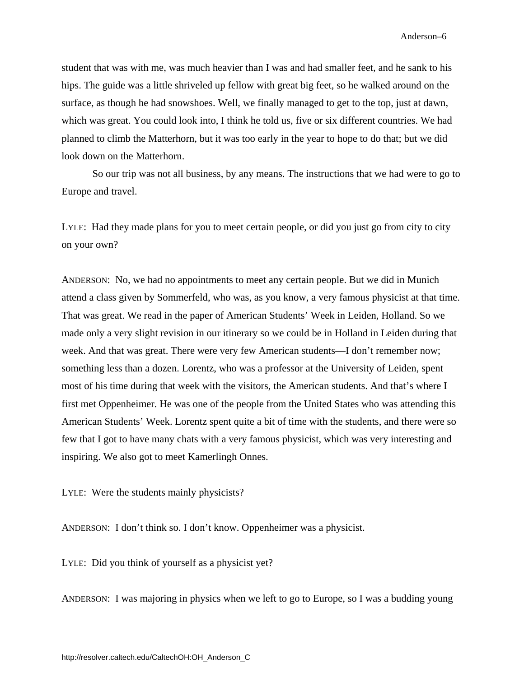student that was with me, was much heavier than I was and had smaller feet, and he sank to his hips. The guide was a little shriveled up fellow with great big feet, so he walked around on the surface, as though he had snowshoes. Well, we finally managed to get to the top, just at dawn, which was great. You could look into, I think he told us, five or six different countries. We had planned to climb the Matterhorn, but it was too early in the year to hope to do that; but we did look down on the Matterhorn.

So our trip was not all business, by any means. The instructions that we had were to go to Europe and travel.

LYLE: Had they made plans for you to meet certain people, or did you just go from city to city on your own?

ANDERSON: No, we had no appointments to meet any certain people. But we did in Munich attend a class given by Sommerfeld, who was, as you know, a very famous physicist at that time. That was great. We read in the paper of American Students' Week in Leiden, Holland. So we made only a very slight revision in our itinerary so we could be in Holland in Leiden during that week. And that was great. There were very few American students—I don't remember now; something less than a dozen. Lorentz, who was a professor at the University of Leiden, spent most of his time during that week with the visitors, the American students. And that's where I first met Oppenheimer. He was one of the people from the United States who was attending this American Students' Week. Lorentz spent quite a bit of time with the students, and there were so few that I got to have many chats with a very famous physicist, which was very interesting and inspiring. We also got to meet Kamerlingh Onnes.

LYLE: Were the students mainly physicists?

ANDERSON: I don't think so. I don't know. Oppenheimer was a physicist.

LYLE: Did you think of yourself as a physicist yet?

ANDERSON: I was majoring in physics when we left to go to Europe, so I was a budding young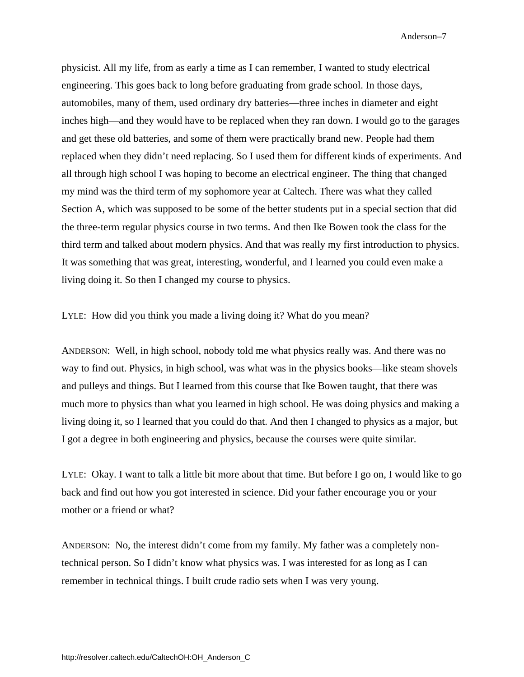physicist. All my life, from as early a time as I can remember, I wanted to study electrical engineering. This goes back to long before graduating from grade school. In those days, automobiles, many of them, used ordinary dry batteries—three inches in diameter and eight inches high—and they would have to be replaced when they ran down. I would go to the garages and get these old batteries, and some of them were practically brand new. People had them replaced when they didn't need replacing. So I used them for different kinds of experiments. And all through high school I was hoping to become an electrical engineer. The thing that changed my mind was the third term of my sophomore year at Caltech. There was what they called Section A, which was supposed to be some of the better students put in a special section that did the three-term regular physics course in two terms. And then Ike Bowen took the class for the third term and talked about modern physics. And that was really my first introduction to physics. It was something that was great, interesting, wonderful, and I learned you could even make a living doing it. So then I changed my course to physics.

LYLE: How did you think you made a living doing it? What do you mean?

ANDERSON: Well, in high school, nobody told me what physics really was. And there was no way to find out. Physics, in high school, was what was in the physics books—like steam shovels and pulleys and things. But I learned from this course that Ike Bowen taught, that there was much more to physics than what you learned in high school. He was doing physics and making a living doing it, so I learned that you could do that. And then I changed to physics as a major, but I got a degree in both engineering and physics, because the courses were quite similar.

LYLE: Okay. I want to talk a little bit more about that time. But before I go on, I would like to go back and find out how you got interested in science. Did your father encourage you or your mother or a friend or what?

ANDERSON: No, the interest didn't come from my family. My father was a completely nontechnical person. So I didn't know what physics was. I was interested for as long as I can remember in technical things. I built crude radio sets when I was very young.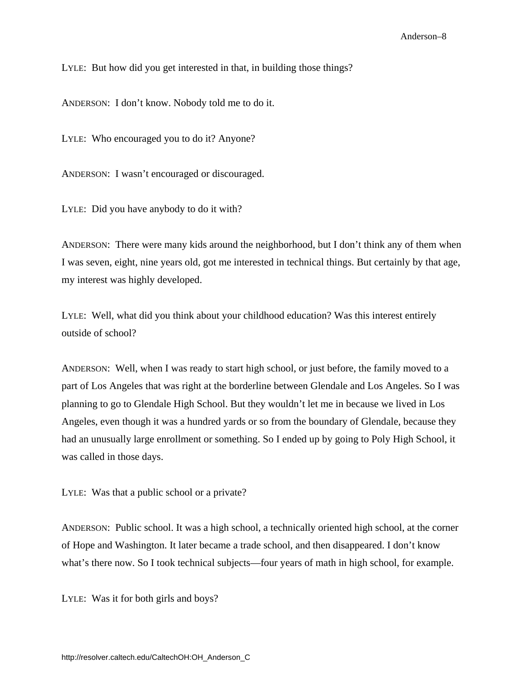LYLE: But how did you get interested in that, in building those things?

ANDERSON: I don't know. Nobody told me to do it.

LYLE: Who encouraged you to do it? Anyone?

ANDERSON: I wasn't encouraged or discouraged.

LYLE: Did you have anybody to do it with?

ANDERSON: There were many kids around the neighborhood, but I don't think any of them when I was seven, eight, nine years old, got me interested in technical things. But certainly by that age, my interest was highly developed.

LYLE: Well, what did you think about your childhood education? Was this interest entirely outside of school?

ANDERSON: Well, when I was ready to start high school, or just before, the family moved to a part of Los Angeles that was right at the borderline between Glendale and Los Angeles. So I was planning to go to Glendale High School. But they wouldn't let me in because we lived in Los Angeles, even though it was a hundred yards or so from the boundary of Glendale, because they had an unusually large enrollment or something. So I ended up by going to Poly High School, it was called in those days.

LYLE: Was that a public school or a private?

ANDERSON: Public school. It was a high school, a technically oriented high school, at the corner of Hope and Washington. It later became a trade school, and then disappeared. I don't know what's there now. So I took technical subjects—four years of math in high school, for example.

LYLE: Was it for both girls and boys?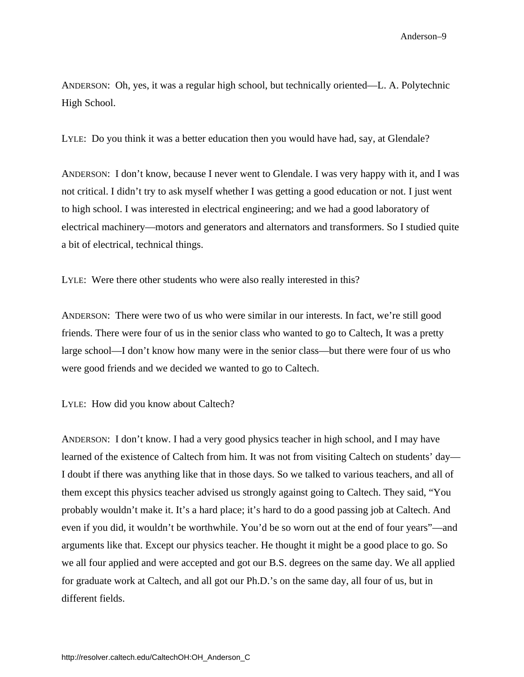ANDERSON: Oh, yes, it was a regular high school, but technically oriented—L. A. Polytechnic High School.

LYLE: Do you think it was a better education then you would have had, say, at Glendale?

ANDERSON: I don't know, because I never went to Glendale. I was very happy with it, and I was not critical. I didn't try to ask myself whether I was getting a good education or not. I just went to high school. I was interested in electrical engineering; and we had a good laboratory of electrical machinery—motors and generators and alternators and transformers. So I studied quite a bit of electrical, technical things.

LYLE: Were there other students who were also really interested in this?

ANDERSON: There were two of us who were similar in our interests. In fact, we're still good friends. There were four of us in the senior class who wanted to go to Caltech, It was a pretty large school—I don't know how many were in the senior class—but there were four of us who were good friends and we decided we wanted to go to Caltech.

LYLE: How did you know about Caltech?

ANDERSON: I don't know. I had a very good physics teacher in high school, and I may have learned of the existence of Caltech from him. It was not from visiting Caltech on students' day— I doubt if there was anything like that in those days. So we talked to various teachers, and all of them except this physics teacher advised us strongly against going to Caltech. They said, "You probably wouldn't make it. It's a hard place; it's hard to do a good passing job at Caltech. And even if you did, it wouldn't be worthwhile. You'd be so worn out at the end of four years"—and arguments like that. Except our physics teacher. He thought it might be a good place to go. So we all four applied and were accepted and got our B.S. degrees on the same day. We all applied for graduate work at Caltech, and all got our Ph.D.'s on the same day, all four of us, but in different fields.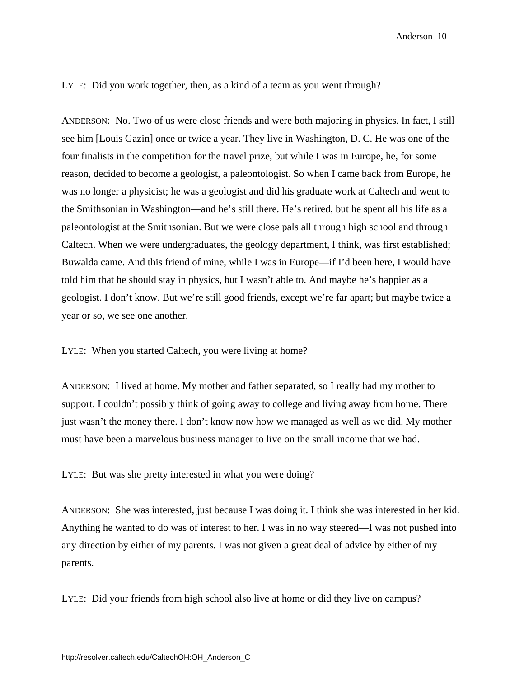LYLE: Did you work together, then, as a kind of a team as you went through?

ANDERSON: No. Two of us were close friends and were both majoring in physics. In fact, I still see him [Louis Gazin] once or twice a year. They live in Washington, D. C. He was one of the four finalists in the competition for the travel prize, but while I was in Europe, he, for some reason, decided to become a geologist, a paleontologist. So when I came back from Europe, he was no longer a physicist; he was a geologist and did his graduate work at Caltech and went to the Smithsonian in Washington—and he's still there. He's retired, but he spent all his life as a paleontologist at the Smithsonian. But we were close pals all through high school and through Caltech. When we were undergraduates, the geology department, I think, was first established; Buwalda came. And this friend of mine, while I was in Europe—if I'd been here, I would have told him that he should stay in physics, but I wasn't able to. And maybe he's happier as a geologist. I don't know. But we're still good friends, except we're far apart; but maybe twice a year or so, we see one another.

LYLE: When you started Caltech, you were living at home?

ANDERSON: I lived at home. My mother and father separated, so I really had my mother to support. I couldn't possibly think of going away to college and living away from home. There just wasn't the money there. I don't know now how we managed as well as we did. My mother must have been a marvelous business manager to live on the small income that we had.

LYLE: But was she pretty interested in what you were doing?

ANDERSON: She was interested, just because I was doing it. I think she was interested in her kid. Anything he wanted to do was of interest to her. I was in no way steered—I was not pushed into any direction by either of my parents. I was not given a great deal of advice by either of my parents.

LYLE: Did your friends from high school also live at home or did they live on campus?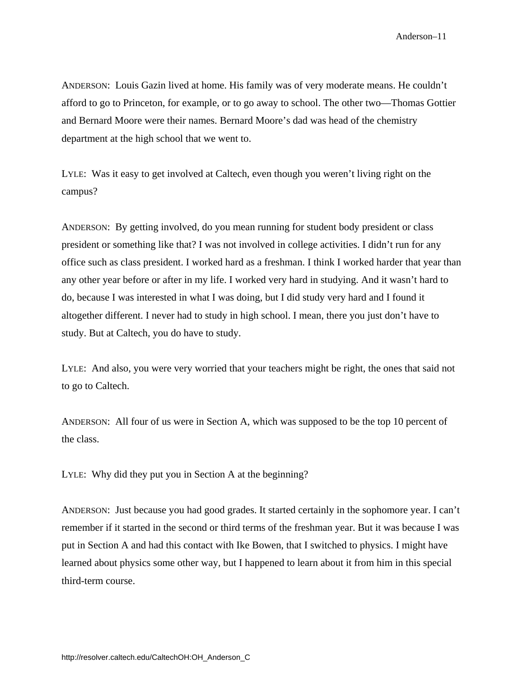ANDERSON: Louis Gazin lived at home. His family was of very moderate means. He couldn't afford to go to Princeton, for example, or to go away to school. The other two—Thomas Gottier and Bernard Moore were their names. Bernard Moore's dad was head of the chemistry department at the high school that we went to.

LYLE: Was it easy to get involved at Caltech, even though you weren't living right on the campus?

ANDERSON: By getting involved, do you mean running for student body president or class president or something like that? I was not involved in college activities. I didn't run for any office such as class president. I worked hard as a freshman. I think I worked harder that year than any other year before or after in my life. I worked very hard in studying. And it wasn't hard to do, because I was interested in what I was doing, but I did study very hard and I found it altogether different. I never had to study in high school. I mean, there you just don't have to study. But at Caltech, you do have to study.

LYLE: And also, you were very worried that your teachers might be right, the ones that said not to go to Caltech.

ANDERSON: All four of us were in Section A, which was supposed to be the top 10 percent of the class.

LYLE: Why did they put you in Section A at the beginning?

ANDERSON: Just because you had good grades. It started certainly in the sophomore year. I can't remember if it started in the second or third terms of the freshman year. But it was because I was put in Section A and had this contact with Ike Bowen, that I switched to physics. I might have learned about physics some other way, but I happened to learn about it from him in this special third-term course.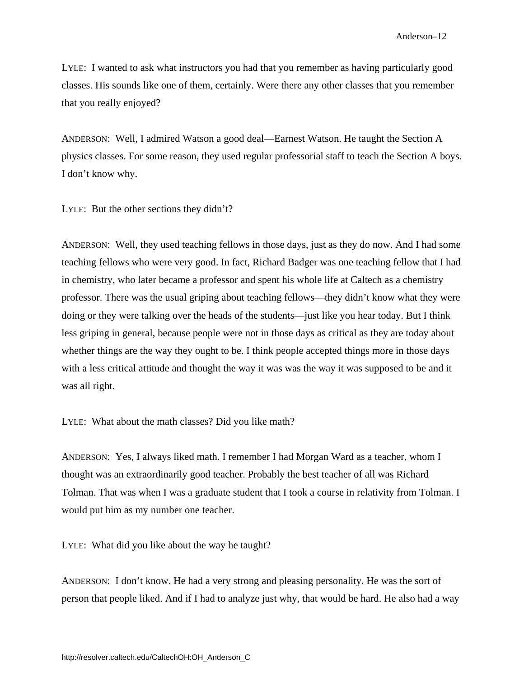LYLE: I wanted to ask what instructors you had that you remember as having particularly good classes. His sounds like one of them, certainly. Were there any other classes that you remember that you really enjoyed?

ANDERSON: Well, I admired Watson a good deal—Earnest Watson. He taught the Section A physics classes. For some reason, they used regular professorial staff to teach the Section A boys. I don't know why.

LYLE: But the other sections they didn't?

ANDERSON: Well, they used teaching fellows in those days, just as they do now. And I had some teaching fellows who were very good. In fact, Richard Badger was one teaching fellow that I had in chemistry, who later became a professor and spent his whole life at Caltech as a chemistry professor. There was the usual griping about teaching fellows—they didn't know what they were doing or they were talking over the heads of the students—just like you hear today. But I think less griping in general, because people were not in those days as critical as they are today about whether things are the way they ought to be. I think people accepted things more in those days with a less critical attitude and thought the way it was was the way it was supposed to be and it was all right.

LYLE: What about the math classes? Did you like math?

ANDERSON: Yes, I always liked math. I remember I had Morgan Ward as a teacher, whom I thought was an extraordinarily good teacher. Probably the best teacher of all was Richard Tolman. That was when I was a graduate student that I took a course in relativity from Tolman. I would put him as my number one teacher.

LYLE: What did you like about the way he taught?

ANDERSON: I don't know. He had a very strong and pleasing personality. He was the sort of person that people liked. And if I had to analyze just why, that would be hard. He also had a way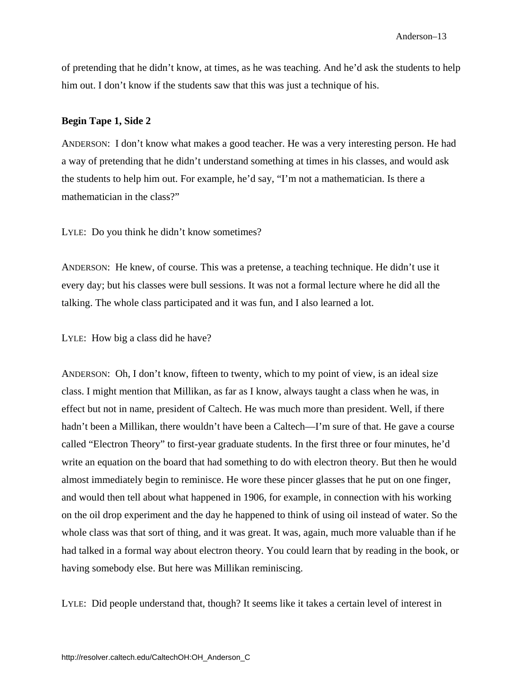of pretending that he didn't know, at times, as he was teaching. And he'd ask the students to help him out. I don't know if the students saw that this was just a technique of his.

#### **Begin Tape 1, Side 2**

ANDERSON: I don't know what makes a good teacher. He was a very interesting person. He had a way of pretending that he didn't understand something at times in his classes, and would ask the students to help him out. For example, he'd say, "I'm not a mathematician. Is there a mathematician in the class?"

LYLE: Do you think he didn't know sometimes?

ANDERSON: He knew, of course. This was a pretense, a teaching technique. He didn't use it every day; but his classes were bull sessions. It was not a formal lecture where he did all the talking. The whole class participated and it was fun, and I also learned a lot.

LYLE: How big a class did he have?

ANDERSON: Oh, I don't know, fifteen to twenty, which to my point of view, is an ideal size class. I might mention that Millikan, as far as I know, always taught a class when he was, in effect but not in name, president of Caltech. He was much more than president. Well, if there hadn't been a Millikan, there wouldn't have been a Caltech—I'm sure of that. He gave a course called "Electron Theory" to first-year graduate students. In the first three or four minutes, he'd write an equation on the board that had something to do with electron theory. But then he would almost immediately begin to reminisce. He wore these pincer glasses that he put on one finger, and would then tell about what happened in 1906, for example, in connection with his working on the oil drop experiment and the day he happened to think of using oil instead of water. So the whole class was that sort of thing, and it was great. It was, again, much more valuable than if he had talked in a formal way about electron theory. You could learn that by reading in the book, or having somebody else. But here was Millikan reminiscing.

LYLE: Did people understand that, though? It seems like it takes a certain level of interest in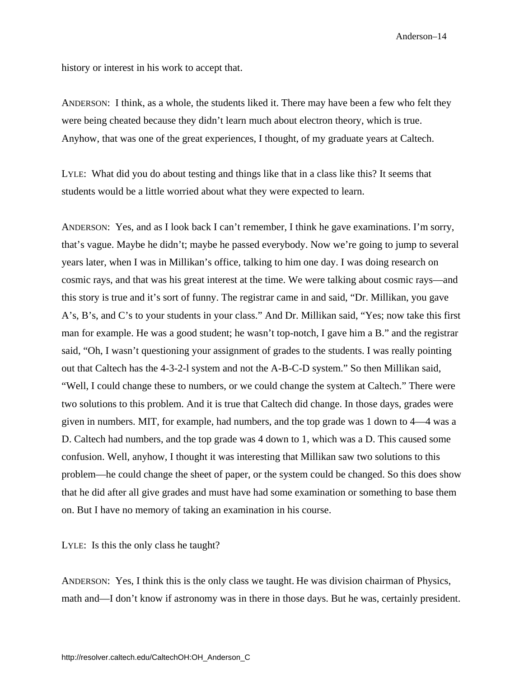history or interest in his work to accept that.

ANDERSON: I think, as a whole, the students liked it. There may have been a few who felt they were being cheated because they didn't learn much about electron theory, which is true. Anyhow, that was one of the great experiences, I thought, of my graduate years at Caltech.

LYLE: What did you do about testing and things like that in a class like this? It seems that students would be a little worried about what they were expected to learn.

ANDERSON: Yes, and as I look back I can't remember, I think he gave examinations. I'm sorry, that's vague. Maybe he didn't; maybe he passed everybody. Now we're going to jump to several years later, when I was in Millikan's office, talking to him one day. I was doing research on cosmic rays, and that was his great interest at the time. We were talking about cosmic rays—and this story is true and it's sort of funny. The registrar came in and said, "Dr. Millikan, you gave A's, B's, and C's to your students in your class." And Dr. Millikan said, "Yes; now take this first man for example. He was a good student; he wasn't top-notch, I gave him a B." and the registrar said, "Oh, I wasn't questioning your assignment of grades to the students. I was really pointing out that Caltech has the 4-3-2-l system and not the A-B-C-D system." So then Millikan said, "Well, I could change these to numbers, or we could change the system at Caltech." There were two solutions to this problem. And it is true that Caltech did change. In those days, grades were given in numbers. MIT, for example, had numbers, and the top grade was 1 down to 4—4 was a D. Caltech had numbers, and the top grade was 4 down to 1, which was a D. This caused some confusion. Well, anyhow, I thought it was interesting that Millikan saw two solutions to this problem—he could change the sheet of paper, or the system could be changed. So this does show that he did after all give grades and must have had some examination or something to base them on. But I have no memory of taking an examination in his course.

LYLE: Is this the only class he taught?

ANDERSON: Yes, I think this is the only class we taught. He was division chairman of Physics, math and—I don't know if astronomy was in there in those days. But he was, certainly president.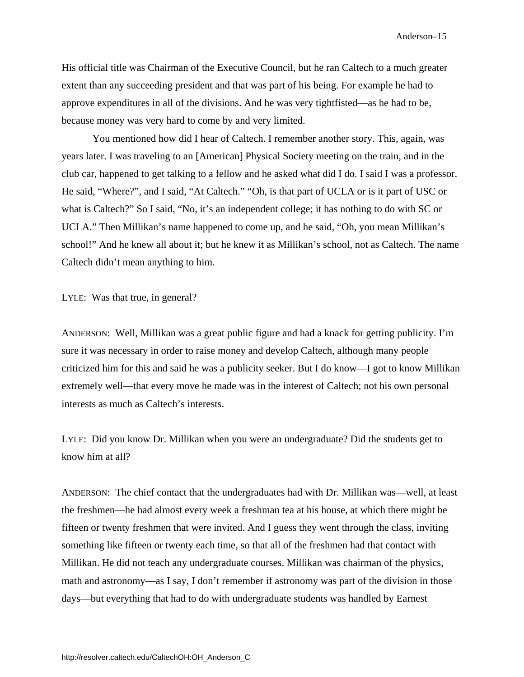His official title was Chairman of the Executive Council, but he ran Caltech to a much greater extent than any succeeding president and that was part of his being. For example he had to approve expenditures in all of the divisions. And he was very tightfisted—as he had to be, because money was very hard to come by and very limited.

You mentioned how did I hear of Caltech. I remember another story. This, again, was years later. I was traveling to an [American] Physical Society meeting on the train, and in the club car, happened to get talking to a fellow and he asked what did I do. I said I was a professor. He said, "Where?", and I said, "At Caltech." "Oh, is that part of UCLA or is it part of USC or what is Caltech?" So I said, "No, it's an independent college; it has nothing to do with SC or UCLA." Then Millikan's name happened to come up, and he said, "Oh, you mean Millikan's school!" And he knew all about it; but he knew it as Millikan's school, not as Caltech. The name Caltech didn't mean anything to him.

LYLE: Was that true, in general?

ANDERSON: Well, Millikan was a great public figure and had a knack for getting publicity. I'm sure it was necessary in order to raise money and develop Caltech, although many people criticized him for this and said he was a publicity seeker. But I do know—I got to know Millikan extremely well—that every move he made was in the interest of Caltech; not his own personal interests as much as Caltech's interests.

LYLE: Did you know Dr. Millikan when you were an undergraduate? Did the students get to know him at all?

ANDERSON: The chief contact that the undergraduates had with Dr. Millikan was—well, at least the freshmen—he had almost every week a freshman tea at his house, at which there might be fifteen or twenty freshmen that were invited. And I guess they went through the class, inviting something like fifteen or twenty each time, so that all of the freshmen had that contact with Millikan. He did not teach any undergraduate courses. Millikan was chairman of the physics, math and astronomy—as I say, I don't remember if astronomy was part of the division in those days—but everything that had to do with undergraduate students was handled by Earnest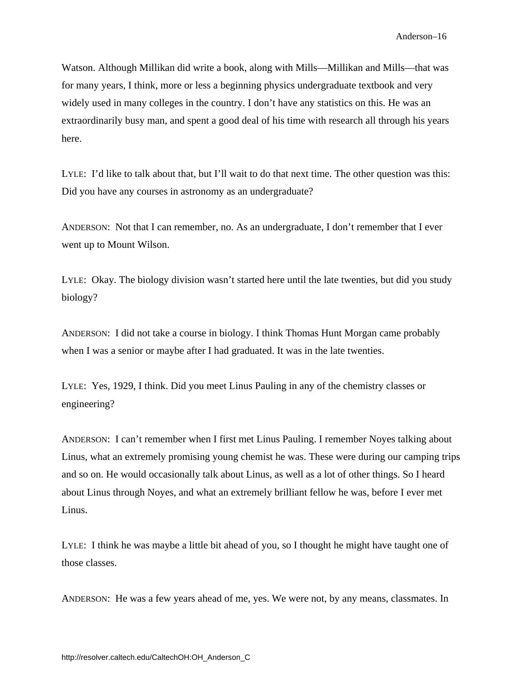Watson. Although Millikan did write a book, along with Mills—Millikan and Mills—that was for many years, I think, more or less a beginning physics undergraduate textbook and very widely used in many colleges in the country. I don't have any statistics on this. He was an extraordinarily busy man, and spent a good deal of his time with research all through his years here.

LYLE: I'd like to talk about that, but I'll wait to do that next time. The other question was this: Did you have any courses in astronomy as an undergraduate?

ANDERSON: Not that I can remember, no. As an undergraduate, I don't remember that I ever went up to Mount Wilson.

LYLE: Okay. The biology division wasn't started here until the late twenties, but did you study biology?

ANDERSON: I did not take a course in biology. I think Thomas Hunt Morgan came probably when I was a senior or maybe after I had graduated. It was in the late twenties.

LYLE: Yes, 1929, I think. Did you meet Linus Pauling in any of the chemistry classes or engineering?

ANDERSON: I can't remember when I first met Linus Pauling. I remember Noyes talking about Linus, what an extremely promising young chemist he was. These were during our camping trips and so on. He would occasionally talk about Linus, as well as a lot of other things. So I heard about Linus through Noyes, and what an extremely brilliant fellow he was, before I ever met Linus.

LYLE: I think he was maybe a little bit ahead of you, so I thought he might have taught one of those classes.

ANDERSON: He was a few years ahead of me, yes. We were not, by any means, classmates. In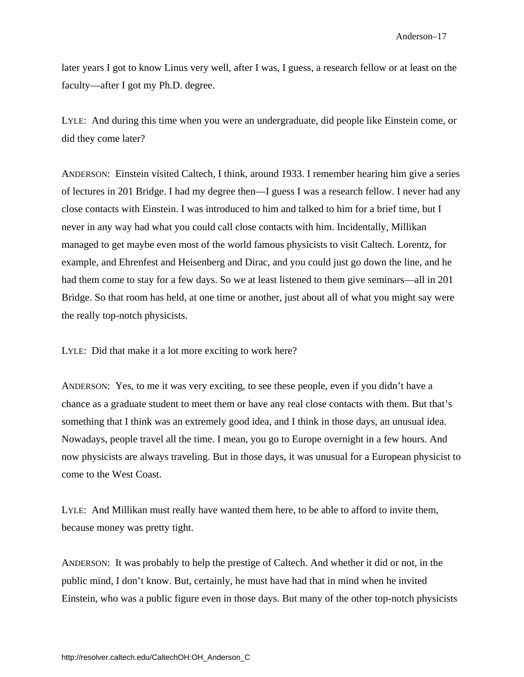later years I got to know Linus very well, after I was, I guess, a research fellow or at least on the faculty—after I got my Ph.D. degree.

LYLE: And during this time when you were an undergraduate, did people like Einstein come, or did they come later?

ANDERSON: Einstein visited Caltech, I think, around 1933. I remember hearing him give a series of lectures in 201 Bridge. I had my degree then—I guess I was a research fellow. I never had any close contacts with Einstein. I was introduced to him and talked to him for a brief time, but I never in any way had what you could call close contacts with him. Incidentally, Millikan managed to get maybe even most of the world famous physicists to visit Caltech. Lorentz, for example, and Ehrenfest and Heisenberg and Dirac, and you could just go down the line, and he had them come to stay for a few days. So we at least listened to them give seminars—all in 201 Bridge. So that room has held, at one time or another, just about all of what you might say were the really top-notch physicists.

LYLE: Did that make it a lot more exciting to work here?

ANDERSON: Yes, to me it was very exciting, to see these people, even if you didn't have a chance as a graduate student to meet them or have any real close contacts with them. But that's something that I think was an extremely good idea, and I think in those days, an unusual idea. Nowadays, people travel all the time. I mean, you go to Europe overnight in a few hours. And now physicists are always traveling. But in those days, it was unusual for a European physicist to come to the West Coast.

LYLE: And Millikan must really have wanted them here, to be able to afford to invite them, because money was pretty tight.

ANDERSON: It was probably to help the prestige of Caltech. And whether it did or not, in the public mind, I don't know. But, certainly, he must have had that in mind when he invited Einstein, who was a public figure even in those days. But many of the other top-notch physicists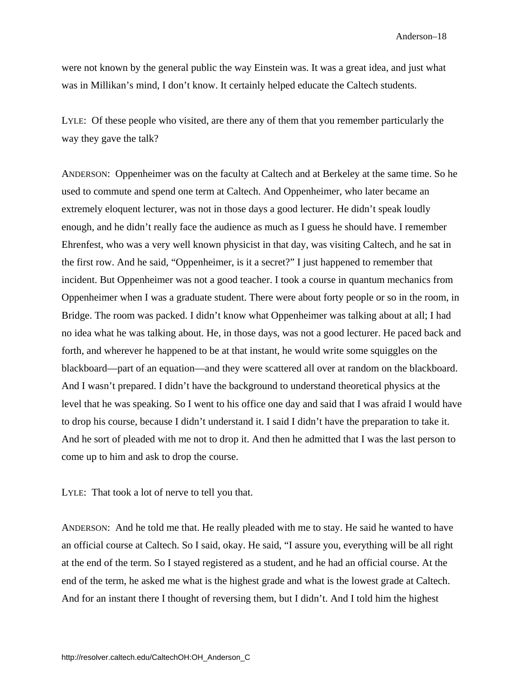were not known by the general public the way Einstein was. It was a great idea, and just what was in Millikan's mind, I don't know. It certainly helped educate the Caltech students.

LYLE: Of these people who visited, are there any of them that you remember particularly the way they gave the talk?

ANDERSON: Oppenheimer was on the faculty at Caltech and at Berkeley at the same time. So he used to commute and spend one term at Caltech. And Oppenheimer, who later became an extremely eloquent lecturer, was not in those days a good lecturer. He didn't speak loudly enough, and he didn't really face the audience as much as I guess he should have. I remember Ehrenfest, who was a very well known physicist in that day, was visiting Caltech, and he sat in the first row. And he said, "Oppenheimer, is it a secret?" I just happened to remember that incident. But Oppenheimer was not a good teacher. I took a course in quantum mechanics from Oppenheimer when I was a graduate student. There were about forty people or so in the room, in Bridge. The room was packed. I didn't know what Oppenheimer was talking about at all; I had no idea what he was talking about. He, in those days, was not a good lecturer. He paced back and forth, and wherever he happened to be at that instant, he would write some squiggles on the blackboard—part of an equation—and they were scattered all over at random on the blackboard. And I wasn't prepared. I didn't have the background to understand theoretical physics at the level that he was speaking. So I went to his office one day and said that I was afraid I would have to drop his course, because I didn't understand it. I said I didn't have the preparation to take it. And he sort of pleaded with me not to drop it. And then he admitted that I was the last person to come up to him and ask to drop the course.

LYLE: That took a lot of nerve to tell you that.

ANDERSON: And he told me that. He really pleaded with me to stay. He said he wanted to have an official course at Caltech. So I said, okay. He said, "I assure you, everything will be all right at the end of the term. So I stayed registered as a student, and he had an official course. At the end of the term, he asked me what is the highest grade and what is the lowest grade at Caltech. And for an instant there I thought of reversing them, but I didn't. And I told him the highest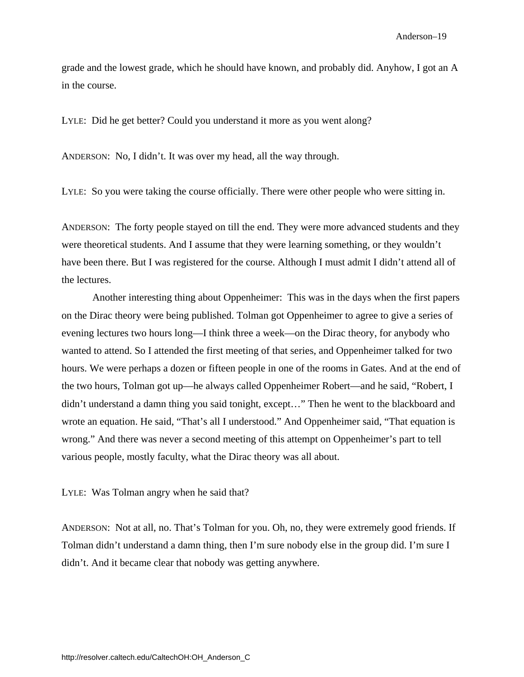grade and the lowest grade, which he should have known, and probably did. Anyhow, I got an A in the course.

LYLE: Did he get better? Could you understand it more as you went along?

ANDERSON: No, I didn't. It was over my head, all the way through.

LYLE: So you were taking the course officially. There were other people who were sitting in.

ANDERSON: The forty people stayed on till the end. They were more advanced students and they were theoretical students. And I assume that they were learning something, or they wouldn't have been there. But I was registered for the course. Although I must admit I didn't attend all of the lectures.

Another interesting thing about Oppenheimer: This was in the days when the first papers on the Dirac theory were being published. Tolman got Oppenheimer to agree to give a series of evening lectures two hours long—I think three a week—on the Dirac theory, for anybody who wanted to attend. So I attended the first meeting of that series, and Oppenheimer talked for two hours. We were perhaps a dozen or fifteen people in one of the rooms in Gates. And at the end of the two hours, Tolman got up—he always called Oppenheimer Robert—and he said, "Robert, I didn't understand a damn thing you said tonight, except…" Then he went to the blackboard and wrote an equation. He said, "That's all I understood." And Oppenheimer said, "That equation is wrong." And there was never a second meeting of this attempt on Oppenheimer's part to tell various people, mostly faculty, what the Dirac theory was all about.

LYLE: Was Tolman angry when he said that?

ANDERSON: Not at all, no. That's Tolman for you. Oh, no, they were extremely good friends. If Tolman didn't understand a damn thing, then I'm sure nobody else in the group did. I'm sure I didn't. And it became clear that nobody was getting anywhere.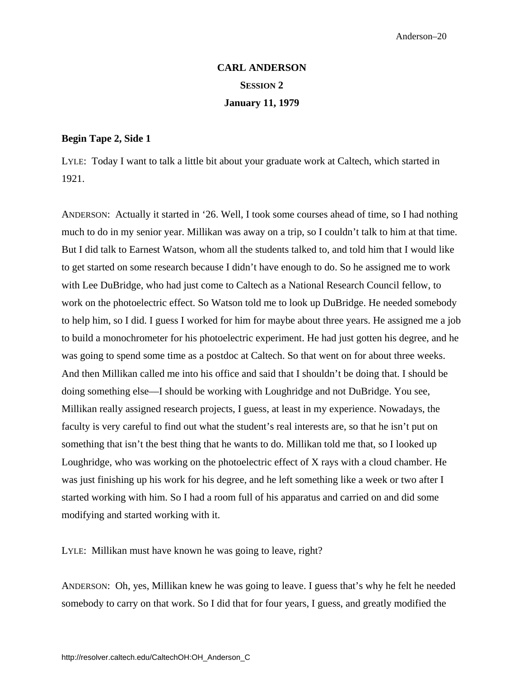# **CARL ANDERSON SESSION 2 January 11, 1979**

### <span id="page-26-0"></span>**Begin Tape 2, Side 1**

LYLE: Today I want to talk a little bit about your graduate work at Caltech, which started in 1921.

ANDERSON: Actually it started in '26. Well, I took some courses ahead of time, so I had nothing much to do in my senior year. Millikan was away on a trip, so I couldn't talk to him at that time. But I did talk to Earnest Watson, whom all the students talked to, and told him that I would like to get started on some research because I didn't have enough to do. So he assigned me to work with Lee DuBridge, who had just come to Caltech as a National Research Council fellow, to work on the photoelectric effect. So Watson told me to look up DuBridge. He needed somebody to help him, so I did. I guess I worked for him for maybe about three years. He assigned me a job to build a monochrometer for his photoelectric experiment. He had just gotten his degree, and he was going to spend some time as a postdoc at Caltech. So that went on for about three weeks. And then Millikan called me into his office and said that I shouldn't be doing that. I should be doing something else—I should be working with Loughridge and not DuBridge. You see, Millikan really assigned research projects, I guess, at least in my experience. Nowadays, the faculty is very careful to find out what the student's real interests are, so that he isn't put on something that isn't the best thing that he wants to do. Millikan told me that, so I looked up Loughridge, who was working on the photoelectric effect of X rays with a cloud chamber. He was just finishing up his work for his degree, and he left something like a week or two after I started working with him. So I had a room full of his apparatus and carried on and did some modifying and started working with it.

LYLE: Millikan must have known he was going to leave, right?

ANDERSON: Oh, yes, Millikan knew he was going to leave. I guess that's why he felt he needed somebody to carry on that work. So I did that for four years, I guess, and greatly modified the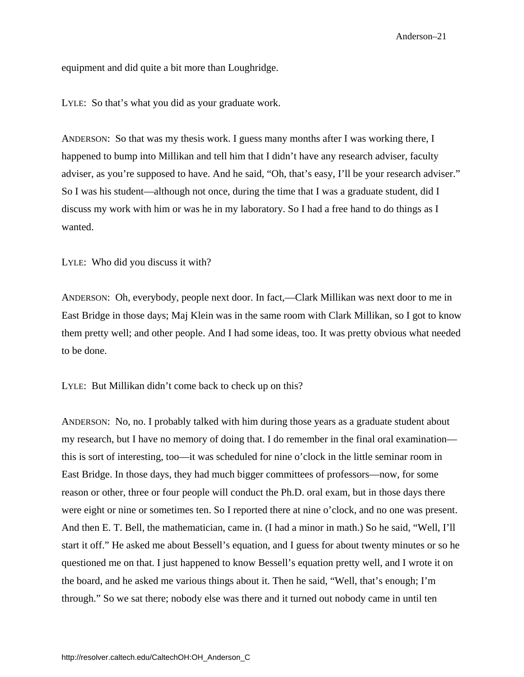equipment and did quite a bit more than Loughridge.

LYLE: So that's what you did as your graduate work.

ANDERSON: So that was my thesis work. I guess many months after I was working there, I happened to bump into Millikan and tell him that I didn't have any research adviser, faculty adviser, as you're supposed to have. And he said, "Oh, that's easy, I'll be your research adviser." So I was his student—although not once, during the time that I was a graduate student, did I discuss my work with him or was he in my laboratory. So I had a free hand to do things as I wanted.

LYLE: Who did you discuss it with?

ANDERSON: Oh, everybody, people next door. In fact,—Clark Millikan was next door to me in East Bridge in those days; Maj Klein was in the same room with Clark Millikan, so I got to know them pretty well; and other people. And I had some ideas, too. It was pretty obvious what needed to be done.

LYLE: But Millikan didn't come back to check up on this?

ANDERSON: No, no. I probably talked with him during those years as a graduate student about my research, but I have no memory of doing that. I do remember in the final oral examination this is sort of interesting, too—it was scheduled for nine o'clock in the little seminar room in East Bridge. In those days, they had much bigger committees of professors—now, for some reason or other, three or four people will conduct the Ph.D. oral exam, but in those days there were eight or nine or sometimes ten. So I reported there at nine o'clock, and no one was present. And then E. T. Bell, the mathematician, came in. (I had a minor in math.) So he said, "Well, I'll start it off." He asked me about Bessell's equation, and I guess for about twenty minutes or so he questioned me on that. I just happened to know Bessell's equation pretty well, and I wrote it on the board, and he asked me various things about it. Then he said, "Well, that's enough; I'm through." So we sat there; nobody else was there and it turned out nobody came in until ten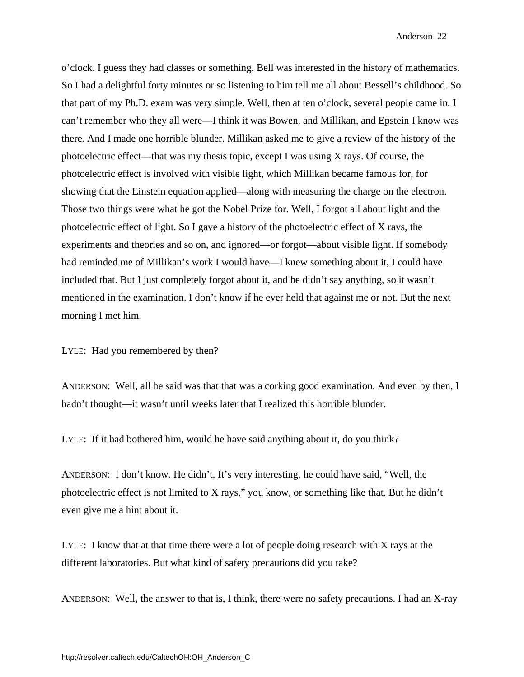o'clock. I guess they had classes or something. Bell was interested in the history of mathematics. So I had a delightful forty minutes or so listening to him tell me all about Bessell's childhood. So that part of my Ph.D. exam was very simple. Well, then at ten o'clock, several people came in. I can't remember who they all were—I think it was Bowen, and Millikan, and Epstein I know was there. And I made one horrible blunder. Millikan asked me to give a review of the history of the photoelectric effect—that was my thesis topic, except I was using X rays. Of course, the photoelectric effect is involved with visible light, which Millikan became famous for, for showing that the Einstein equation applied—along with measuring the charge on the electron. Those two things were what he got the Nobel Prize for. Well, I forgot all about light and the photoelectric effect of light. So I gave a history of the photoelectric effect of X rays, the experiments and theories and so on, and ignored—or forgot—about visible light. If somebody had reminded me of Millikan's work I would have—I knew something about it, I could have included that. But I just completely forgot about it, and he didn't say anything, so it wasn't mentioned in the examination. I don't know if he ever held that against me or not. But the next morning I met him.

LYLE: Had you remembered by then?

ANDERSON: Well, all he said was that that was a corking good examination. And even by then, I hadn't thought—it wasn't until weeks later that I realized this horrible blunder.

LYLE: If it had bothered him, would he have said anything about it, do you think?

ANDERSON: I don't know. He didn't. It's very interesting, he could have said, "Well, the photoelectric effect is not limited to X rays," you know, or something like that. But he didn't even give me a hint about it.

LYLE: I know that at that time there were a lot of people doing research with X rays at the different laboratories. But what kind of safety precautions did you take?

ANDERSON: Well, the answer to that is, I think, there were no safety precautions. I had an X-ray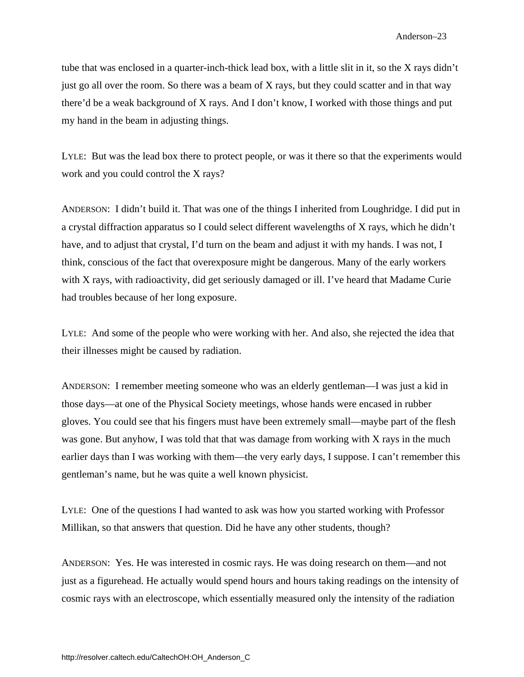tube that was enclosed in a quarter-inch-thick lead box, with a little slit in it, so the X rays didn't just go all over the room. So there was a beam of X rays, but they could scatter and in that way there'd be a weak background of X rays. And I don't know, I worked with those things and put my hand in the beam in adjusting things.

LYLE: But was the lead box there to protect people, or was it there so that the experiments would work and you could control the X rays?

ANDERSON: I didn't build it. That was one of the things I inherited from Loughridge. I did put in a crystal diffraction apparatus so I could select different wavelengths of X rays, which he didn't have, and to adjust that crystal, I'd turn on the beam and adjust it with my hands. I was not, I think, conscious of the fact that overexposure might be dangerous. Many of the early workers with X rays, with radioactivity, did get seriously damaged or ill. I've heard that Madame Curie had troubles because of her long exposure.

LYLE: And some of the people who were working with her. And also, she rejected the idea that their illnesses might be caused by radiation.

ANDERSON: I remember meeting someone who was an elderly gentleman—I was just a kid in those days—at one of the Physical Society meetings, whose hands were encased in rubber gloves. You could see that his fingers must have been extremely small—maybe part of the flesh was gone. But anyhow, I was told that that was damage from working with X rays in the much earlier days than I was working with them—the very early days, I suppose. I can't remember this gentleman's name, but he was quite a well known physicist.

LYLE: One of the questions I had wanted to ask was how you started working with Professor Millikan, so that answers that question. Did he have any other students, though?

ANDERSON: Yes. He was interested in cosmic rays. He was doing research on them—and not just as a figurehead. He actually would spend hours and hours taking readings on the intensity of cosmic rays with an electroscope, which essentially measured only the intensity of the radiation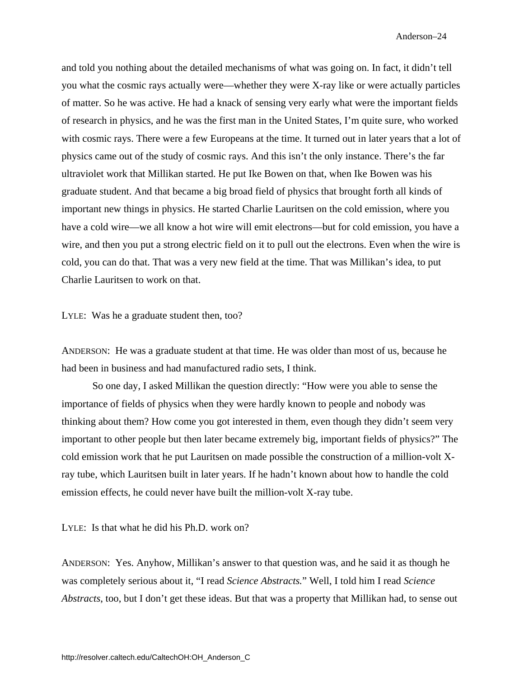and told you nothing about the detailed mechanisms of what was going on. In fact, it didn't tell you what the cosmic rays actually were—whether they were X-ray like or were actually particles of matter. So he was active. He had a knack of sensing very early what were the important fields of research in physics, and he was the first man in the United States, I'm quite sure, who worked with cosmic rays. There were a few Europeans at the time. It turned out in later years that a lot of physics came out of the study of cosmic rays. And this isn't the only instance. There's the far ultraviolet work that Millikan started. He put Ike Bowen on that, when Ike Bowen was his graduate student. And that became a big broad field of physics that brought forth all kinds of important new things in physics. He started Charlie Lauritsen on the cold emission, where you have a cold wire—we all know a hot wire will emit electrons—but for cold emission, you have a wire, and then you put a strong electric field on it to pull out the electrons. Even when the wire is cold, you can do that. That was a very new field at the time. That was Millikan's idea, to put Charlie Lauritsen to work on that.

LYLE: Was he a graduate student then, too?

ANDERSON: He was a graduate student at that time. He was older than most of us, because he had been in business and had manufactured radio sets, I think.

So one day, I asked Millikan the question directly: "How were you able to sense the importance of fields of physics when they were hardly known to people and nobody was thinking about them? How come you got interested in them, even though they didn't seem very important to other people but then later became extremely big, important fields of physics?" The cold emission work that he put Lauritsen on made possible the construction of a million-volt Xray tube, which Lauritsen built in later years. If he hadn't known about how to handle the cold emission effects, he could never have built the million-volt X-ray tube.

LYLE: Is that what he did his Ph.D. work on?

ANDERSON: Yes. Anyhow, Millikan's answer to that question was, and he said it as though he was completely serious about it, "I read *Science Abstracts.*" Well, I told him I read *Science Abstracts*, too, but I don't get these ideas. But that was a property that Millikan had, to sense out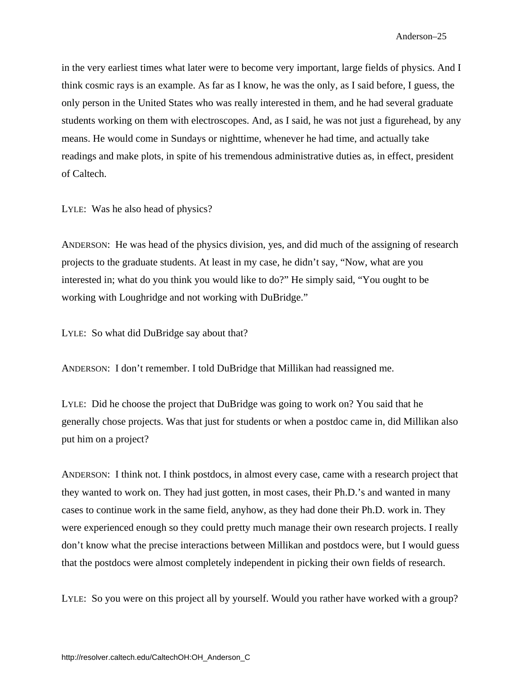in the very earliest times what later were to become very important, large fields of physics. And I think cosmic rays is an example. As far as I know, he was the only, as I said before, I guess, the only person in the United States who was really interested in them, and he had several graduate students working on them with electroscopes. And, as I said, he was not just a figurehead, by any means. He would come in Sundays or nighttime, whenever he had time, and actually take readings and make plots, in spite of his tremendous administrative duties as, in effect, president of Caltech.

LYLE: Was he also head of physics?

ANDERSON: He was head of the physics division, yes, and did much of the assigning of research projects to the graduate students. At least in my case, he didn't say, "Now, what are you interested in; what do you think you would like to do?" He simply said, "You ought to be working with Loughridge and not working with DuBridge."

LYLE: So what did DuBridge say about that?

ANDERSON: I don't remember. I told DuBridge that Millikan had reassigned me.

LYLE: Did he choose the project that DuBridge was going to work on? You said that he generally chose projects. Was that just for students or when a postdoc came in, did Millikan also put him on a project?

ANDERSON: I think not. I think postdocs, in almost every case, came with a research project that they wanted to work on. They had just gotten, in most cases, their Ph.D.'s and wanted in many cases to continue work in the same field, anyhow, as they had done their Ph.D. work in. They were experienced enough so they could pretty much manage their own research projects. I really don't know what the precise interactions between Millikan and postdocs were, but I would guess that the postdocs were almost completely independent in picking their own fields of research.

LYLE: So you were on this project all by yourself. Would you rather have worked with a group?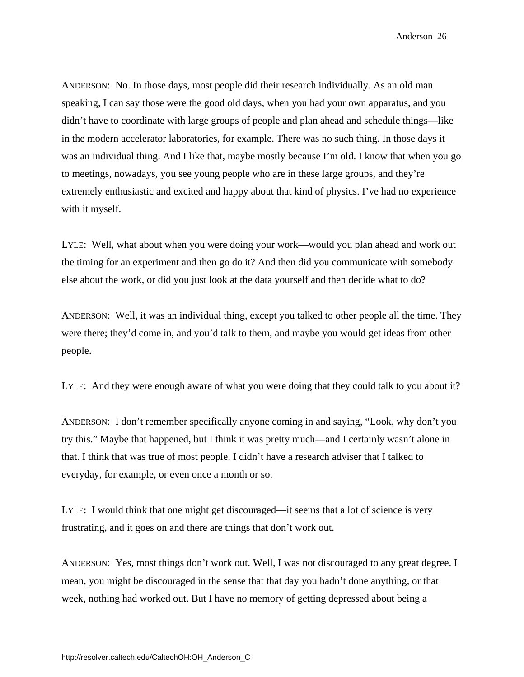ANDERSON: No. In those days, most people did their research individually. As an old man speaking, I can say those were the good old days, when you had your own apparatus, and you didn't have to coordinate with large groups of people and plan ahead and schedule things—like in the modern accelerator laboratories, for example. There was no such thing. In those days it was an individual thing. And I like that, maybe mostly because I'm old. I know that when you go to meetings, nowadays, you see young people who are in these large groups, and they're extremely enthusiastic and excited and happy about that kind of physics. I've had no experience with it myself.

LYLE: Well, what about when you were doing your work—would you plan ahead and work out the timing for an experiment and then go do it? And then did you communicate with somebody else about the work, or did you just look at the data yourself and then decide what to do?

ANDERSON: Well, it was an individual thing, except you talked to other people all the time. They were there; they'd come in, and you'd talk to them, and maybe you would get ideas from other people.

LYLE: And they were enough aware of what you were doing that they could talk to you about it?

ANDERSON: I don't remember specifically anyone coming in and saying, "Look, why don't you try this." Maybe that happened, but I think it was pretty much—and I certainly wasn't alone in that. I think that was true of most people. I didn't have a research adviser that I talked to everyday, for example, or even once a month or so.

LYLE: I would think that one might get discouraged—it seems that a lot of science is very frustrating, and it goes on and there are things that don't work out.

ANDERSON: Yes, most things don't work out. Well, I was not discouraged to any great degree. I mean, you might be discouraged in the sense that that day you hadn't done anything, or that week, nothing had worked out. But I have no memory of getting depressed about being a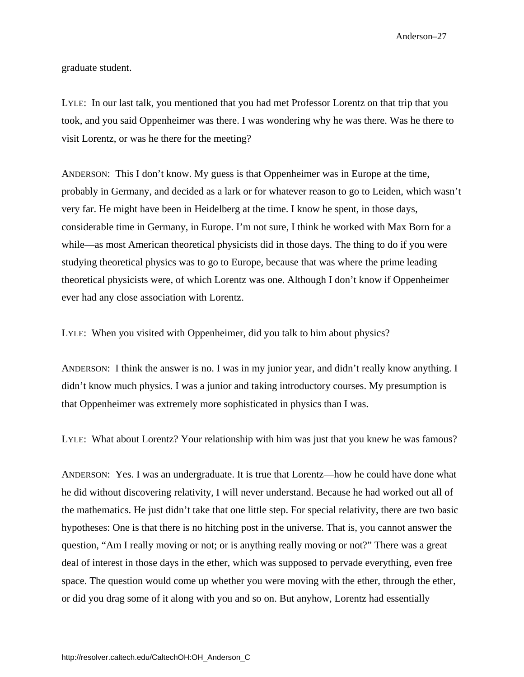graduate student.

LYLE: In our last talk, you mentioned that you had met Professor Lorentz on that trip that you took, and you said Oppenheimer was there. I was wondering why he was there. Was he there to visit Lorentz, or was he there for the meeting?

ANDERSON: This I don't know. My guess is that Oppenheimer was in Europe at the time, probably in Germany, and decided as a lark or for whatever reason to go to Leiden, which wasn't very far. He might have been in Heidelberg at the time. I know he spent, in those days, considerable time in Germany, in Europe. I'm not sure, I think he worked with Max Born for a while—as most American theoretical physicists did in those days. The thing to do if you were studying theoretical physics was to go to Europe, because that was where the prime leading theoretical physicists were, of which Lorentz was one. Although I don't know if Oppenheimer ever had any close association with Lorentz.

LYLE: When you visited with Oppenheimer, did you talk to him about physics?

ANDERSON: I think the answer is no. I was in my junior year, and didn't really know anything. I didn't know much physics. I was a junior and taking introductory courses. My presumption is that Oppenheimer was extremely more sophisticated in physics than I was.

LYLE: What about Lorentz? Your relationship with him was just that you knew he was famous?

ANDERSON: Yes. I was an undergraduate. It is true that Lorentz—how he could have done what he did without discovering relativity, I will never understand. Because he had worked out all of the mathematics. He just didn't take that one little step. For special relativity, there are two basic hypotheses: One is that there is no hitching post in the universe. That is, you cannot answer the question, "Am I really moving or not; or is anything really moving or not?" There was a great deal of interest in those days in the ether, which was supposed to pervade everything, even free space. The question would come up whether you were moving with the ether, through the ether, or did you drag some of it along with you and so on. But anyhow, Lorentz had essentially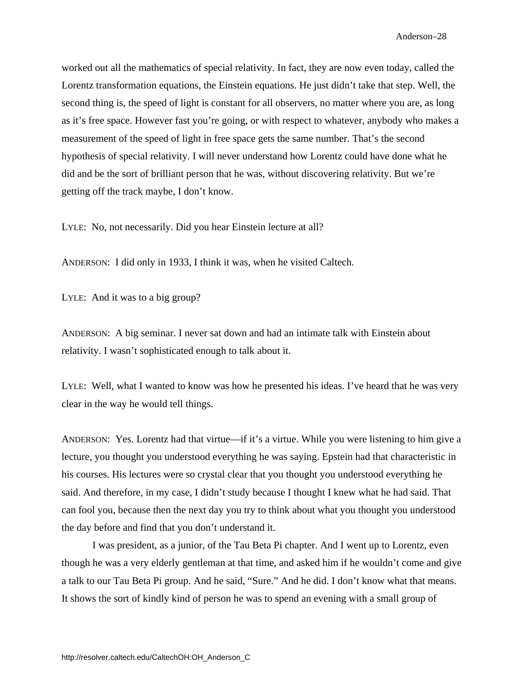worked out all the mathematics of special relativity. In fact, they are now even today, called the Lorentz transformation equations, the Einstein equations. He just didn't take that step. Well, the second thing is, the speed of light is constant for all observers, no matter where you are, as long as it's free space. However fast you're going, or with respect to whatever, anybody who makes a measurement of the speed of light in free space gets the same number. That's the second hypothesis of special relativity. I will never understand how Lorentz could have done what he did and be the sort of brilliant person that he was, without discovering relativity. But we're getting off the track maybe, I don't know.

LYLE: No, not necessarily. Did you hear Einstein lecture at all?

ANDERSON: I did only in 1933, I think it was, when he visited Caltech.

LYLE: And it was to a big group?

ANDERSON: A big seminar. I never sat down and had an intimate talk with Einstein about relativity. I wasn't sophisticated enough to talk about it.

LYLE: Well, what I wanted to know was how he presented his ideas. I've heard that he was very clear in the way he would tell things.

ANDERSON: Yes. Lorentz had that virtue—if it's a virtue. While you were listening to him give a lecture, you thought you understood everything he was saying. Epstein had that characteristic in his courses. His lectures were so crystal clear that you thought you understood everything he said. And therefore, in my case, I didn't study because I thought I knew what he had said. That can fool you, because then the next day you try to think about what you thought you understood the day before and find that you don't understand it.

I was president, as a junior, of the Tau Beta Pi chapter. And I went up to Lorentz, even though he was a very elderly gentleman at that time, and asked him if he wouldn't come and give a talk to our Tau Beta Pi group. And he said, "Sure." And he did. I don't know what that means. It shows the sort of kindly kind of person he was to spend an evening with a small group of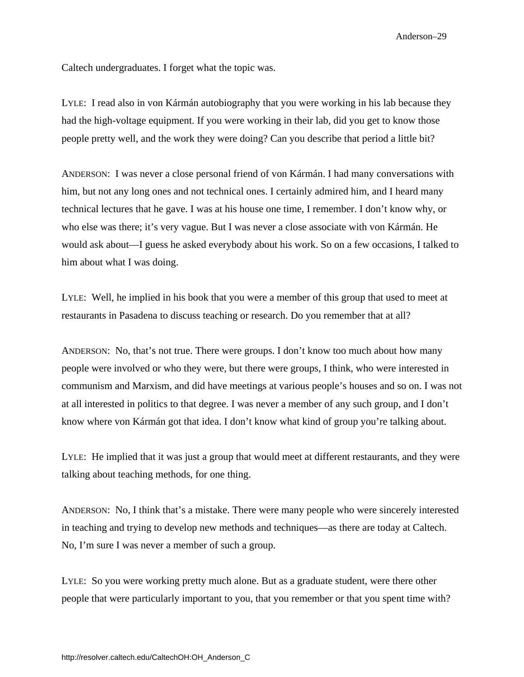Caltech undergraduates. I forget what the topic was.

LYLE: I read also in von Kármán autobiography that you were working in his lab because they had the high-voltage equipment. If you were working in their lab, did you get to know those people pretty well, and the work they were doing? Can you describe that period a little bit?

ANDERSON: I was never a close personal friend of von Kármán. I had many conversations with him, but not any long ones and not technical ones. I certainly admired him, and I heard many technical lectures that he gave. I was at his house one time, I remember. I don't know why, or who else was there; it's very vague. But I was never a close associate with von Kármán. He would ask about—I guess he asked everybody about his work. So on a few occasions, I talked to him about what I was doing.

LYLE: Well, he implied in his book that you were a member of this group that used to meet at restaurants in Pasadena to discuss teaching or research. Do you remember that at all?

ANDERSON: No, that's not true. There were groups. I don't know too much about how many people were involved or who they were, but there were groups, I think, who were interested in communism and Marxism, and did have meetings at various people's houses and so on. I was not at all interested in politics to that degree. I was never a member of any such group, and I don't know where von Kármán got that idea. I don't know what kind of group you're talking about.

LYLE: He implied that it was just a group that would meet at different restaurants, and they were talking about teaching methods, for one thing.

ANDERSON: No, I think that's a mistake. There were many people who were sincerely interested in teaching and trying to develop new methods and techniques—as there are today at Caltech. No, I'm sure I was never a member of such a group.

LYLE: So you were working pretty much alone. But as a graduate student, were there other people that were particularly important to you, that you remember or that you spent time with?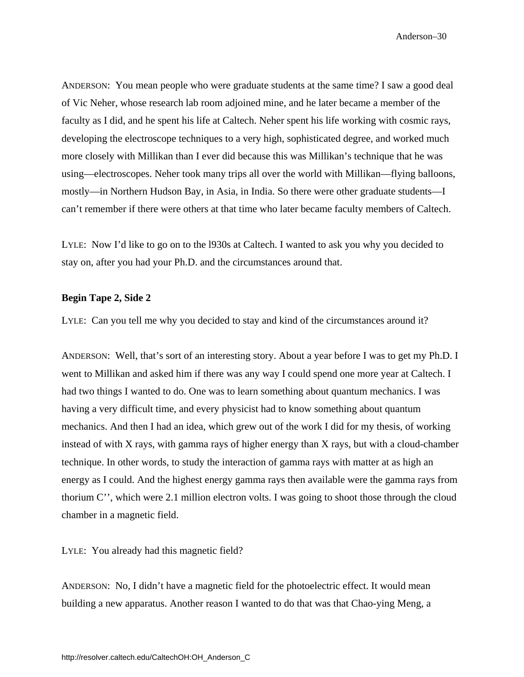ANDERSON: You mean people who were graduate students at the same time? I saw a good deal of Vic Neher, whose research lab room adjoined mine, and he later became a member of the faculty as I did, and he spent his life at Caltech. Neher spent his life working with cosmic rays, developing the electroscope techniques to a very high, sophisticated degree, and worked much more closely with Millikan than I ever did because this was Millikan's technique that he was using—electroscopes. Neher took many trips all over the world with Millikan—flying balloons, mostly—in Northern Hudson Bay, in Asia, in India. So there were other graduate students—I can't remember if there were others at that time who later became faculty members of Caltech.

LYLE: Now I'd like to go on to the l930s at Caltech. I wanted to ask you why you decided to stay on, after you had your Ph.D. and the circumstances around that.

## **Begin Tape 2, Side 2**

LYLE: Can you tell me why you decided to stay and kind of the circumstances around it?

ANDERSON: Well, that's sort of an interesting story. About a year before I was to get my Ph.D. I went to Millikan and asked him if there was any way I could spend one more year at Caltech. I had two things I wanted to do. One was to learn something about quantum mechanics. I was having a very difficult time, and every physicist had to know something about quantum mechanics. And then I had an idea, which grew out of the work I did for my thesis, of working instead of with X rays, with gamma rays of higher energy than X rays, but with a cloud-chamber technique. In other words, to study the interaction of gamma rays with matter at as high an energy as I could. And the highest energy gamma rays then available were the gamma rays from thorium C'', which were 2.1 million electron volts. I was going to shoot those through the cloud chamber in a magnetic field.

LYLE: You already had this magnetic field?

ANDERSON: No, I didn't have a magnetic field for the photoelectric effect. It would mean building a new apparatus. Another reason I wanted to do that was that Chao-ying Meng, a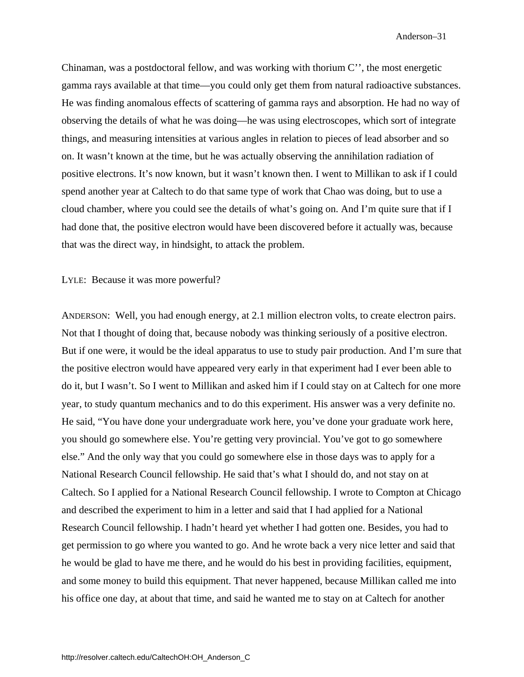Chinaman, was a postdoctoral fellow, and was working with thorium C'', the most energetic gamma rays available at that time—you could only get them from natural radioactive substances. He was finding anomalous effects of scattering of gamma rays and absorption. He had no way of observing the details of what he was doing—he was using electroscopes, which sort of integrate things, and measuring intensities at various angles in relation to pieces of lead absorber and so on. It wasn't known at the time, but he was actually observing the annihilation radiation of positive electrons. It's now known, but it wasn't known then. I went to Millikan to ask if I could spend another year at Caltech to do that same type of work that Chao was doing, but to use a cloud chamber, where you could see the details of what's going on. And I'm quite sure that if I had done that, the positive electron would have been discovered before it actually was, because that was the direct way, in hindsight, to attack the problem.

LYLE: Because it was more powerful?

ANDERSON: Well, you had enough energy, at 2.1 million electron volts, to create electron pairs. Not that I thought of doing that, because nobody was thinking seriously of a positive electron. But if one were, it would be the ideal apparatus to use to study pair production. And I'm sure that the positive electron would have appeared very early in that experiment had I ever been able to do it, but I wasn't. So I went to Millikan and asked him if I could stay on at Caltech for one more year, to study quantum mechanics and to do this experiment. His answer was a very definite no. He said, "You have done your undergraduate work here, you've done your graduate work here, you should go somewhere else. You're getting very provincial. You've got to go somewhere else." And the only way that you could go somewhere else in those days was to apply for a National Research Council fellowship. He said that's what I should do, and not stay on at Caltech. So I applied for a National Research Council fellowship. I wrote to Compton at Chicago and described the experiment to him in a letter and said that I had applied for a National Research Council fellowship. I hadn't heard yet whether I had gotten one. Besides, you had to get permission to go where you wanted to go. And he wrote back a very nice letter and said that he would be glad to have me there, and he would do his best in providing facilities, equipment, and some money to build this equipment. That never happened, because Millikan called me into his office one day, at about that time, and said he wanted me to stay on at Caltech for another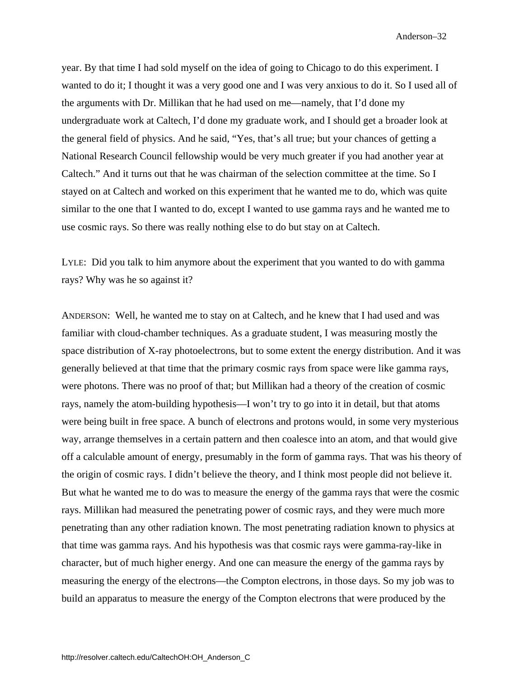year. By that time I had sold myself on the idea of going to Chicago to do this experiment. I wanted to do it; I thought it was a very good one and I was very anxious to do it. So I used all of the arguments with Dr. Millikan that he had used on me—namely, that I'd done my undergraduate work at Caltech, I'd done my graduate work, and I should get a broader look at the general field of physics. And he said, "Yes, that's all true; but your chances of getting a National Research Council fellowship would be very much greater if you had another year at Caltech." And it turns out that he was chairman of the selection committee at the time. So I stayed on at Caltech and worked on this experiment that he wanted me to do, which was quite similar to the one that I wanted to do, except I wanted to use gamma rays and he wanted me to use cosmic rays. So there was really nothing else to do but stay on at Caltech.

LYLE: Did you talk to him anymore about the experiment that you wanted to do with gamma rays? Why was he so against it?

ANDERSON: Well, he wanted me to stay on at Caltech, and he knew that I had used and was familiar with cloud-chamber techniques. As a graduate student, I was measuring mostly the space distribution of X-ray photoelectrons, but to some extent the energy distribution. And it was generally believed at that time that the primary cosmic rays from space were like gamma rays, were photons. There was no proof of that; but Millikan had a theory of the creation of cosmic rays, namely the atom-building hypothesis—I won't try to go into it in detail, but that atoms were being built in free space. A bunch of electrons and protons would, in some very mysterious way, arrange themselves in a certain pattern and then coalesce into an atom, and that would give off a calculable amount of energy, presumably in the form of gamma rays. That was his theory of the origin of cosmic rays. I didn't believe the theory, and I think most people did not believe it. But what he wanted me to do was to measure the energy of the gamma rays that were the cosmic rays. Millikan had measured the penetrating power of cosmic rays, and they were much more penetrating than any other radiation known. The most penetrating radiation known to physics at that time was gamma rays. And his hypothesis was that cosmic rays were gamma-ray-like in character, but of much higher energy. And one can measure the energy of the gamma rays by measuring the energy of the electrons—the Compton electrons, in those days. So my job was to build an apparatus to measure the energy of the Compton electrons that were produced by the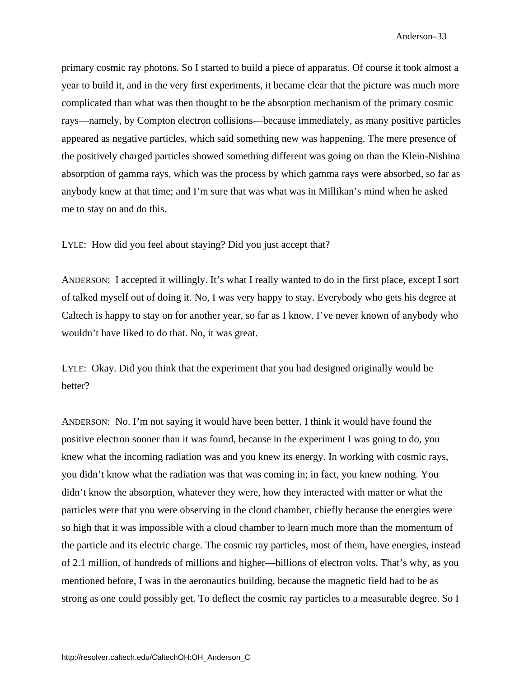primary cosmic ray photons. So I started to build a piece of apparatus. Of course it took almost a year to build it, and in the very first experiments, it became clear that the picture was much more complicated than what was then thought to be the absorption mechanism of the primary cosmic rays—namely, by Compton electron collisions—because immediately, as many positive particles appeared as negative particles, which said something new was happening. The mere presence of the positively charged particles showed something different was going on than the Klein-Nishina absorption of gamma rays, which was the process by which gamma rays were absorbed, so far as anybody knew at that time; and I'm sure that was what was in Millikan's mind when he asked me to stay on and do this.

LYLE: How did you feel about staying? Did you just accept that?

ANDERSON: I accepted it willingly. It's what I really wanted to do in the first place, except I sort of talked myself out of doing it. No, I was very happy to stay. Everybody who gets his degree at Caltech is happy to stay on for another year, so far as I know. I've never known of anybody who wouldn't have liked to do that. No, it was great.

LYLE: Okay. Did you think that the experiment that you had designed originally would be better?

ANDERSON: No. I'm not saying it would have been better. I think it would have found the positive electron sooner than it was found, because in the experiment I was going to do, you knew what the incoming radiation was and you knew its energy. In working with cosmic rays, you didn't know what the radiation was that was coming in; in fact, you knew nothing. You didn't know the absorption, whatever they were, how they interacted with matter or what the particles were that you were observing in the cloud chamber, chiefly because the energies were so high that it was impossible with a cloud chamber to learn much more than the momentum of the particle and its electric charge. The cosmic ray particles, most of them, have energies, instead of 2.1 million, of hundreds of millions and higher—billions of electron volts. That's why, as you mentioned before, I was in the aeronautics building, because the magnetic field had to be as strong as one could possibly get. To deflect the cosmic ray particles to a measurable degree. So I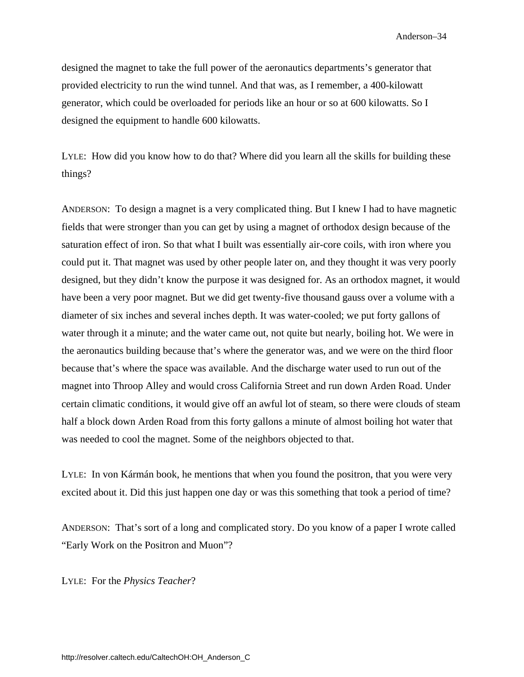designed the magnet to take the full power of the aeronautics departments's generator that provided electricity to run the wind tunnel. And that was, as I remember, a 400-kilowatt generator, which could be overloaded for periods like an hour or so at 600 kilowatts. So I designed the equipment to handle 600 kilowatts.

LYLE: How did you know how to do that? Where did you learn all the skills for building these things?

ANDERSON: To design a magnet is a very complicated thing. But I knew I had to have magnetic fields that were stronger than you can get by using a magnet of orthodox design because of the saturation effect of iron. So that what I built was essentially air-core coils, with iron where you could put it. That magnet was used by other people later on, and they thought it was very poorly designed, but they didn't know the purpose it was designed for. As an orthodox magnet, it would have been a very poor magnet. But we did get twenty-five thousand gauss over a volume with a diameter of six inches and several inches depth. It was water-cooled; we put forty gallons of water through it a minute; and the water came out, not quite but nearly, boiling hot. We were in the aeronautics building because that's where the generator was, and we were on the third floor because that's where the space was available. And the discharge water used to run out of the magnet into Throop Alley and would cross California Street and run down Arden Road. Under certain climatic conditions, it would give off an awful lot of steam, so there were clouds of steam half a block down Arden Road from this forty gallons a minute of almost boiling hot water that was needed to cool the magnet. Some of the neighbors objected to that.

LYLE: In von Kármán book, he mentions that when you found the positron, that you were very excited about it. Did this just happen one day or was this something that took a period of time?

ANDERSON: That's sort of a long and complicated story. Do you know of a paper I wrote called "Early Work on the Positron and Muon"?

LYLE: For the *Physics Teacher*?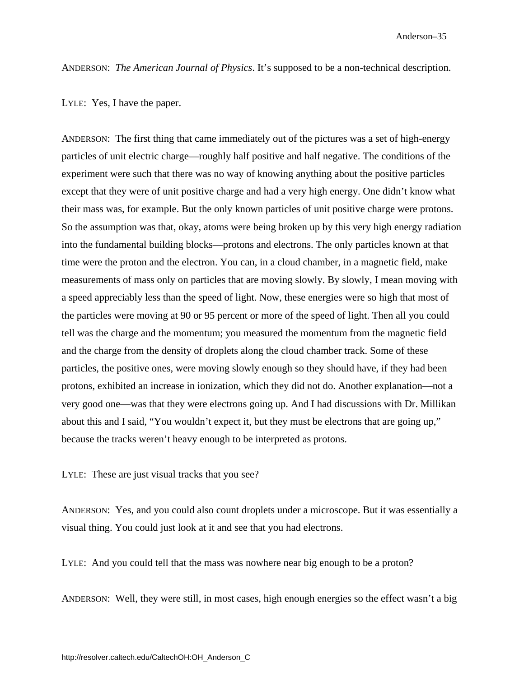ANDERSON: *The American Journal of Physics*. It's supposed to be a non-technical description.

LYLE: Yes, I have the paper.

ANDERSON: The first thing that came immediately out of the pictures was a set of high-energy particles of unit electric charge—roughly half positive and half negative. The conditions of the experiment were such that there was no way of knowing anything about the positive particles except that they were of unit positive charge and had a very high energy. One didn't know what their mass was, for example. But the only known particles of unit positive charge were protons. So the assumption was that, okay, atoms were being broken up by this very high energy radiation into the fundamental building blocks—protons and electrons. The only particles known at that time were the proton and the electron. You can, in a cloud chamber, in a magnetic field, make measurements of mass only on particles that are moving slowly. By slowly, I mean moving with a speed appreciably less than the speed of light. Now, these energies were so high that most of the particles were moving at 90 or 95 percent or more of the speed of light. Then all you could tell was the charge and the momentum; you measured the momentum from the magnetic field and the charge from the density of droplets along the cloud chamber track. Some of these particles, the positive ones, were moving slowly enough so they should have, if they had been protons, exhibited an increase in ionization, which they did not do. Another explanation—not a very good one—was that they were electrons going up. And I had discussions with Dr. Millikan about this and I said, "You wouldn't expect it, but they must be electrons that are going up," because the tracks weren't heavy enough to be interpreted as protons.

LYLE: These are just visual tracks that you see?

ANDERSON: Yes, and you could also count droplets under a microscope. But it was essentially a visual thing. You could just look at it and see that you had electrons.

LYLE: And you could tell that the mass was nowhere near big enough to be a proton?

ANDERSON: Well, they were still, in most cases, high enough energies so the effect wasn't a big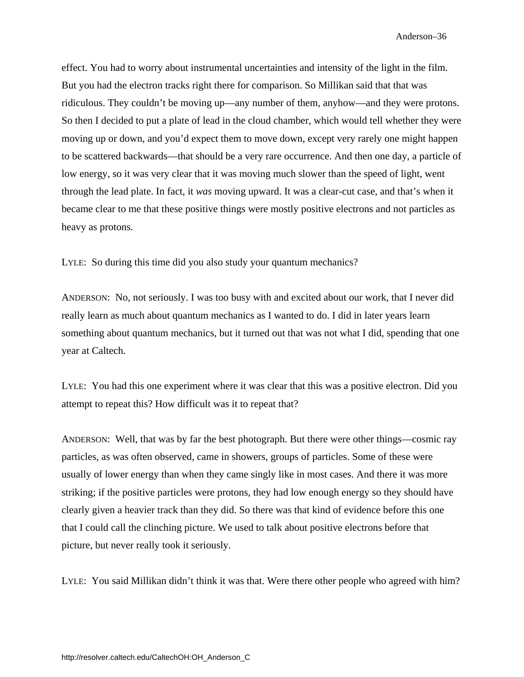effect. You had to worry about instrumental uncertainties and intensity of the light in the film. But you had the electron tracks right there for comparison. So Millikan said that that was ridiculous. They couldn't be moving up—any number of them, anyhow—and they were protons. So then I decided to put a plate of lead in the cloud chamber, which would tell whether they were moving up or down, and you'd expect them to move down, except very rarely one might happen to be scattered backwards—that should be a very rare occurrence. And then one day, a particle of low energy, so it was very clear that it was moving much slower than the speed of light, went through the lead plate. In fact, it *was* moving upward. It was a clear-cut case, and that's when it became clear to me that these positive things were mostly positive electrons and not particles as heavy as protons.

LYLE: So during this time did you also study your quantum mechanics?

ANDERSON: No, not seriously. I was too busy with and excited about our work, that I never did really learn as much about quantum mechanics as I wanted to do. I did in later years learn something about quantum mechanics, but it turned out that was not what I did, spending that one year at Caltech.

LYLE: You had this one experiment where it was clear that this was a positive electron. Did you attempt to repeat this? How difficult was it to repeat that?

ANDERSON: Well, that was by far the best photograph. But there were other things—cosmic ray particles, as was often observed, came in showers, groups of particles. Some of these were usually of lower energy than when they came singly like in most cases. And there it was more striking; if the positive particles were protons, they had low enough energy so they should have clearly given a heavier track than they did. So there was that kind of evidence before this one that I could call the clinching picture. We used to talk about positive electrons before that picture, but never really took it seriously.

LYLE: You said Millikan didn't think it was that. Were there other people who agreed with him?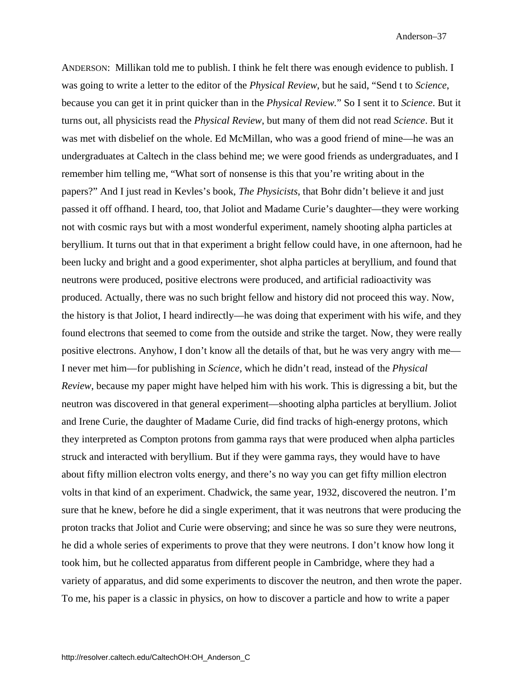ANDERSON: Millikan told me to publish. I think he felt there was enough evidence to publish. I was going to write a letter to the editor of the *Physical Review*, but he said, "Send t to *Science*, because you can get it in print quicker than in the *Physical Review.*" So I sent it to *Science*. But it turns out, all physicists read the *Physical Review*, but many of them did not read *Science*. But it was met with disbelief on the whole. Ed McMillan, who was a good friend of mine—he was an undergraduates at Caltech in the class behind me; we were good friends as undergraduates, and I remember him telling me, "What sort of nonsense is this that you're writing about in the papers?" And I just read in Kevles's book, *The Physicists*, that Bohr didn't believe it and just passed it off offhand. I heard, too, that Joliot and Madame Curie's daughter—they were working not with cosmic rays but with a most wonderful experiment, namely shooting alpha particles at beryllium. It turns out that in that experiment a bright fellow could have, in one afternoon, had he been lucky and bright and a good experimenter, shot alpha particles at beryllium, and found that neutrons were produced, positive electrons were produced, and artificial radioactivity was produced. Actually, there was no such bright fellow and history did not proceed this way. Now, the history is that Joliot, I heard indirectly—he was doing that experiment with his wife, and they found electrons that seemed to come from the outside and strike the target. Now, they were really positive electrons. Anyhow, I don't know all the details of that, but he was very angry with me— I never met him—for publishing in *Science*, which he didn't read, instead of the *Physical Review*, because my paper might have helped him with his work. This is digressing a bit, but the neutron was discovered in that general experiment—shooting alpha particles at beryllium. Joliot and Irene Curie, the daughter of Madame Curie, did find tracks of high-energy protons, which they interpreted as Compton protons from gamma rays that were produced when alpha particles struck and interacted with beryllium. But if they were gamma rays, they would have to have about fifty million electron volts energy, and there's no way you can get fifty million electron volts in that kind of an experiment. Chadwick, the same year, 1932, discovered the neutron. I'm sure that he knew, before he did a single experiment, that it was neutrons that were producing the proton tracks that Joliot and Curie were observing; and since he was so sure they were neutrons, he did a whole series of experiments to prove that they were neutrons. I don't know how long it took him, but he collected apparatus from different people in Cambridge, where they had a variety of apparatus, and did some experiments to discover the neutron, and then wrote the paper. To me, his paper is a classic in physics, on how to discover a particle and how to write a paper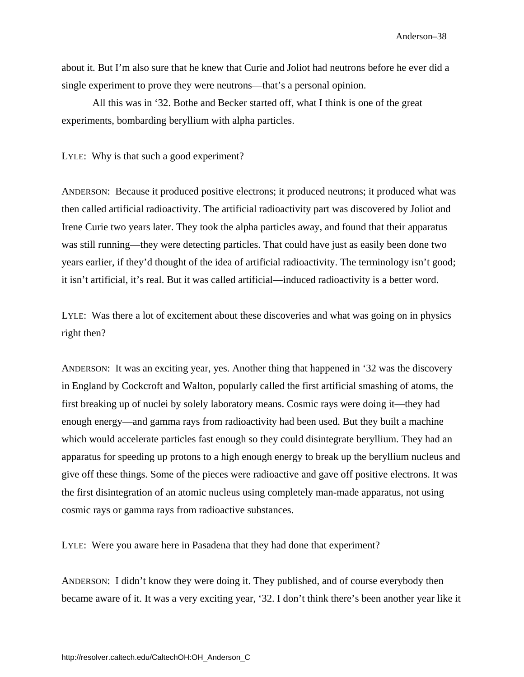about it. But I'm also sure that he knew that Curie and Joliot had neutrons before he ever did a single experiment to prove they were neutrons—that's a personal opinion.

All this was in '32. Bothe and Becker started off, what I think is one of the great experiments, bombarding beryllium with alpha particles.

LYLE: Why is that such a good experiment?

ANDERSON: Because it produced positive electrons; it produced neutrons; it produced what was then called artificial radioactivity. The artificial radioactivity part was discovered by Joliot and Irene Curie two years later. They took the alpha particles away, and found that their apparatus was still running—they were detecting particles. That could have just as easily been done two years earlier, if they'd thought of the idea of artificial radioactivity. The terminology isn't good; it isn't artificial, it's real. But it was called artificial—induced radioactivity is a better word.

LYLE: Was there a lot of excitement about these discoveries and what was going on in physics right then?

ANDERSON: It was an exciting year, yes. Another thing that happened in '32 was the discovery in England by Cockcroft and Walton, popularly called the first artificial smashing of atoms, the first breaking up of nuclei by solely laboratory means. Cosmic rays were doing it—they had enough energy—and gamma rays from radioactivity had been used. But they built a machine which would accelerate particles fast enough so they could disintegrate beryllium. They had an apparatus for speeding up protons to a high enough energy to break up the beryllium nucleus and give off these things. Some of the pieces were radioactive and gave off positive electrons. It was the first disintegration of an atomic nucleus using completely man-made apparatus, not using cosmic rays or gamma rays from radioactive substances.

LYLE: Were you aware here in Pasadena that they had done that experiment?

ANDERSON: I didn't know they were doing it. They published, and of course everybody then became aware of it. It was a very exciting year, '32. I don't think there's been another year like it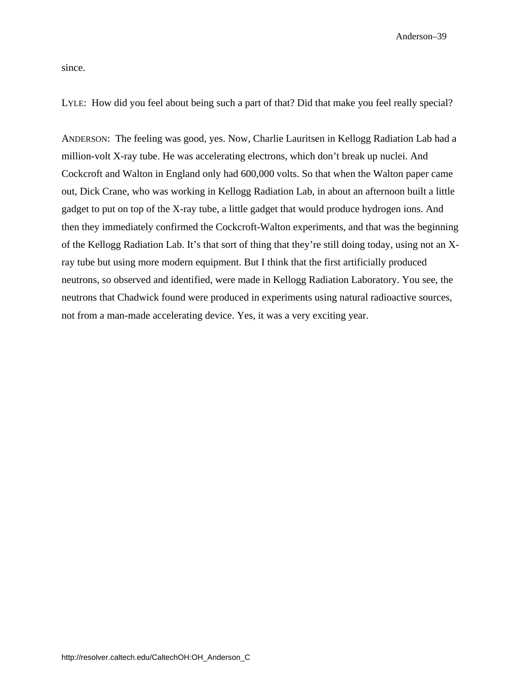since.

LYLE: How did you feel about being such a part of that? Did that make you feel really special?

ANDERSON: The feeling was good, yes. Now, Charlie Lauritsen in Kellogg Radiation Lab had a million-volt X-ray tube. He was accelerating electrons, which don't break up nuclei. And Cockcroft and Walton in England only had 600,000 volts. So that when the Walton paper came out, Dick Crane, who was working in Kellogg Radiation Lab, in about an afternoon built a little gadget to put on top of the X-ray tube, a little gadget that would produce hydrogen ions. And then they immediately confirmed the Cockcroft-Walton experiments, and that was the beginning of the Kellogg Radiation Lab. It's that sort of thing that they're still doing today, using not an Xray tube but using more modern equipment. But I think that the first artificially produced neutrons, so observed and identified, were made in Kellogg Radiation Laboratory. You see, the neutrons that Chadwick found were produced in experiments using natural radioactive sources, not from a man-made accelerating device. Yes, it was a very exciting year.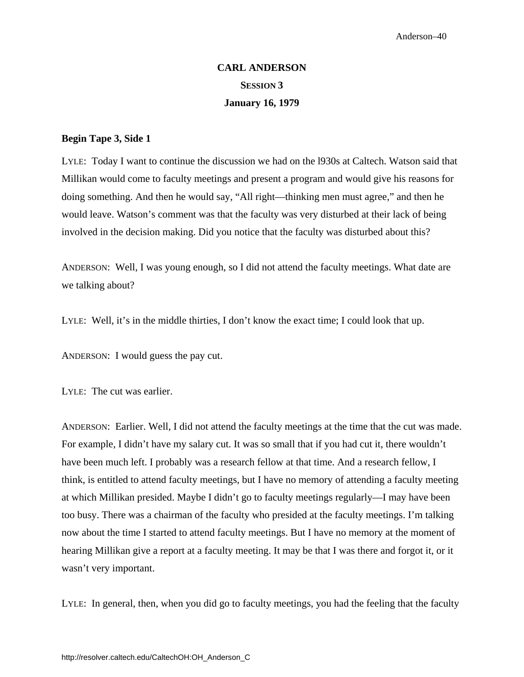# **CARL ANDERSON SESSION 3 January 16, 1979**

#### **Begin Tape 3, Side 1**

LYLE: Today I want to continue the discussion we had on the l930s at Caltech. Watson said that Millikan would come to faculty meetings and present a program and would give his reasons for doing something. And then he would say, "All right—thinking men must agree," and then he would leave. Watson's comment was that the faculty was very disturbed at their lack of being involved in the decision making. Did you notice that the faculty was disturbed about this?

ANDERSON: Well, I was young enough, so I did not attend the faculty meetings. What date are we talking about?

LYLE: Well, it's in the middle thirties, I don't know the exact time; I could look that up.

ANDERSON: I would guess the pay cut.

LYLE: The cut was earlier.

ANDERSON: Earlier. Well, I did not attend the faculty meetings at the time that the cut was made. For example, I didn't have my salary cut. It was so small that if you had cut it, there wouldn't have been much left. I probably was a research fellow at that time. And a research fellow, I think, is entitled to attend faculty meetings, but I have no memory of attending a faculty meeting at which Millikan presided. Maybe I didn't go to faculty meetings regularly—I may have been too busy. There was a chairman of the faculty who presided at the faculty meetings. I'm talking now about the time I started to attend faculty meetings. But I have no memory at the moment of hearing Millikan give a report at a faculty meeting. It may be that I was there and forgot it, or it wasn't very important.

LYLE: In general, then, when you did go to faculty meetings, you had the feeling that the faculty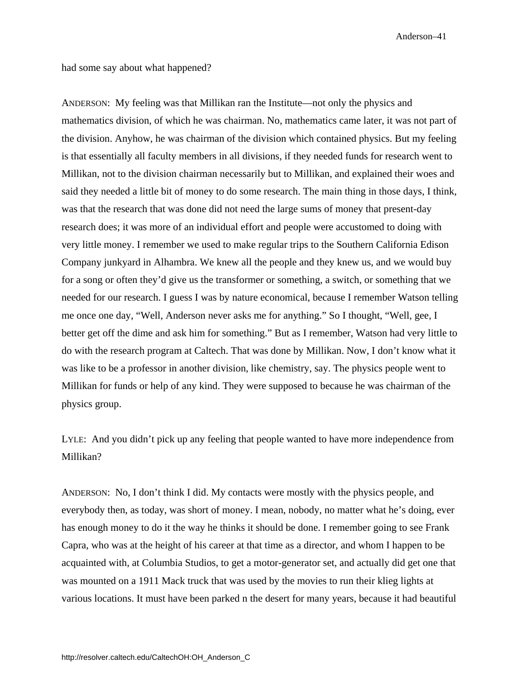had some say about what happened?

ANDERSON: My feeling was that Millikan ran the Institute—not only the physics and mathematics division, of which he was chairman. No, mathematics came later, it was not part of the division. Anyhow, he was chairman of the division which contained physics. But my feeling is that essentially all faculty members in all divisions, if they needed funds for research went to Millikan, not to the division chairman necessarily but to Millikan, and explained their woes and said they needed a little bit of money to do some research. The main thing in those days, I think, was that the research that was done did not need the large sums of money that present-day research does; it was more of an individual effort and people were accustomed to doing with very little money. I remember we used to make regular trips to the Southern California Edison Company junkyard in Alhambra. We knew all the people and they knew us, and we would buy for a song or often they'd give us the transformer or something, a switch, or something that we needed for our research. I guess I was by nature economical, because I remember Watson telling me once one day, "Well, Anderson never asks me for anything." So I thought, "Well, gee, I better get off the dime and ask him for something." But as I remember, Watson had very little to do with the research program at Caltech. That was done by Millikan. Now, I don't know what it was like to be a professor in another division, like chemistry, say. The physics people went to Millikan for funds or help of any kind. They were supposed to because he was chairman of the physics group.

LYLE: And you didn't pick up any feeling that people wanted to have more independence from Millikan?

ANDERSON: No, I don't think I did. My contacts were mostly with the physics people, and everybody then, as today, was short of money. I mean, nobody, no matter what he's doing, ever has enough money to do it the way he thinks it should be done. I remember going to see Frank Capra, who was at the height of his career at that time as a director, and whom I happen to be acquainted with, at Columbia Studios, to get a motor-generator set, and actually did get one that was mounted on a 1911 Mack truck that was used by the movies to run their klieg lights at various locations. It must have been parked n the desert for many years, because it had beautiful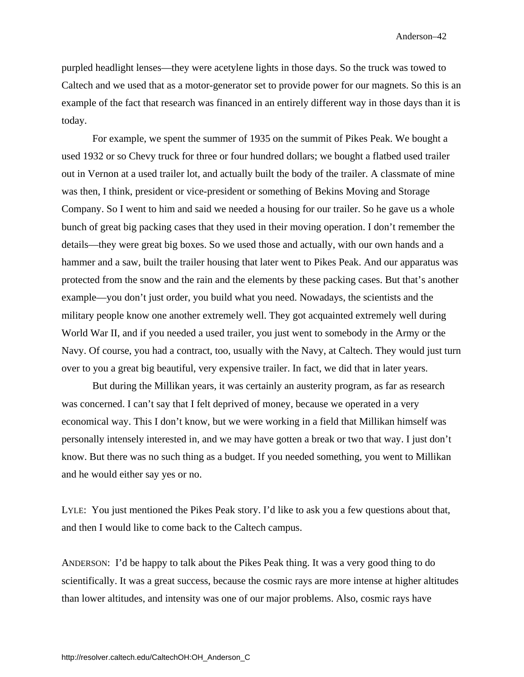purpled headlight lenses—they were acetylene lights in those days. So the truck was towed to Caltech and we used that as a motor-generator set to provide power for our magnets. So this is an example of the fact that research was financed in an entirely different way in those days than it is today.

For example, we spent the summer of 1935 on the summit of Pikes Peak. We bought a used 1932 or so Chevy truck for three or four hundred dollars; we bought a flatbed used trailer out in Vernon at a used trailer lot, and actually built the body of the trailer. A classmate of mine was then, I think, president or vice-president or something of Bekins Moving and Storage Company. So I went to him and said we needed a housing for our trailer. So he gave us a whole bunch of great big packing cases that they used in their moving operation. I don't remember the details—they were great big boxes. So we used those and actually, with our own hands and a hammer and a saw, built the trailer housing that later went to Pikes Peak. And our apparatus was protected from the snow and the rain and the elements by these packing cases. But that's another example—you don't just order, you build what you need. Nowadays, the scientists and the military people know one another extremely well. They got acquainted extremely well during World War II, and if you needed a used trailer, you just went to somebody in the Army or the Navy. Of course, you had a contract, too, usually with the Navy, at Caltech. They would just turn over to you a great big beautiful, very expensive trailer. In fact, we did that in later years.

But during the Millikan years, it was certainly an austerity program, as far as research was concerned. I can't say that I felt deprived of money, because we operated in a very economical way. This I don't know, but we were working in a field that Millikan himself was personally intensely interested in, and we may have gotten a break or two that way. I just don't know. But there was no such thing as a budget. If you needed something, you went to Millikan and he would either say yes or no.

LYLE: You just mentioned the Pikes Peak story. I'd like to ask you a few questions about that, and then I would like to come back to the Caltech campus.

ANDERSON: I'd be happy to talk about the Pikes Peak thing. It was a very good thing to do scientifically. It was a great success, because the cosmic rays are more intense at higher altitudes than lower altitudes, and intensity was one of our major problems. Also, cosmic rays have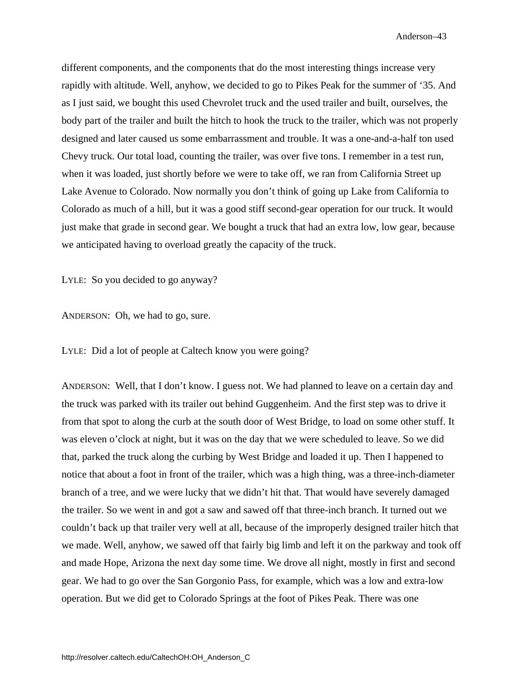different components, and the components that do the most interesting things increase very rapidly with altitude. Well, anyhow, we decided to go to Pikes Peak for the summer of '35. And as I just said, we bought this used Chevrolet truck and the used trailer and built, ourselves, the body part of the trailer and built the hitch to hook the truck to the trailer, which was not properly designed and later caused us some embarrassment and trouble. It was a one-and-a-half ton used Chevy truck. Our total load, counting the trailer, was over five tons. I remember in a test run, when it was loaded, just shortly before we were to take off, we ran from California Street up Lake Avenue to Colorado. Now normally you don't think of going up Lake from California to Colorado as much of a hill, but it was a good stiff second-gear operation for our truck. It would just make that grade in second gear. We bought a truck that had an extra low, low gear, because we anticipated having to overload greatly the capacity of the truck.

LYLE: So you decided to go anyway?

ANDERSON: Oh, we had to go, sure.

LYLE: Did a lot of people at Caltech know you were going?

ANDERSON: Well, that I don't know. I guess not. We had planned to leave on a certain day and the truck was parked with its trailer out behind Guggenheim. And the first step was to drive it from that spot to along the curb at the south door of West Bridge, to load on some other stuff. It was eleven o'clock at night, but it was on the day that we were scheduled to leave. So we did that, parked the truck along the curbing by West Bridge and loaded it up. Then I happened to notice that about a foot in front of the trailer, which was a high thing, was a three-inch-diameter branch of a tree, and we were lucky that we didn't hit that. That would have severely damaged the trailer. So we went in and got a saw and sawed off that three-inch branch. It turned out we couldn't back up that trailer very well at all, because of the improperly designed trailer hitch that we made. Well, anyhow, we sawed off that fairly big limb and left it on the parkway and took off and made Hope, Arizona the next day some time. We drove all night, mostly in first and second gear. We had to go over the San Gorgonio Pass, for example, which was a low and extra-low operation. But we did get to Colorado Springs at the foot of Pikes Peak. There was one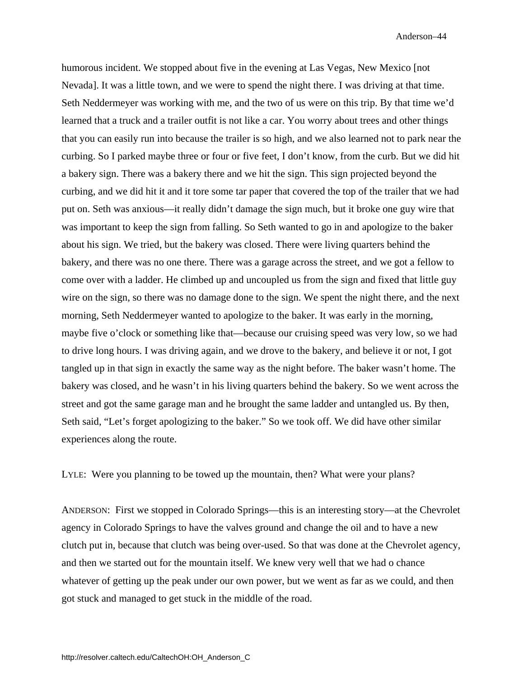humorous incident. We stopped about five in the evening at Las Vegas, New Mexico [not Nevada]. It was a little town, and we were to spend the night there. I was driving at that time. Seth Neddermeyer was working with me, and the two of us were on this trip. By that time we'd learned that a truck and a trailer outfit is not like a car. You worry about trees and other things that you can easily run into because the trailer is so high, and we also learned not to park near the curbing. So I parked maybe three or four or five feet, I don't know, from the curb. But we did hit a bakery sign. There was a bakery there and we hit the sign. This sign projected beyond the curbing, and we did hit it and it tore some tar paper that covered the top of the trailer that we had put on. Seth was anxious—it really didn't damage the sign much, but it broke one guy wire that was important to keep the sign from falling. So Seth wanted to go in and apologize to the baker about his sign. We tried, but the bakery was closed. There were living quarters behind the bakery, and there was no one there. There was a garage across the street, and we got a fellow to come over with a ladder. He climbed up and uncoupled us from the sign and fixed that little guy wire on the sign, so there was no damage done to the sign. We spent the night there, and the next morning, Seth Neddermeyer wanted to apologize to the baker. It was early in the morning, maybe five o'clock or something like that—because our cruising speed was very low, so we had to drive long hours. I was driving again, and we drove to the bakery, and believe it or not, I got tangled up in that sign in exactly the same way as the night before. The baker wasn't home. The bakery was closed, and he wasn't in his living quarters behind the bakery. So we went across the street and got the same garage man and he brought the same ladder and untangled us. By then, Seth said, "Let's forget apologizing to the baker." So we took off. We did have other similar experiences along the route.

LYLE: Were you planning to be towed up the mountain, then? What were your plans?

ANDERSON: First we stopped in Colorado Springs—this is an interesting story—at the Chevrolet agency in Colorado Springs to have the valves ground and change the oil and to have a new clutch put in, because that clutch was being over-used. So that was done at the Chevrolet agency, and then we started out for the mountain itself. We knew very well that we had o chance whatever of getting up the peak under our own power, but we went as far as we could, and then got stuck and managed to get stuck in the middle of the road.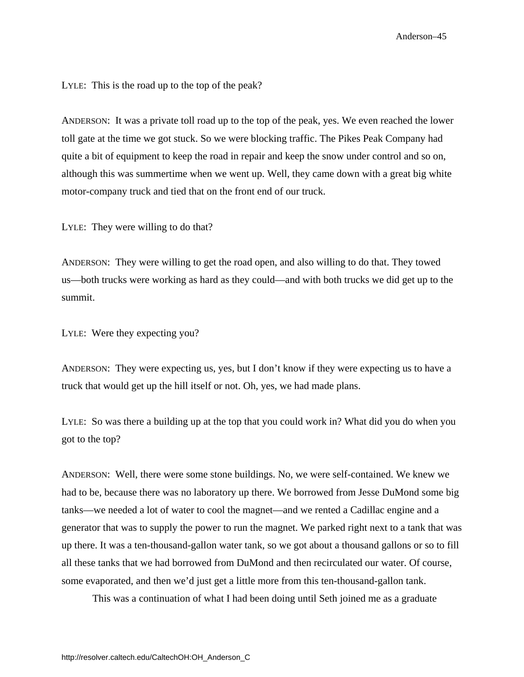LYLE: This is the road up to the top of the peak?

ANDERSON: It was a private toll road up to the top of the peak, yes. We even reached the lower toll gate at the time we got stuck. So we were blocking traffic. The Pikes Peak Company had quite a bit of equipment to keep the road in repair and keep the snow under control and so on, although this was summertime when we went up. Well, they came down with a great big white motor-company truck and tied that on the front end of our truck.

LYLE: They were willing to do that?

ANDERSON: They were willing to get the road open, and also willing to do that. They towed us—both trucks were working as hard as they could—and with both trucks we did get up to the summit.

LYLE: Were they expecting you?

ANDERSON: They were expecting us, yes, but I don't know if they were expecting us to have a truck that would get up the hill itself or not. Oh, yes, we had made plans.

LYLE: So was there a building up at the top that you could work in? What did you do when you got to the top?

ANDERSON: Well, there were some stone buildings. No, we were self-contained. We knew we had to be, because there was no laboratory up there. We borrowed from Jesse DuMond some big tanks—we needed a lot of water to cool the magnet—and we rented a Cadillac engine and a generator that was to supply the power to run the magnet. We parked right next to a tank that was up there. It was a ten-thousand-gallon water tank, so we got about a thousand gallons or so to fill all these tanks that we had borrowed from DuMond and then recirculated our water. Of course, some evaporated, and then we'd just get a little more from this ten-thousand-gallon tank.

This was a continuation of what I had been doing until Seth joined me as a graduate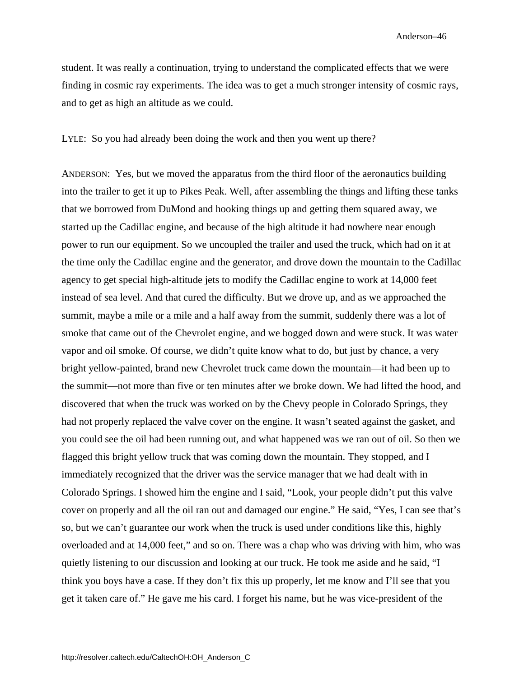student. It was really a continuation, trying to understand the complicated effects that we were finding in cosmic ray experiments. The idea was to get a much stronger intensity of cosmic rays, and to get as high an altitude as we could.

LYLE: So you had already been doing the work and then you went up there?

ANDERSON: Yes, but we moved the apparatus from the third floor of the aeronautics building into the trailer to get it up to Pikes Peak. Well, after assembling the things and lifting these tanks that we borrowed from DuMond and hooking things up and getting them squared away, we started up the Cadillac engine, and because of the high altitude it had nowhere near enough power to run our equipment. So we uncoupled the trailer and used the truck, which had on it at the time only the Cadillac engine and the generator, and drove down the mountain to the Cadillac agency to get special high-altitude jets to modify the Cadillac engine to work at 14,000 feet instead of sea level. And that cured the difficulty. But we drove up, and as we approached the summit, maybe a mile or a mile and a half away from the summit, suddenly there was a lot of smoke that came out of the Chevrolet engine, and we bogged down and were stuck. It was water vapor and oil smoke. Of course, we didn't quite know what to do, but just by chance, a very bright yellow-painted, brand new Chevrolet truck came down the mountain—it had been up to the summit—not more than five or ten minutes after we broke down. We had lifted the hood, and discovered that when the truck was worked on by the Chevy people in Colorado Springs, they had not properly replaced the valve cover on the engine. It wasn't seated against the gasket, and you could see the oil had been running out, and what happened was we ran out of oil. So then we flagged this bright yellow truck that was coming down the mountain. They stopped, and I immediately recognized that the driver was the service manager that we had dealt with in Colorado Springs. I showed him the engine and I said, "Look, your people didn't put this valve cover on properly and all the oil ran out and damaged our engine." He said, "Yes, I can see that's so, but we can't guarantee our work when the truck is used under conditions like this, highly overloaded and at 14,000 feet," and so on. There was a chap who was driving with him, who was quietly listening to our discussion and looking at our truck. He took me aside and he said, "I think you boys have a case. If they don't fix this up properly, let me know and I'll see that you get it taken care of." He gave me his card. I forget his name, but he was vice-president of the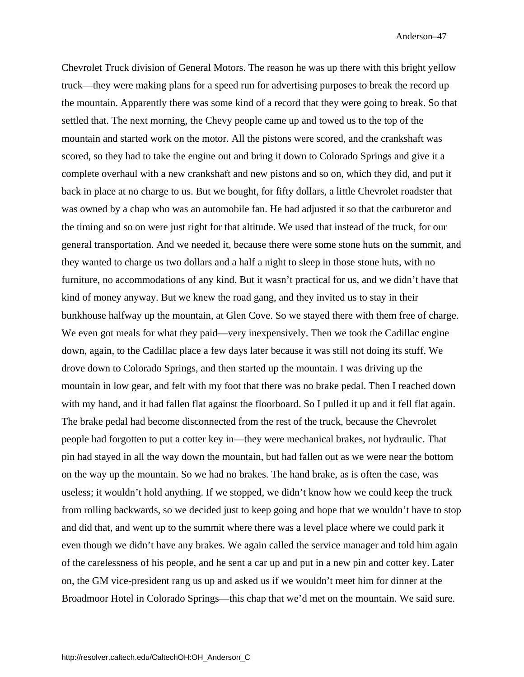Chevrolet Truck division of General Motors. The reason he was up there with this bright yellow truck—they were making plans for a speed run for advertising purposes to break the record up the mountain. Apparently there was some kind of a record that they were going to break. So that settled that. The next morning, the Chevy people came up and towed us to the top of the mountain and started work on the motor. All the pistons were scored, and the crankshaft was scored, so they had to take the engine out and bring it down to Colorado Springs and give it a complete overhaul with a new crankshaft and new pistons and so on, which they did, and put it back in place at no charge to us. But we bought, for fifty dollars, a little Chevrolet roadster that was owned by a chap who was an automobile fan. He had adjusted it so that the carburetor and the timing and so on were just right for that altitude. We used that instead of the truck, for our general transportation. And we needed it, because there were some stone huts on the summit, and they wanted to charge us two dollars and a half a night to sleep in those stone huts, with no furniture, no accommodations of any kind. But it wasn't practical for us, and we didn't have that kind of money anyway. But we knew the road gang, and they invited us to stay in their bunkhouse halfway up the mountain, at Glen Cove. So we stayed there with them free of charge. We even got meals for what they paid—very inexpensively. Then we took the Cadillac engine down, again, to the Cadillac place a few days later because it was still not doing its stuff. We drove down to Colorado Springs, and then started up the mountain. I was driving up the mountain in low gear, and felt with my foot that there was no brake pedal. Then I reached down with my hand, and it had fallen flat against the floorboard. So I pulled it up and it fell flat again. The brake pedal had become disconnected from the rest of the truck, because the Chevrolet people had forgotten to put a cotter key in—they were mechanical brakes, not hydraulic. That pin had stayed in all the way down the mountain, but had fallen out as we were near the bottom on the way up the mountain. So we had no brakes. The hand brake, as is often the case, was useless; it wouldn't hold anything. If we stopped, we didn't know how we could keep the truck from rolling backwards, so we decided just to keep going and hope that we wouldn't have to stop and did that, and went up to the summit where there was a level place where we could park it even though we didn't have any brakes. We again called the service manager and told him again of the carelessness of his people, and he sent a car up and put in a new pin and cotter key. Later on, the GM vice-president rang us up and asked us if we wouldn't meet him for dinner at the Broadmoor Hotel in Colorado Springs—this chap that we'd met on the mountain. We said sure.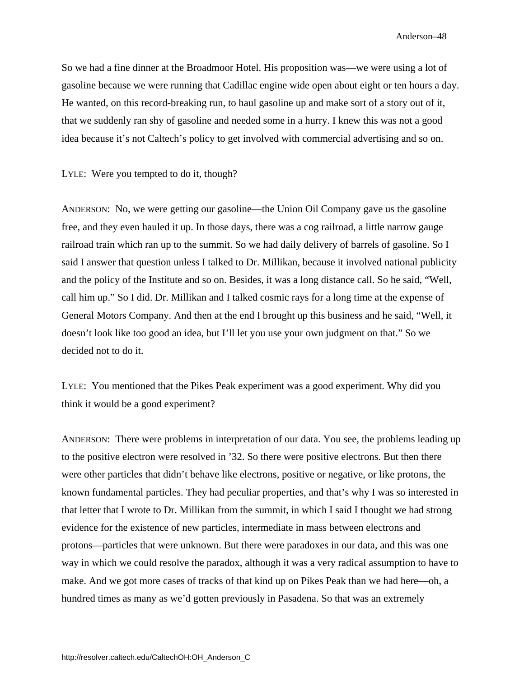So we had a fine dinner at the Broadmoor Hotel. His proposition was—we were using a lot of gasoline because we were running that Cadillac engine wide open about eight or ten hours a day. He wanted, on this record-breaking run, to haul gasoline up and make sort of a story out of it, that we suddenly ran shy of gasoline and needed some in a hurry. I knew this was not a good idea because it's not Caltech's policy to get involved with commercial advertising and so on.

LYLE: Were you tempted to do it, though?

ANDERSON: No, we were getting our gasoline—the Union Oil Company gave us the gasoline free, and they even hauled it up. In those days, there was a cog railroad, a little narrow gauge railroad train which ran up to the summit. So we had daily delivery of barrels of gasoline. So I said I answer that question unless I talked to Dr. Millikan, because it involved national publicity and the policy of the Institute and so on. Besides, it was a long distance call. So he said, "Well, call him up." So I did. Dr. Millikan and I talked cosmic rays for a long time at the expense of General Motors Company. And then at the end I brought up this business and he said, "Well, it doesn't look like too good an idea, but I'll let you use your own judgment on that." So we decided not to do it.

LYLE: You mentioned that the Pikes Peak experiment was a good experiment. Why did you think it would be a good experiment?

ANDERSON: There were problems in interpretation of our data. You see, the problems leading up to the positive electron were resolved in '32. So there were positive electrons. But then there were other particles that didn't behave like electrons, positive or negative, or like protons, the known fundamental particles. They had peculiar properties, and that's why I was so interested in that letter that I wrote to Dr. Millikan from the summit, in which I said I thought we had strong evidence for the existence of new particles, intermediate in mass between electrons and protons—particles that were unknown. But there were paradoxes in our data, and this was one way in which we could resolve the paradox, although it was a very radical assumption to have to make. And we got more cases of tracks of that kind up on Pikes Peak than we had here—oh, a hundred times as many as we'd gotten previously in Pasadena. So that was an extremely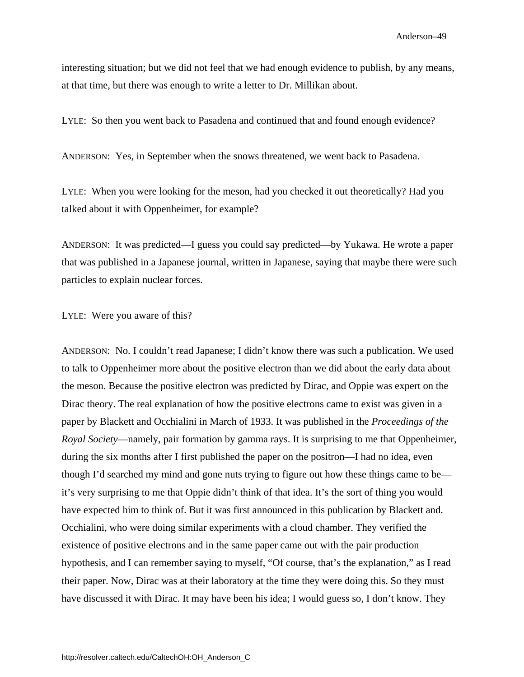interesting situation; but we did not feel that we had enough evidence to publish, by any means, at that time, but there was enough to write a letter to Dr. Millikan about.

LYLE: So then you went back to Pasadena and continued that and found enough evidence?

ANDERSON: Yes, in September when the snows threatened, we went back to Pasadena.

LYLE: When you were looking for the meson, had you checked it out theoretically? Had you talked about it with Oppenheimer, for example?

ANDERSON: It was predicted—I guess you could say predicted—by Yukawa. He wrote a paper that was published in a Japanese journal, written in Japanese, saying that maybe there were such particles to explain nuclear forces.

LYLE: Were you aware of this?

ANDERSON: No. I couldn't read Japanese; I didn't know there was such a publication. We used to talk to Oppenheimer more about the positive electron than we did about the early data about the meson. Because the positive electron was predicted by Dirac, and Oppie was expert on the Dirac theory. The real explanation of how the positive electrons came to exist was given in a paper by Blackett and Occhialini in March of 1933. It was published in the *Proceedings of the Royal Society*—namely, pair formation by gamma rays. It is surprising to me that Oppenheimer, during the six months after I first published the paper on the positron—I had no idea, even though I'd searched my mind and gone nuts trying to figure out how these things came to be it's very surprising to me that Oppie didn't think of that idea. It's the sort of thing you would have expected him to think of. But it was first announced in this publication by Blackett and. Occhialini, who were doing similar experiments with a cloud chamber. They verified the existence of positive electrons and in the same paper came out with the pair production hypothesis, and I can remember saying to myself, "Of course, that's the explanation," as I read their paper. Now, Dirac was at their laboratory at the time they were doing this. So they must have discussed it with Dirac. It may have been his idea; I would guess so, I don't know. They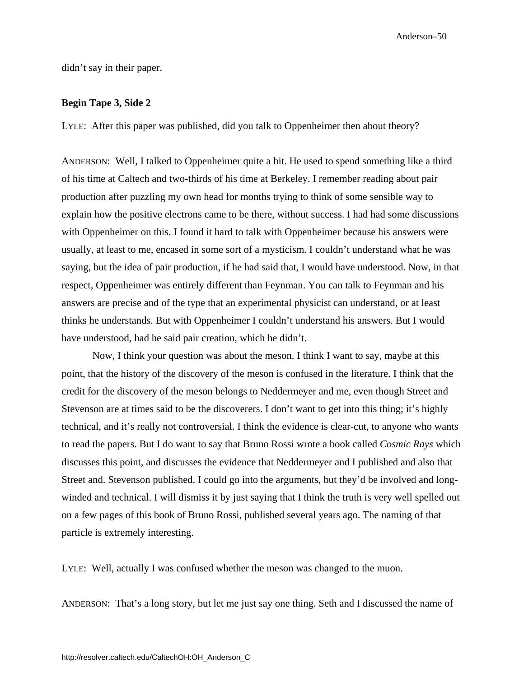didn't say in their paper.

#### **Begin Tape 3, Side 2**

LYLE: After this paper was published, did you talk to Oppenheimer then about theory?

ANDERSON: Well, I talked to Oppenheimer quite a bit. He used to spend something like a third of his time at Caltech and two-thirds of his time at Berkeley. I remember reading about pair production after puzzling my own head for months trying to think of some sensible way to explain how the positive electrons came to be there, without success. I had had some discussions with Oppenheimer on this. I found it hard to talk with Oppenheimer because his answers were usually, at least to me, encased in some sort of a mysticism. I couldn't understand what he was saying, but the idea of pair production, if he had said that, I would have understood. Now, in that respect, Oppenheimer was entirely different than Feynman. You can talk to Feynman and his answers are precise and of the type that an experimental physicist can understand, or at least thinks he understands. But with Oppenheimer I couldn't understand his answers. But I would have understood, had he said pair creation, which he didn't.

Now, I think your question was about the meson. I think I want to say, maybe at this point, that the history of the discovery of the meson is confused in the literature. I think that the credit for the discovery of the meson belongs to Neddermeyer and me, even though Street and Stevenson are at times said to be the discoverers. I don't want to get into this thing; it's highly technical, and it's really not controversial. I think the evidence is clear-cut, to anyone who wants to read the papers. But I do want to say that Bruno Rossi wrote a book called *Cosmic Rays* which discusses this point, and discusses the evidence that Neddermeyer and I published and also that Street and. Stevenson published. I could go into the arguments, but they'd be involved and longwinded and technical. I will dismiss it by just saying that I think the truth is very well spelled out on a few pages of this book of Bruno Rossi, published several years ago. The naming of that particle is extremely interesting.

LYLE: Well, actually I was confused whether the meson was changed to the muon.

ANDERSON: That's a long story, but let me just say one thing. Seth and I discussed the name of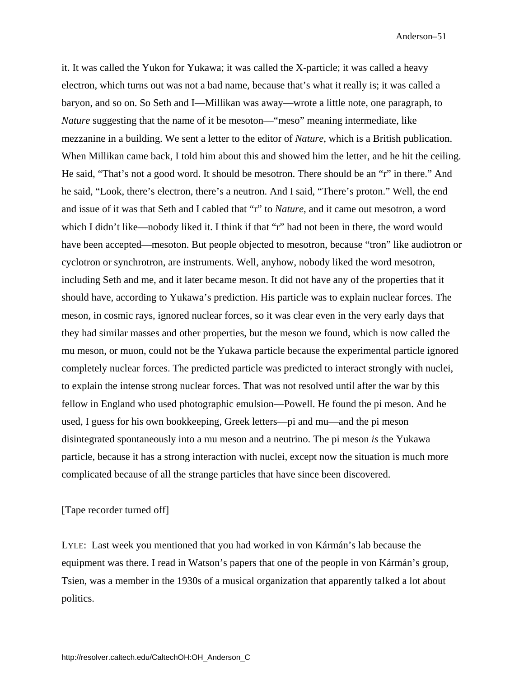it. It was called the Yukon for Yukawa; it was called the X-particle; it was called a heavy electron, which turns out was not a bad name, because that's what it really is; it was called a baryon, and so on. So Seth and I—Millikan was away—wrote a little note, one paragraph, to *Nature* suggesting that the name of it be mesoton—"meso" meaning intermediate, like mezzanine in a building. We sent a letter to the editor of *Nature*, which is a British publication. When Millikan came back, I told him about this and showed him the letter, and he hit the ceiling. He said, "That's not a good word. It should be mesotron. There should be an "r" in there." And he said, "Look, there's electron, there's a neutron. And I said, "There's proton." Well, the end and issue of it was that Seth and I cabled that "r" to *Nature*, and it came out mesotron, a word which I didn't like—nobody liked it. I think if that "r" had not been in there, the word would have been accepted—mesoton. But people objected to mesotron, because "tron" like audiotron or cyclotron or synchrotron, are instruments. Well, anyhow, nobody liked the word mesotron, including Seth and me, and it later became meson. It did not have any of the properties that it should have, according to Yukawa's prediction. His particle was to explain nuclear forces. The meson, in cosmic rays, ignored nuclear forces, so it was clear even in the very early days that they had similar masses and other properties, but the meson we found, which is now called the mu meson, or muon, could not be the Yukawa particle because the experimental particle ignored completely nuclear forces. The predicted particle was predicted to interact strongly with nuclei, to explain the intense strong nuclear forces. That was not resolved until after the war by this fellow in England who used photographic emulsion—Powell. He found the pi meson. And he used, I guess for his own bookkeeping, Greek letters—pi and mu—and the pi meson disintegrated spontaneously into a mu meson and a neutrino. The pi meson *is* the Yukawa particle, because it has a strong interaction with nuclei, except now the situation is much more complicated because of all the strange particles that have since been discovered.

## [Tape recorder turned off]

LYLE: Last week you mentioned that you had worked in von Kármán's lab because the equipment was there. I read in Watson's papers that one of the people in von Kármán's group, Tsien, was a member in the 1930s of a musical organization that apparently talked a lot about politics.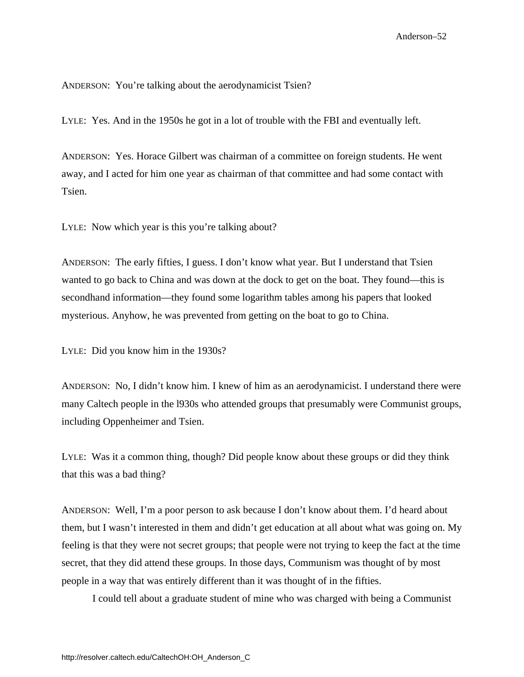ANDERSON: You're talking about the aerodynamicist Tsien?

LYLE: Yes. And in the 1950s he got in a lot of trouble with the FBI and eventually left.

ANDERSON: Yes. Horace Gilbert was chairman of a committee on foreign students. He went away, and I acted for him one year as chairman of that committee and had some contact with Tsien.

LYLE: Now which year is this you're talking about?

ANDERSON: The early fifties, I guess. I don't know what year. But I understand that Tsien wanted to go back to China and was down at the dock to get on the boat. They found—this is secondhand information—they found some logarithm tables among his papers that looked mysterious. Anyhow, he was prevented from getting on the boat to go to China.

LYLE: Did you know him in the 1930s?

ANDERSON: No, I didn't know him. I knew of him as an aerodynamicist. I understand there were many Caltech people in the l930s who attended groups that presumably were Communist groups, including Oppenheimer and Tsien.

LYLE: Was it a common thing, though? Did people know about these groups or did they think that this was a bad thing?

ANDERSON: Well, I'm a poor person to ask because I don't know about them. I'd heard about them, but I wasn't interested in them and didn't get education at all about what was going on. My feeling is that they were not secret groups; that people were not trying to keep the fact at the time secret, that they did attend these groups. In those days, Communism was thought of by most people in a way that was entirely different than it was thought of in the fifties.

I could tell about a graduate student of mine who was charged with being a Communist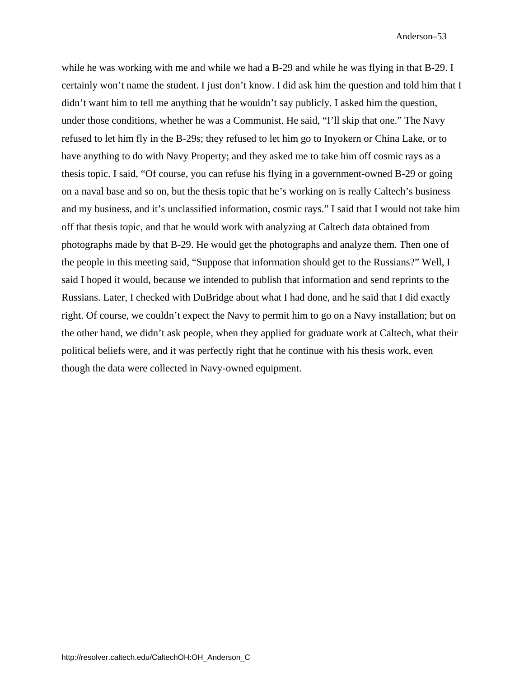while he was working with me and while we had a B-29 and while he was flying in that B-29. I certainly won't name the student. I just don't know. I did ask him the question and told him that I didn't want him to tell me anything that he wouldn't say publicly. I asked him the question, under those conditions, whether he was a Communist. He said, "I'll skip that one." The Navy refused to let him fly in the B-29s; they refused to let him go to Inyokern or China Lake, or to have anything to do with Navy Property; and they asked me to take him off cosmic rays as a thesis topic. I said, "Of course, you can refuse his flying in a government-owned B-29 or going on a naval base and so on, but the thesis topic that he's working on is really Caltech's business and my business, and it's unclassified information, cosmic rays." I said that I would not take him off that thesis topic, and that he would work with analyzing at Caltech data obtained from photographs made by that B-29. He would get the photographs and analyze them. Then one of the people in this meeting said, "Suppose that information should get to the Russians?" Well, I said I hoped it would, because we intended to publish that information and send reprints to the Russians. Later, I checked with DuBridge about what I had done, and he said that I did exactly right. Of course, we couldn't expect the Navy to permit him to go on a Navy installation; but on the other hand, we didn't ask people, when they applied for graduate work at Caltech, what their political beliefs were, and it was perfectly right that he continue with his thesis work, even though the data were collected in Navy-owned equipment.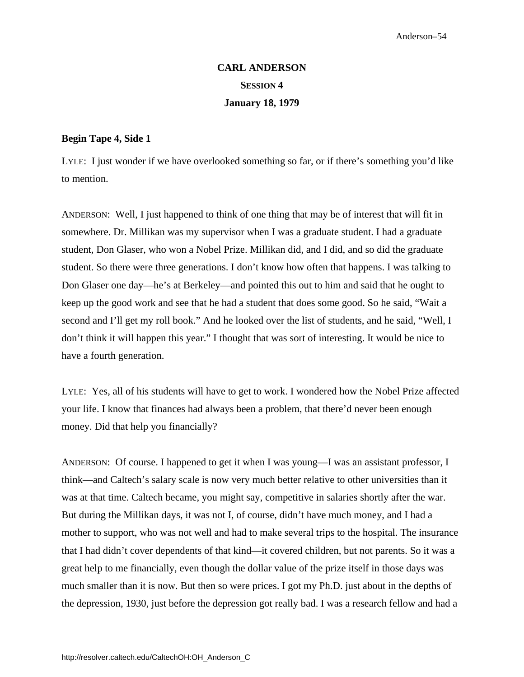# **CARL ANDERSON SESSION 4 January 18, 1979**

### **Begin Tape 4, Side 1**

LYLE: I just wonder if we have overlooked something so far, or if there's something you'd like to mention.

ANDERSON: Well, I just happened to think of one thing that may be of interest that will fit in somewhere. Dr. Millikan was my supervisor when I was a graduate student. I had a graduate student, Don Glaser, who won a Nobel Prize. Millikan did, and I did, and so did the graduate student. So there were three generations. I don't know how often that happens. I was talking to Don Glaser one day—he's at Berkeley—and pointed this out to him and said that he ought to keep up the good work and see that he had a student that does some good. So he said, "Wait a second and I'll get my roll book." And he looked over the list of students, and he said, "Well, I don't think it will happen this year." I thought that was sort of interesting. It would be nice to have a fourth generation.

LYLE: Yes, all of his students will have to get to work. I wondered how the Nobel Prize affected your life. I know that finances had always been a problem, that there'd never been enough money. Did that help you financially?

ANDERSON: Of course. I happened to get it when I was young—I was an assistant professor, I think—and Caltech's salary scale is now very much better relative to other universities than it was at that time. Caltech became, you might say, competitive in salaries shortly after the war. But during the Millikan days, it was not I, of course, didn't have much money, and I had a mother to support, who was not well and had to make several trips to the hospital. The insurance that I had didn't cover dependents of that kind—it covered children, but not parents. So it was a great help to me financially, even though the dollar value of the prize itself in those days was much smaller than it is now. But then so were prices. I got my Ph.D. just about in the depths of the depression, 1930, just before the depression got really bad. I was a research fellow and had a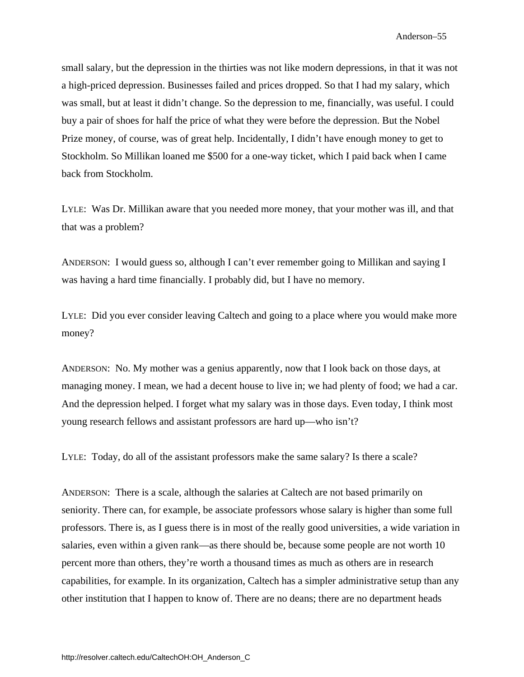small salary, but the depression in the thirties was not like modern depressions, in that it was not a high-priced depression. Businesses failed and prices dropped. So that I had my salary, which was small, but at least it didn't change. So the depression to me, financially, was useful. I could buy a pair of shoes for half the price of what they were before the depression. But the Nobel Prize money, of course, was of great help. Incidentally, I didn't have enough money to get to Stockholm. So Millikan loaned me \$500 for a one-way ticket, which I paid back when I came back from Stockholm.

LYLE: Was Dr. Millikan aware that you needed more money, that your mother was ill, and that that was a problem?

ANDERSON: I would guess so, although I can't ever remember going to Millikan and saying I was having a hard time financially. I probably did, but I have no memory.

LYLE: Did you ever consider leaving Caltech and going to a place where you would make more money?

ANDERSON: No. My mother was a genius apparently, now that I look back on those days, at managing money. I mean, we had a decent house to live in; we had plenty of food; we had a car. And the depression helped. I forget what my salary was in those days. Even today, I think most young research fellows and assistant professors are hard up—who isn't?

LYLE: Today, do all of the assistant professors make the same salary? Is there a scale?

ANDERSON: There is a scale, although the salaries at Caltech are not based primarily on seniority. There can, for example, be associate professors whose salary is higher than some full professors. There is, as I guess there is in most of the really good universities, a wide variation in salaries, even within a given rank—as there should be, because some people are not worth 10 percent more than others, they're worth a thousand times as much as others are in research capabilities, for example. In its organization, Caltech has a simpler administrative setup than any other institution that I happen to know of. There are no deans; there are no department heads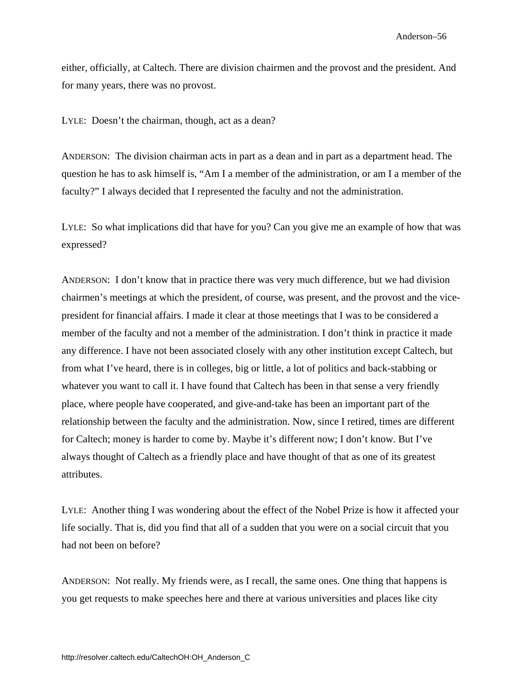either, officially, at Caltech. There are division chairmen and the provost and the president. And for many years, there was no provost.

LYLE: Doesn't the chairman, though, act as a dean?

ANDERSON: The division chairman acts in part as a dean and in part as a department head. The question he has to ask himself is, "Am I a member of the administration, or am I a member of the faculty?" I always decided that I represented the faculty and not the administration.

LYLE: So what implications did that have for you? Can you give me an example of how that was expressed?

ANDERSON: I don't know that in practice there was very much difference, but we had division chairmen's meetings at which the president, of course, was present, and the provost and the vicepresident for financial affairs. I made it clear at those meetings that I was to be considered a member of the faculty and not a member of the administration. I don't think in practice it made any difference. I have not been associated closely with any other institution except Caltech, but from what I've heard, there is in colleges, big or little, a lot of politics and back-stabbing or whatever you want to call it. I have found that Caltech has been in that sense a very friendly place, where people have cooperated, and give-and-take has been an important part of the relationship between the faculty and the administration. Now, since I retired, times are different for Caltech; money is harder to come by. Maybe it's different now; I don't know. But I've always thought of Caltech as a friendly place and have thought of that as one of its greatest attributes.

LYLE: Another thing I was wondering about the effect of the Nobel Prize is how it affected your life socially. That is, did you find that all of a sudden that you were on a social circuit that you had not been on before?

ANDERSON: Not really. My friends were, as I recall, the same ones. One thing that happens is you get requests to make speeches here and there at various universities and places like city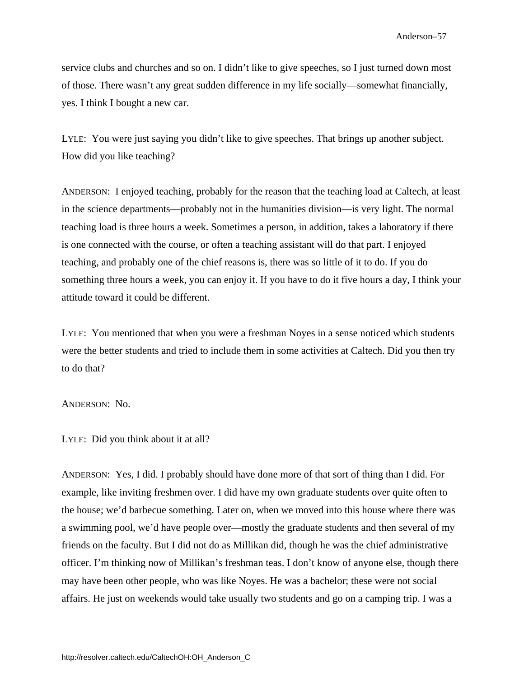service clubs and churches and so on. I didn't like to give speeches, so I just turned down most of those. There wasn't any great sudden difference in my life socially—somewhat financially, yes. I think I bought a new car.

LYLE: You were just saying you didn't like to give speeches. That brings up another subject. How did you like teaching?

ANDERSON: I enjoyed teaching, probably for the reason that the teaching load at Caltech, at least in the science departments—probably not in the humanities division—is very light. The normal teaching load is three hours a week. Sometimes a person, in addition, takes a laboratory if there is one connected with the course, or often a teaching assistant will do that part. I enjoyed teaching, and probably one of the chief reasons is, there was so little of it to do. If you do something three hours a week, you can enjoy it. If you have to do it five hours a day, I think your attitude toward it could be different.

LYLE: You mentioned that when you were a freshman Noyes in a sense noticed which students were the better students and tried to include them in some activities at Caltech. Did you then try to do that?

ANDERSON: No.

LYLE: Did you think about it at all?

ANDERSON: Yes, I did. I probably should have done more of that sort of thing than I did. For example, like inviting freshmen over. I did have my own graduate students over quite often to the house; we'd barbecue something. Later on, when we moved into this house where there was a swimming pool, we'd have people over—mostly the graduate students and then several of my friends on the faculty. But I did not do as Millikan did, though he was the chief administrative officer. I'm thinking now of Millikan's freshman teas. I don't know of anyone else, though there may have been other people, who was like Noyes. He was a bachelor; these were not social affairs. He just on weekends would take usually two students and go on a camping trip. I was a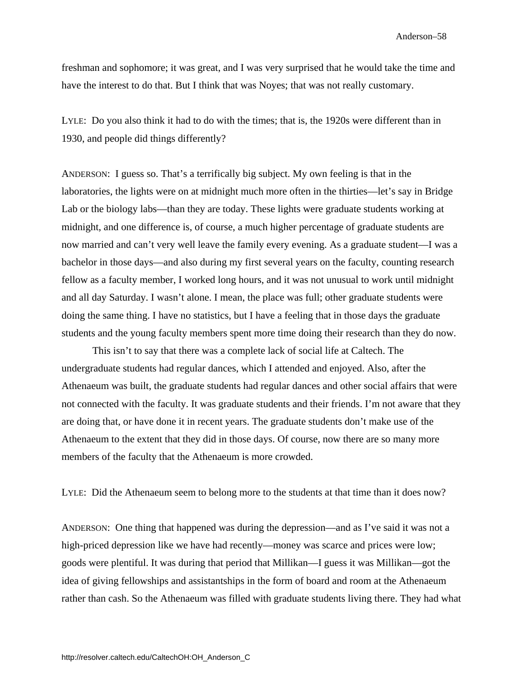freshman and sophomore; it was great, and I was very surprised that he would take the time and have the interest to do that. But I think that was Noyes; that was not really customary.

LYLE: Do you also think it had to do with the times; that is, the 1920s were different than in 1930, and people did things differently?

ANDERSON: I guess so. That's a terrifically big subject. My own feeling is that in the laboratories, the lights were on at midnight much more often in the thirties—let's say in Bridge Lab or the biology labs—than they are today. These lights were graduate students working at midnight, and one difference is, of course, a much higher percentage of graduate students are now married and can't very well leave the family every evening. As a graduate student—I was a bachelor in those days—and also during my first several years on the faculty, counting research fellow as a faculty member, I worked long hours, and it was not unusual to work until midnight and all day Saturday. I wasn't alone. I mean, the place was full; other graduate students were doing the same thing. I have no statistics, but I have a feeling that in those days the graduate students and the young faculty members spent more time doing their research than they do now.

This isn't to say that there was a complete lack of social life at Caltech. The undergraduate students had regular dances, which I attended and enjoyed. Also, after the Athenaeum was built, the graduate students had regular dances and other social affairs that were not connected with the faculty. It was graduate students and their friends. I'm not aware that they are doing that, or have done it in recent years. The graduate students don't make use of the Athenaeum to the extent that they did in those days. Of course, now there are so many more members of the faculty that the Athenaeum is more crowded.

LYLE: Did the Athenaeum seem to belong more to the students at that time than it does now?

ANDERSON: One thing that happened was during the depression—and as I've said it was not a high-priced depression like we have had recently—money was scarce and prices were low; goods were plentiful. It was during that period that Millikan—I guess it was Millikan—got the idea of giving fellowships and assistantships in the form of board and room at the Athenaeum rather than cash. So the Athenaeum was filled with graduate students living there. They had what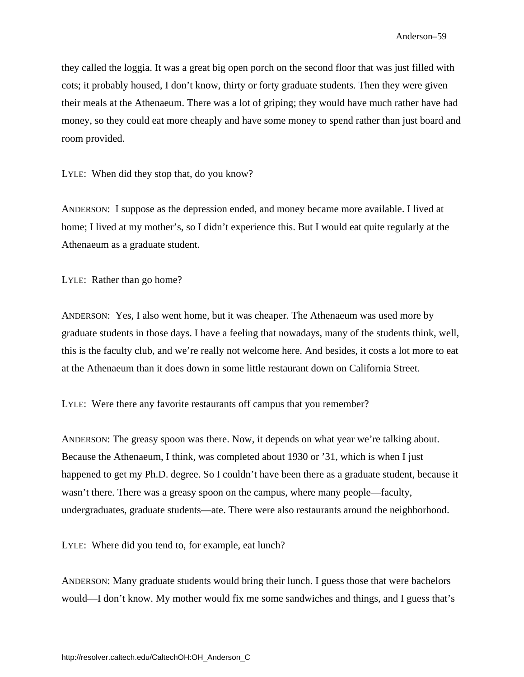they called the loggia. It was a great big open porch on the second floor that was just filled with cots; it probably housed, I don't know, thirty or forty graduate students. Then they were given their meals at the Athenaeum. There was a lot of griping; they would have much rather have had money, so they could eat more cheaply and have some money to spend rather than just board and room provided.

LYLE: When did they stop that, do you know?

ANDERSON: I suppose as the depression ended, and money became more available. I lived at home; I lived at my mother's, so I didn't experience this. But I would eat quite regularly at the Athenaeum as a graduate student.

LYLE: Rather than go home?

ANDERSON: Yes, I also went home, but it was cheaper. The Athenaeum was used more by graduate students in those days. I have a feeling that nowadays, many of the students think, well, this is the faculty club, and we're really not welcome here. And besides, it costs a lot more to eat at the Athenaeum than it does down in some little restaurant down on California Street.

LYLE: Were there any favorite restaurants off campus that you remember?

ANDERSON: The greasy spoon was there. Now, it depends on what year we're talking about. Because the Athenaeum, I think, was completed about 1930 or '31, which is when I just happened to get my Ph.D. degree. So I couldn't have been there as a graduate student, because it wasn't there. There was a greasy spoon on the campus, where many people—faculty, undergraduates, graduate students—ate. There were also restaurants around the neighborhood.

LYLE: Where did you tend to, for example, eat lunch?

ANDERSON: Many graduate students would bring their lunch. I guess those that were bachelors would—I don't know. My mother would fix me some sandwiches and things, and I guess that's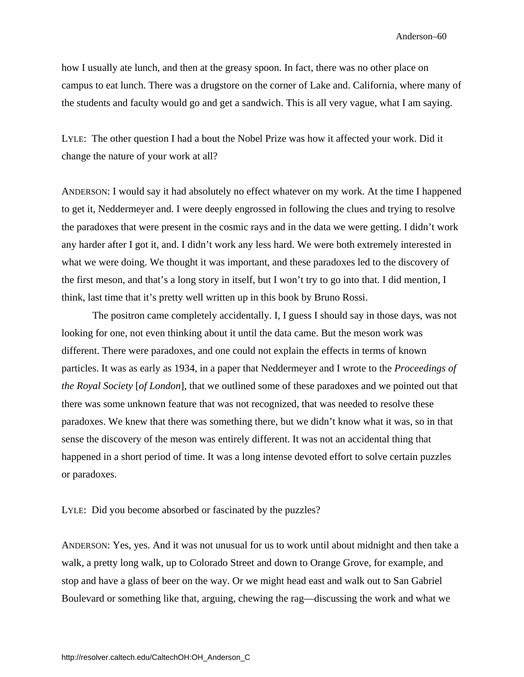how I usually ate lunch, and then at the greasy spoon. In fact, there was no other place on campus to eat lunch. There was a drugstore on the corner of Lake and. California, where many of the students and faculty would go and get a sandwich. This is all very vague, what I am saying.

LYLE: The other question I had a bout the Nobel Prize was how it affected your work. Did it change the nature of your work at all?

ANDERSON: I would say it had absolutely no effect whatever on my work. At the time I happened to get it, Neddermeyer and. I were deeply engrossed in following the clues and trying to resolve the paradoxes that were present in the cosmic rays and in the data we were getting. I didn't work any harder after I got it, and. I didn't work any less hard. We were both extremely interested in what we were doing. We thought it was important, and these paradoxes led to the discovery of the first meson, and that's a long story in itself, but I won't try to go into that. I did mention, I think, last time that it's pretty well written up in this book by Bruno Rossi.

The positron came completely accidentally. I, I guess I should say in those days, was not looking for one, not even thinking about it until the data came. But the meson work was different. There were paradoxes, and one could not explain the effects in terms of known particles. It was as early as 1934, in a paper that Neddermeyer and I wrote to the *Proceedings of the Royal Society* [*of London*], that we outlined some of these paradoxes and we pointed out that there was some unknown feature that was not recognized, that was needed to resolve these paradoxes. We knew that there was something there, but we didn't know what it was, so in that sense the discovery of the meson was entirely different. It was not an accidental thing that happened in a short period of time. It was a long intense devoted effort to solve certain puzzles or paradoxes.

LYLE: Did you become absorbed or fascinated by the puzzles?

ANDERSON: Yes, yes. And it was not unusual for us to work until about midnight and then take a walk, a pretty long walk, up to Colorado Street and down to Orange Grove, for example, and stop and have a glass of beer on the way. Or we might head east and walk out to San Gabriel Boulevard or something like that, arguing, chewing the rag—discussing the work and what we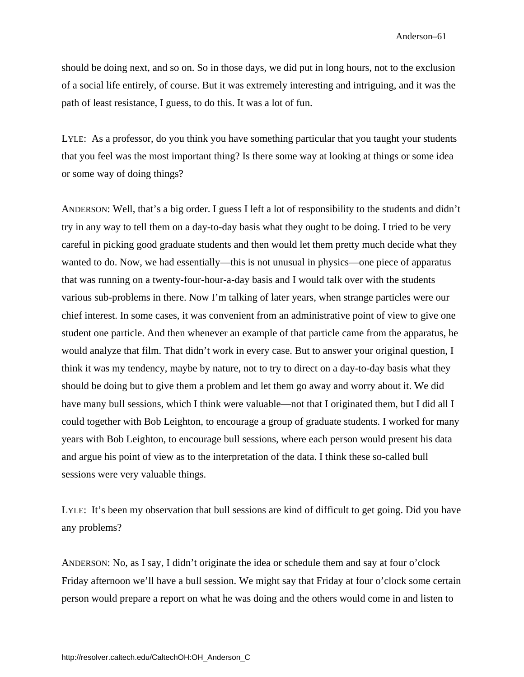should be doing next, and so on. So in those days, we did put in long hours, not to the exclusion of a social life entirely, of course. But it was extremely interesting and intriguing, and it was the path of least resistance, I guess, to do this. It was a lot of fun.

LYLE: As a professor, do you think you have something particular that you taught your students that you feel was the most important thing? Is there some way at looking at things or some idea or some way of doing things?

ANDERSON: Well, that's a big order. I guess I left a lot of responsibility to the students and didn't try in any way to tell them on a day-to-day basis what they ought to be doing. I tried to be very careful in picking good graduate students and then would let them pretty much decide what they wanted to do. Now, we had essentially—this is not unusual in physics—one piece of apparatus that was running on a twenty-four-hour-a-day basis and I would talk over with the students various sub-problems in there. Now I'm talking of later years, when strange particles were our chief interest. In some cases, it was convenient from an administrative point of view to give one student one particle. And then whenever an example of that particle came from the apparatus, he would analyze that film. That didn't work in every case. But to answer your original question, I think it was my tendency, maybe by nature, not to try to direct on a day-to-day basis what they should be doing but to give them a problem and let them go away and worry about it. We did have many bull sessions, which I think were valuable—not that I originated them, but I did all I could together with Bob Leighton, to encourage a group of graduate students. I worked for many years with Bob Leighton, to encourage bull sessions, where each person would present his data and argue his point of view as to the interpretation of the data. I think these so-called bull sessions were very valuable things.

LYLE: It's been my observation that bull sessions are kind of difficult to get going. Did you have any problems?

ANDERSON: No, as I say, I didn't originate the idea or schedule them and say at four o'clock Friday afternoon we'll have a bull session. We might say that Friday at four o'clock some certain person would prepare a report on what he was doing and the others would come in and listen to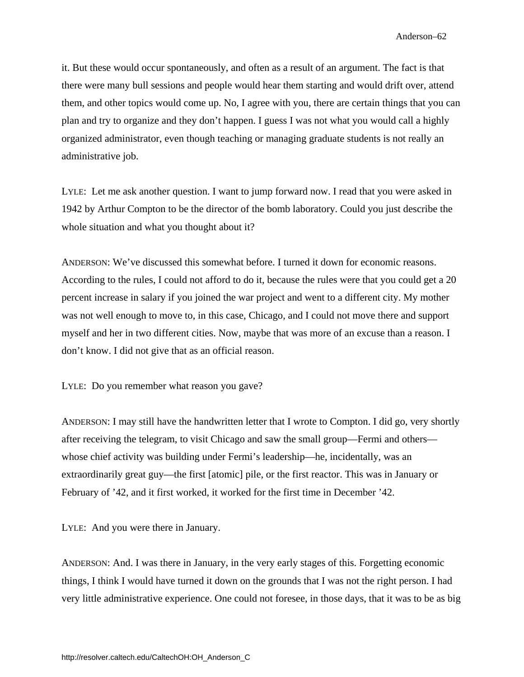it. But these would occur spontaneously, and often as a result of an argument. The fact is that there were many bull sessions and people would hear them starting and would drift over, attend them, and other topics would come up. No, I agree with you, there are certain things that you can plan and try to organize and they don't happen. I guess I was not what you would call a highly organized administrator, even though teaching or managing graduate students is not really an administrative job.

LYLE: Let me ask another question. I want to jump forward now. I read that you were asked in 1942 by Arthur Compton to be the director of the bomb laboratory. Could you just describe the whole situation and what you thought about it?

ANDERSON: We've discussed this somewhat before. I turned it down for economic reasons. According to the rules, I could not afford to do it, because the rules were that you could get a 20 percent increase in salary if you joined the war project and went to a different city. My mother was not well enough to move to, in this case, Chicago, and I could not move there and support myself and her in two different cities. Now, maybe that was more of an excuse than a reason. I don't know. I did not give that as an official reason.

LYLE: Do you remember what reason you gave?

ANDERSON: I may still have the handwritten letter that I wrote to Compton. I did go, very shortly after receiving the telegram, to visit Chicago and saw the small group—Fermi and others whose chief activity was building under Fermi's leadership—he, incidentally, was an extraordinarily great guy—the first [atomic] pile, or the first reactor. This was in January or February of '42, and it first worked, it worked for the first time in December '42.

LYLE: And you were there in January.

ANDERSON: And. I was there in January, in the very early stages of this. Forgetting economic things, I think I would have turned it down on the grounds that I was not the right person. I had very little administrative experience. One could not foresee, in those days, that it was to be as big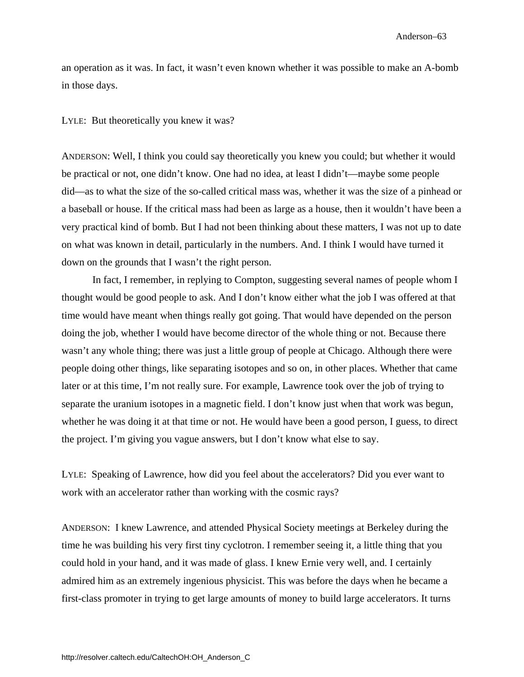an operation as it was. In fact, it wasn't even known whether it was possible to make an A-bomb in those days.

## LYLE: But theoretically you knew it was?

ANDERSON: Well, I think you could say theoretically you knew you could; but whether it would be practical or not, one didn't know. One had no idea, at least I didn't—maybe some people did—as to what the size of the so-called critical mass was, whether it was the size of a pinhead or a baseball or house. If the critical mass had been as large as a house, then it wouldn't have been a very practical kind of bomb. But I had not been thinking about these matters, I was not up to date on what was known in detail, particularly in the numbers. And. I think I would have turned it down on the grounds that I wasn't the right person.

In fact, I remember, in replying to Compton, suggesting several names of people whom I thought would be good people to ask. And I don't know either what the job I was offered at that time would have meant when things really got going. That would have depended on the person doing the job, whether I would have become director of the whole thing or not. Because there wasn't any whole thing; there was just a little group of people at Chicago. Although there were people doing other things, like separating isotopes and so on, in other places. Whether that came later or at this time, I'm not really sure. For example, Lawrence took over the job of trying to separate the uranium isotopes in a magnetic field. I don't know just when that work was begun, whether he was doing it at that time or not. He would have been a good person, I guess, to direct the project. I'm giving you vague answers, but I don't know what else to say.

LYLE: Speaking of Lawrence, how did you feel about the accelerators? Did you ever want to work with an accelerator rather than working with the cosmic rays?

ANDERSON: I knew Lawrence, and attended Physical Society meetings at Berkeley during the time he was building his very first tiny cyclotron. I remember seeing it, a little thing that you could hold in your hand, and it was made of glass. I knew Ernie very well, and. I certainly admired him as an extremely ingenious physicist. This was before the days when he became a first-class promoter in trying to get large amounts of money to build large accelerators. It turns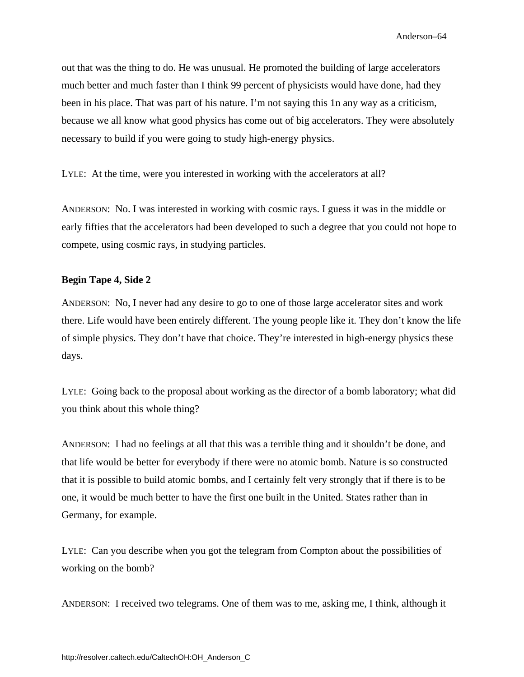out that was the thing to do. He was unusual. He promoted the building of large accelerators much better and much faster than I think 99 percent of physicists would have done, had they been in his place. That was part of his nature. I'm not saying this 1n any way as a criticism, because we all know what good physics has come out of big accelerators. They were absolutely necessary to build if you were going to study high-energy physics.

LYLE: At the time, were you interested in working with the accelerators at all?

ANDERSON: No. I was interested in working with cosmic rays. I guess it was in the middle or early fifties that the accelerators had been developed to such a degree that you could not hope to compete, using cosmic rays, in studying particles.

### **Begin Tape 4, Side 2**

ANDERSON: No, I never had any desire to go to one of those large accelerator sites and work there. Life would have been entirely different. The young people like it. They don't know the life of simple physics. They don't have that choice. They're interested in high-energy physics these days.

LYLE: Going back to the proposal about working as the director of a bomb laboratory; what did you think about this whole thing?

ANDERSON: I had no feelings at all that this was a terrible thing and it shouldn't be done, and that life would be better for everybody if there were no atomic bomb. Nature is so constructed that it is possible to build atomic bombs, and I certainly felt very strongly that if there is to be one, it would be much better to have the first one built in the United. States rather than in Germany, for example.

LYLE: Can you describe when you got the telegram from Compton about the possibilities of working on the bomb?

ANDERSON: I received two telegrams. One of them was to me, asking me, I think, although it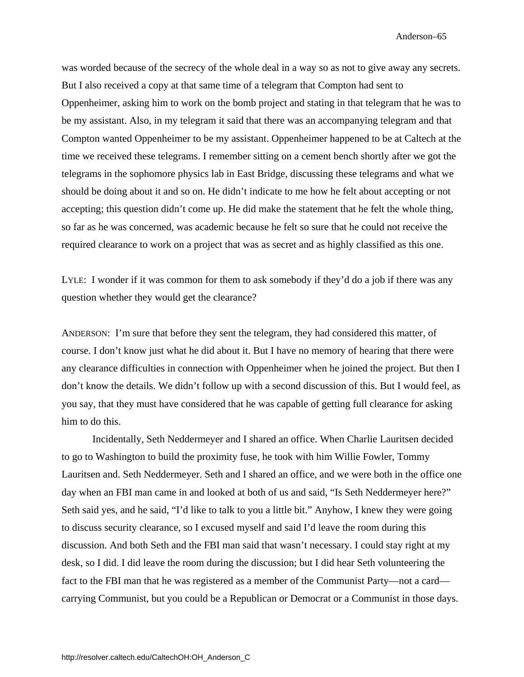was worded because of the secrecy of the whole deal in a way so as not to give away any secrets. But I also received a copy at that same time of a telegram that Compton had sent to Oppenheimer, asking him to work on the bomb project and stating in that telegram that he was to be my assistant. Also, in my telegram it said that there was an accompanying telegram and that Compton wanted Oppenheimer to be my assistant. Oppenheimer happened to be at Caltech at the time we received these telegrams. I remember sitting on a cement bench shortly after we got the telegrams in the sophomore physics lab in East Bridge, discussing these telegrams and what we should be doing about it and so on. He didn't indicate to me how he felt about accepting or not accepting; this question didn't come up. He did make the statement that he felt the whole thing, so far as he was concerned, was academic because he felt so sure that he could not receive the required clearance to work on a project that was as secret and as highly classified as this one.

LYLE: I wonder if it was common for them to ask somebody if they'd do a job if there was any question whether they would get the clearance?

ANDERSON: I'm sure that before they sent the telegram, they had considered this matter, of course. I don't know just what he did about it. But I have no memory of hearing that there were any clearance difficulties in connection with Oppenheimer when he joined the project. But then I don't know the details. We didn't follow up with a second discussion of this. But I would feel, as you say, that they must have considered that he was capable of getting full clearance for asking him to do this.

Incidentally, Seth Neddermeyer and I shared an office. When Charlie Lauritsen decided to go to Washington to build the proximity fuse, he took with him Willie Fowler, Tommy Lauritsen and. Seth Neddermeyer. Seth and I shared an office, and we were both in the office one day when an FBI man came in and looked at both of us and said, "Is Seth Neddermeyer here?" Seth said yes, and he said, "I'd like to talk to you a little bit." Anyhow, I knew they were going to discuss security clearance, so I excused myself and said I'd leave the room during this discussion. And both Seth and the FBI man said that wasn't necessary. I could stay right at my desk, so I did. I did leave the room during the discussion; but I did hear Seth volunteering the fact to the FBI man that he was registered as a member of the Communist Party—not a card carrying Communist, but you could be a Republican or Democrat or a Communist in those days.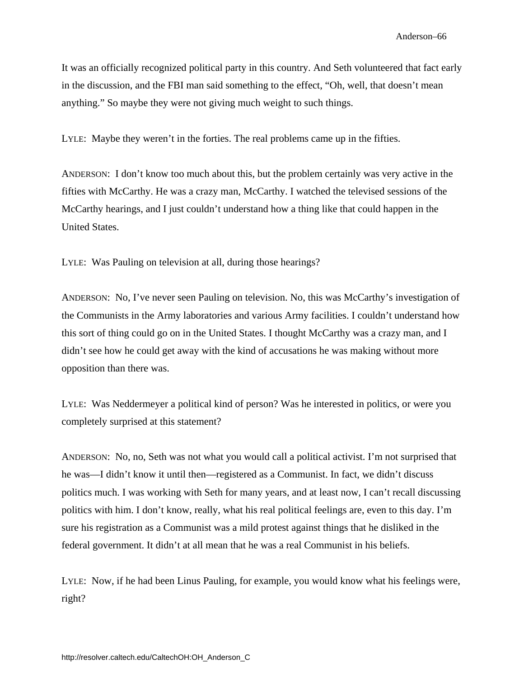It was an officially recognized political party in this country. And Seth volunteered that fact early in the discussion, and the FBI man said something to the effect, "Oh, well, that doesn't mean anything." So maybe they were not giving much weight to such things.

LYLE: Maybe they weren't in the forties. The real problems came up in the fifties.

ANDERSON: I don't know too much about this, but the problem certainly was very active in the fifties with McCarthy. He was a crazy man, McCarthy. I watched the televised sessions of the McCarthy hearings, and I just couldn't understand how a thing like that could happen in the United States.

LYLE: Was Pauling on television at all, during those hearings?

ANDERSON: No, I've never seen Pauling on television. No, this was McCarthy's investigation of the Communists in the Army laboratories and various Army facilities. I couldn't understand how this sort of thing could go on in the United States. I thought McCarthy was a crazy man, and I didn't see how he could get away with the kind of accusations he was making without more opposition than there was.

LYLE: Was Neddermeyer a political kind of person? Was he interested in politics, or were you completely surprised at this statement?

ANDERSON: No, no, Seth was not what you would call a political activist. I'm not surprised that he was—I didn't know it until then—registered as a Communist. In fact, we didn't discuss politics much. I was working with Seth for many years, and at least now, I can't recall discussing politics with him. I don't know, really, what his real political feelings are, even to this day. I'm sure his registration as a Communist was a mild protest against things that he disliked in the federal government. It didn't at all mean that he was a real Communist in his beliefs.

LYLE: Now, if he had been Linus Pauling, for example, you would know what his feelings were, right?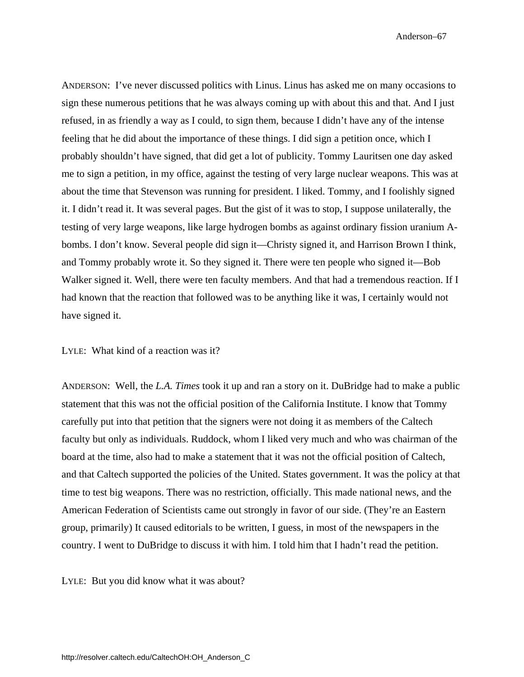ANDERSON: I've never discussed politics with Linus. Linus has asked me on many occasions to sign these numerous petitions that he was always coming up with about this and that. And I just refused, in as friendly a way as I could, to sign them, because I didn't have any of the intense feeling that he did about the importance of these things. I did sign a petition once, which I probably shouldn't have signed, that did get a lot of publicity. Tommy Lauritsen one day asked me to sign a petition, in my office, against the testing of very large nuclear weapons. This was at about the time that Stevenson was running for president. I liked. Tommy, and I foolishly signed it. I didn't read it. It was several pages. But the gist of it was to stop, I suppose unilaterally, the testing of very large weapons, like large hydrogen bombs as against ordinary fission uranium Abombs. I don't know. Several people did sign it—Christy signed it, and Harrison Brown I think, and Tommy probably wrote it. So they signed it. There were ten people who signed it—Bob Walker signed it. Well, there were ten faculty members. And that had a tremendous reaction. If I had known that the reaction that followed was to be anything like it was, I certainly would not have signed it.

### LYLE: What kind of a reaction was it?

ANDERSON: Well, the *L.A. Times* took it up and ran a story on it. DuBridge had to make a public statement that this was not the official position of the California Institute. I know that Tommy carefully put into that petition that the signers were not doing it as members of the Caltech faculty but only as individuals. Ruddock, whom I liked very much and who was chairman of the board at the time, also had to make a statement that it was not the official position of Caltech, and that Caltech supported the policies of the United. States government. It was the policy at that time to test big weapons. There was no restriction, officially. This made national news, and the American Federation of Scientists came out strongly in favor of our side. (They're an Eastern group, primarily) It caused editorials to be written, I guess, in most of the newspapers in the country. I went to DuBridge to discuss it with him. I told him that I hadn't read the petition.

LYLE: But you did know what it was about?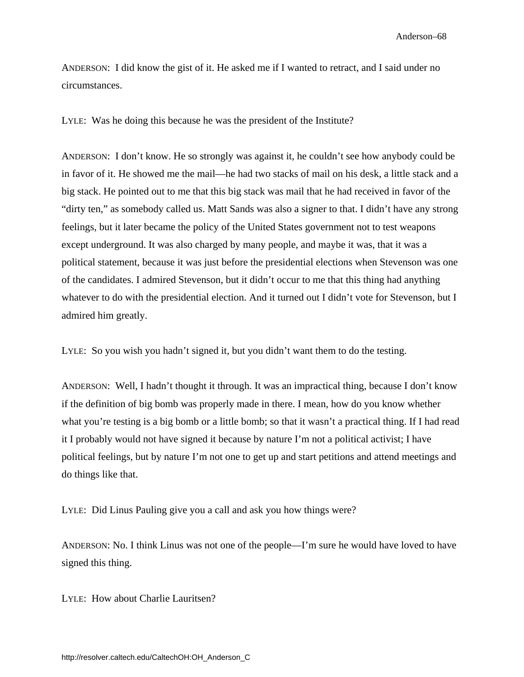ANDERSON: I did know the gist of it. He asked me if I wanted to retract, and I said under no circumstances.

LYLE: Was he doing this because he was the president of the Institute?

ANDERSON: I don't know. He so strongly was against it, he couldn't see how anybody could be in favor of it. He showed me the mail—he had two stacks of mail on his desk, a little stack and a big stack. He pointed out to me that this big stack was mail that he had received in favor of the "dirty ten," as somebody called us. Matt Sands was also a signer to that. I didn't have any strong feelings, but it later became the policy of the United States government not to test weapons except underground. It was also charged by many people, and maybe it was, that it was a political statement, because it was just before the presidential elections when Stevenson was one of the candidates. I admired Stevenson, but it didn't occur to me that this thing had anything whatever to do with the presidential election. And it turned out I didn't vote for Stevenson, but I admired him greatly.

LYLE: So you wish you hadn't signed it, but you didn't want them to do the testing.

ANDERSON: Well, I hadn't thought it through. It was an impractical thing, because I don't know if the definition of big bomb was properly made in there. I mean, how do you know whether what you're testing is a big bomb or a little bomb; so that it wasn't a practical thing. If I had read it I probably would not have signed it because by nature I'm not a political activist; I have political feelings, but by nature I'm not one to get up and start petitions and attend meetings and do things like that.

LYLE: Did Linus Pauling give you a call and ask you how things were?

ANDERSON: No. I think Linus was not one of the people—I'm sure he would have loved to have signed this thing.

LYLE: How about Charlie Lauritsen?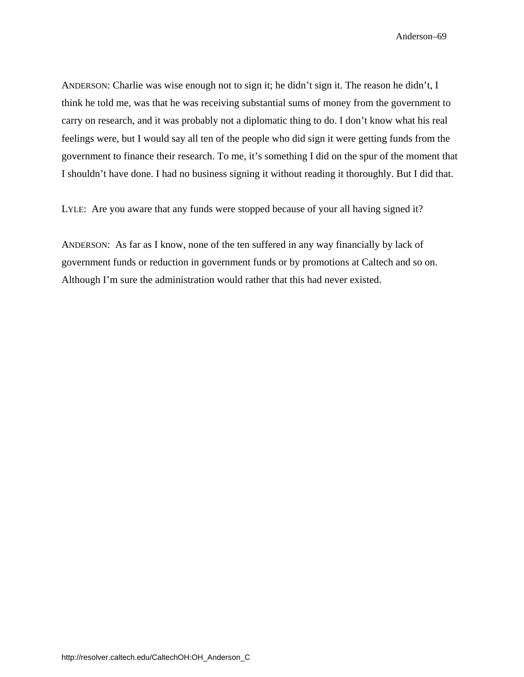ANDERSON: Charlie was wise enough not to sign it; he didn't sign it. The reason he didn't, I think he told me, was that he was receiving substantial sums of money from the government to carry on research, and it was probably not a diplomatic thing to do. I don't know what his real feelings were, but I would say all ten of the people who did sign it were getting funds from the government to finance their research. To me, it's something I did on the spur of the moment that I shouldn't have done. I had no business signing it without reading it thoroughly. But I did that.

LYLE: Are you aware that any funds were stopped because of your all having signed it?

ANDERSON: As far as I know, none of the ten suffered in any way financially by lack of government funds or reduction in government funds or by promotions at Caltech and so on. Although I'm sure the administration would rather that this had never existed.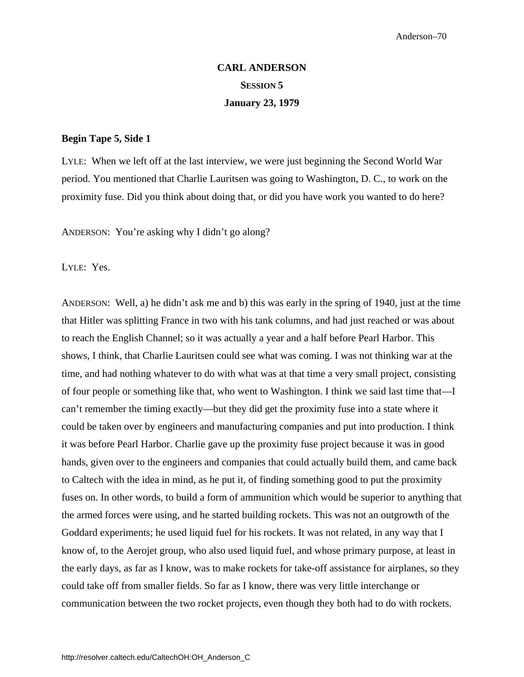# **CARL ANDERSON SESSION 5 January 23, 1979**

#### **Begin Tape 5, Side 1**

LYLE: When we left off at the last interview, we were just beginning the Second World War period. You mentioned that Charlie Lauritsen was going to Washington, D. C., to work on the proximity fuse. Did you think about doing that, or did you have work you wanted to do here?

ANDERSON: You're asking why I didn't go along?

LYLE: Yes.

ANDERSON: Well, a) he didn't ask me and b) this was early in the spring of 1940, just at the time that Hitler was splitting France in two with his tank columns, and had just reached or was about to reach the English Channel; so it was actually a year and a half before Pearl Harbor. This shows, I think, that Charlie Lauritsen could see what was coming. I was not thinking war at the time, and had nothing whatever to do with what was at that time a very small project, consisting of four people or something like that, who went to Washington. I think we said last time that—I can't remember the timing exactly—but they did get the proximity fuse into a state where it could be taken over by engineers and manufacturing companies and put into production. I think it was before Pearl Harbor. Charlie gave up the proximity fuse project because it was in good hands, given over to the engineers and companies that could actually build them, and came back to Caltech with the idea in mind, as he put it, of finding something good to put the proximity fuses on. In other words, to build a form of ammunition which would be superior to anything that the armed forces were using, and he started building rockets. This was not an outgrowth of the Goddard experiments; he used liquid fuel for his rockets. It was not related, in any way that I know of, to the Aerojet group, who also used liquid fuel, and whose primary purpose, at least in the early days, as far as I know, was to make rockets for take-off assistance for airplanes, so they could take off from smaller fields. So far as I know, there was very little interchange or communication between the two rocket projects, even though they both had to do with rockets.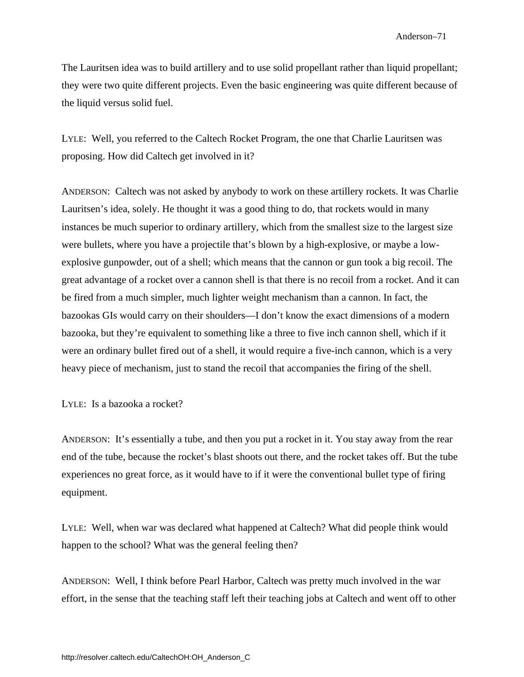The Lauritsen idea was to build artillery and to use solid propellant rather than liquid propellant; they were two quite different projects. Even the basic engineering was quite different because of the liquid versus solid fuel.

LYLE: Well, you referred to the Caltech Rocket Program, the one that Charlie Lauritsen was proposing. How did Caltech get involved in it?

ANDERSON: Caltech was not asked by anybody to work on these artillery rockets. It was Charlie Lauritsen's idea, solely. He thought it was a good thing to do, that rockets would in many instances be much superior to ordinary artillery, which from the smallest size to the largest size were bullets, where you have a projectile that's blown by a high-explosive, or maybe a lowexplosive gunpowder, out of a shell; which means that the cannon or gun took a big recoil. The great advantage of a rocket over a cannon shell is that there is no recoil from a rocket. And it can be fired from a much simpler, much lighter weight mechanism than a cannon. In fact, the bazookas GIs would carry on their shoulders—I don't know the exact dimensions of a modern bazooka, but they're equivalent to something like a three to five inch cannon shell, which if it were an ordinary bullet fired out of a shell, it would require a five-inch cannon, which is a very heavy piece of mechanism, just to stand the recoil that accompanies the firing of the shell.

### LYLE: Is a bazooka a rocket?

ANDERSON: It's essentially a tube, and then you put a rocket in it. You stay away from the rear end of the tube, because the rocket's blast shoots out there, and the rocket takes off. But the tube experiences no great force, as it would have to if it were the conventional bullet type of firing equipment.

LYLE: Well, when war was declared what happened at Caltech? What did people think would happen to the school? What was the general feeling then?

ANDERSON: Well, I think before Pearl Harbor, Caltech was pretty much involved in the war effort, in the sense that the teaching staff left their teaching jobs at Caltech and went off to other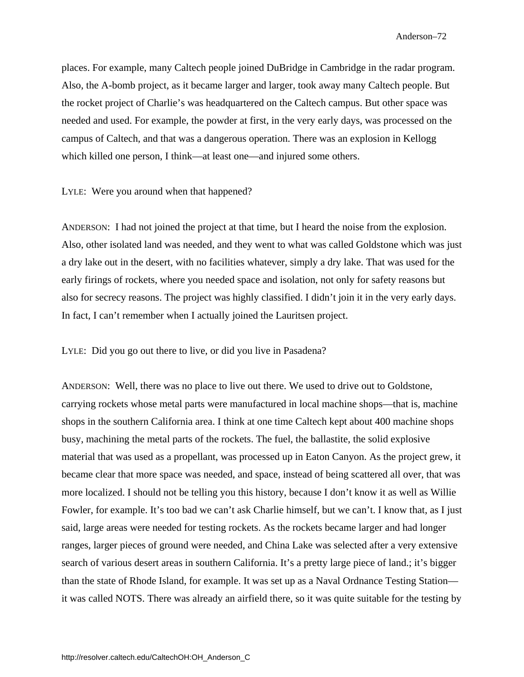places. For example, many Caltech people joined DuBridge in Cambridge in the radar program. Also, the A-bomb project, as it became larger and larger, took away many Caltech people. But the rocket project of Charlie's was headquartered on the Caltech campus. But other space was needed and used. For example, the powder at first, in the very early days, was processed on the campus of Caltech, and that was a dangerous operation. There was an explosion in Kellogg which killed one person, I think—at least one—and injured some others.

LYLE: Were you around when that happened?

ANDERSON: I had not joined the project at that time, but I heard the noise from the explosion. Also, other isolated land was needed, and they went to what was called Goldstone which was just a dry lake out in the desert, with no facilities whatever, simply a dry lake. That was used for the early firings of rockets, where you needed space and isolation, not only for safety reasons but also for secrecy reasons. The project was highly classified. I didn't join it in the very early days. In fact, I can't remember when I actually joined the Lauritsen project.

LYLE: Did you go out there to live, or did you live in Pasadena?

ANDERSON: Well, there was no place to live out there. We used to drive out to Goldstone, carrying rockets whose metal parts were manufactured in local machine shops—that is, machine shops in the southern California area. I think at one time Caltech kept about 400 machine shops busy, machining the metal parts of the rockets. The fuel, the ballastite, the solid explosive material that was used as a propellant, was processed up in Eaton Canyon. As the project grew, it became clear that more space was needed, and space, instead of being scattered all over, that was more localized. I should not be telling you this history, because I don't know it as well as Willie Fowler, for example. It's too bad we can't ask Charlie himself, but we can't. I know that, as I just said, large areas were needed for testing rockets. As the rockets became larger and had longer ranges, larger pieces of ground were needed, and China Lake was selected after a very extensive search of various desert areas in southern California. It's a pretty large piece of land.; it's bigger than the state of Rhode Island, for example. It was set up as a Naval Ordnance Testing Station it was called NOTS. There was already an airfield there, so it was quite suitable for the testing by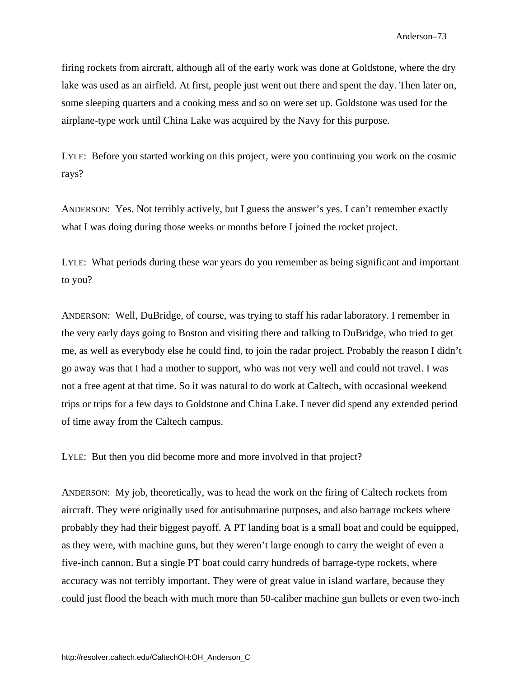firing rockets from aircraft, although all of the early work was done at Goldstone, where the dry lake was used as an airfield. At first, people just went out there and spent the day. Then later on, some sleeping quarters and a cooking mess and so on were set up. Goldstone was used for the airplane-type work until China Lake was acquired by the Navy for this purpose.

LYLE: Before you started working on this project, were you continuing you work on the cosmic rays?

ANDERSON: Yes. Not terribly actively, but I guess the answer's yes. I can't remember exactly what I was doing during those weeks or months before I joined the rocket project.

LYLE: What periods during these war years do you remember as being significant and important to you?

ANDERSON: Well, DuBridge, of course, was trying to staff his radar laboratory. I remember in the very early days going to Boston and visiting there and talking to DuBridge, who tried to get me, as well as everybody else he could find, to join the radar project. Probably the reason I didn't go away was that I had a mother to support, who was not very well and could not travel. I was not a free agent at that time. So it was natural to do work at Caltech, with occasional weekend trips or trips for a few days to Goldstone and China Lake. I never did spend any extended period of time away from the Caltech campus.

LYLE: But then you did become more and more involved in that project?

ANDERSON: My job, theoretically, was to head the work on the firing of Caltech rockets from aircraft. They were originally used for antisubmarine purposes, and also barrage rockets where probably they had their biggest payoff. A PT landing boat is a small boat and could be equipped, as they were, with machine guns, but they weren't large enough to carry the weight of even a five-inch cannon. But a single PT boat could carry hundreds of barrage-type rockets, where accuracy was not terribly important. They were of great value in island warfare, because they could just flood the beach with much more than 50-caliber machine gun bullets or even two-inch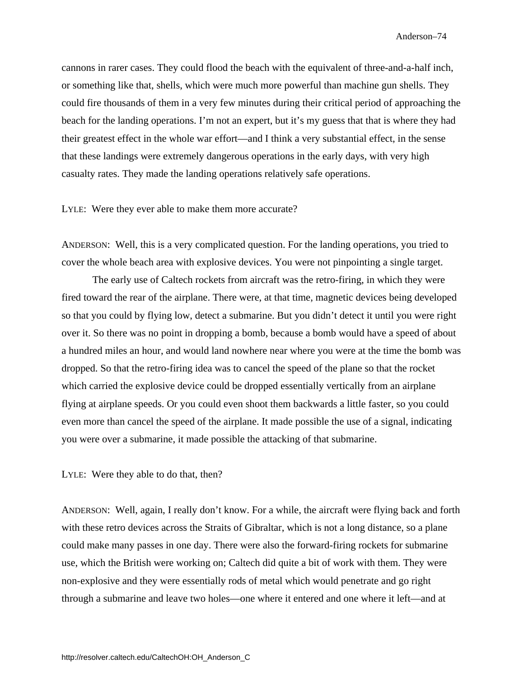cannons in rarer cases. They could flood the beach with the equivalent of three-and-a-half inch, or something like that, shells, which were much more powerful than machine gun shells. They could fire thousands of them in a very few minutes during their critical period of approaching the beach for the landing operations. I'm not an expert, but it's my guess that that is where they had their greatest effect in the whole war effort—and I think a very substantial effect, in the sense that these landings were extremely dangerous operations in the early days, with very high casualty rates. They made the landing operations relatively safe operations.

LYLE: Were they ever able to make them more accurate?

ANDERSON: Well, this is a very complicated question. For the landing operations, you tried to cover the whole beach area with explosive devices. You were not pinpointing a single target.

The early use of Caltech rockets from aircraft was the retro-firing, in which they were fired toward the rear of the airplane. There were, at that time, magnetic devices being developed so that you could by flying low, detect a submarine. But you didn't detect it until you were right over it. So there was no point in dropping a bomb, because a bomb would have a speed of about a hundred miles an hour, and would land nowhere near where you were at the time the bomb was dropped. So that the retro-firing idea was to cancel the speed of the plane so that the rocket which carried the explosive device could be dropped essentially vertically from an airplane flying at airplane speeds. Or you could even shoot them backwards a little faster, so you could even more than cancel the speed of the airplane. It made possible the use of a signal, indicating you were over a submarine, it made possible the attacking of that submarine.

LYLE: Were they able to do that, then?

ANDERSON: Well, again, I really don't know. For a while, the aircraft were flying back and forth with these retro devices across the Straits of Gibraltar, which is not a long distance, so a plane could make many passes in one day. There were also the forward-firing rockets for submarine use, which the British were working on; Caltech did quite a bit of work with them. They were non-explosive and they were essentially rods of metal which would penetrate and go right through a submarine and leave two holes—one where it entered and one where it left—and at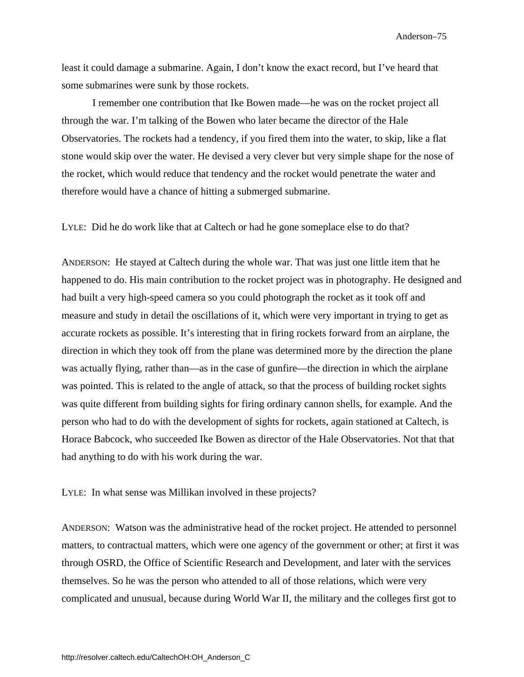least it could damage a submarine. Again, I don't know the exact record, but I've heard that some submarines were sunk by those rockets.

I remember one contribution that Ike Bowen made—he was on the rocket project all through the war. I'm talking of the Bowen who later became the director of the Hale Observatories. The rockets had a tendency, if you fired them into the water, to skip, like a flat stone would skip over the water. He devised a very clever but very simple shape for the nose of the rocket, which would reduce that tendency and the rocket would penetrate the water and therefore would have a chance of hitting a submerged submarine.

LYLE: Did he do work like that at Caltech or had he gone someplace else to do that?

ANDERSON: He stayed at Caltech during the whole war. That was just one little item that he happened to do. His main contribution to the rocket project was in photography. He designed and had built a very high-speed camera so you could photograph the rocket as it took off and measure and study in detail the oscillations of it, which were very important in trying to get as accurate rockets as possible. It's interesting that in firing rockets forward from an airplane, the direction in which they took off from the plane was determined more by the direction the plane was actually flying, rather than—as in the case of gunfire—the direction in which the airplane was pointed. This is related to the angle of attack, so that the process of building rocket sights was quite different from building sights for firing ordinary cannon shells, for example. And the person who had to do with the development of sights for rockets, again stationed at Caltech, is Horace Babcock, who succeeded Ike Bowen as director of the Hale Observatories. Not that that had anything to do with his work during the war.

LYLE: In what sense was Millikan involved in these projects?

ANDERSON: Watson was the administrative head of the rocket project. He attended to personnel matters, to contractual matters, which were one agency of the government or other; at first it was through OSRD, the Office of Scientific Research and Development, and later with the services themselves. So he was the person who attended to all of those relations, which were very complicated and unusual, because during World War II, the military and the colleges first got to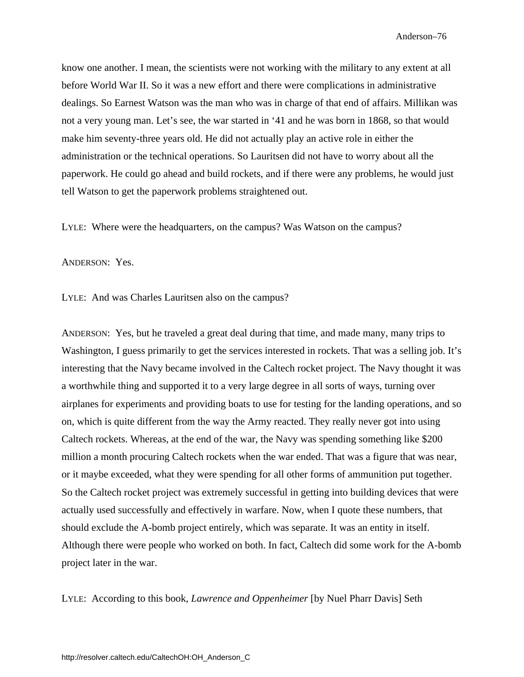know one another. I mean, the scientists were not working with the military to any extent at all before World War II. So it was a new effort and there were complications in administrative dealings. So Earnest Watson was the man who was in charge of that end of affairs. Millikan was not a very young man. Let's see, the war started in '41 and he was born in 1868, so that would make him seventy-three years old. He did not actually play an active role in either the administration or the technical operations. So Lauritsen did not have to worry about all the paperwork. He could go ahead and build rockets, and if there were any problems, he would just tell Watson to get the paperwork problems straightened out.

LYLE: Where were the headquarters, on the campus? Was Watson on the campus?

ANDERSON: Yes.

LYLE: And was Charles Lauritsen also on the campus?

ANDERSON: Yes, but he traveled a great deal during that time, and made many, many trips to Washington, I guess primarily to get the services interested in rockets. That was a selling job. It's interesting that the Navy became involved in the Caltech rocket project. The Navy thought it was a worthwhile thing and supported it to a very large degree in all sorts of ways, turning over airplanes for experiments and providing boats to use for testing for the landing operations, and so on, which is quite different from the way the Army reacted. They really never got into using Caltech rockets. Whereas, at the end of the war, the Navy was spending something like \$200 million a month procuring Caltech rockets when the war ended. That was a figure that was near, or it maybe exceeded, what they were spending for all other forms of ammunition put together. So the Caltech rocket project was extremely successful in getting into building devices that were actually used successfully and effectively in warfare. Now, when I quote these numbers, that should exclude the A-bomb project entirely, which was separate. It was an entity in itself. Although there were people who worked on both. In fact, Caltech did some work for the A-bomb project later in the war.

LYLE: According to this book, *Lawrence and Oppenheimer* [by Nuel Pharr Davis] Seth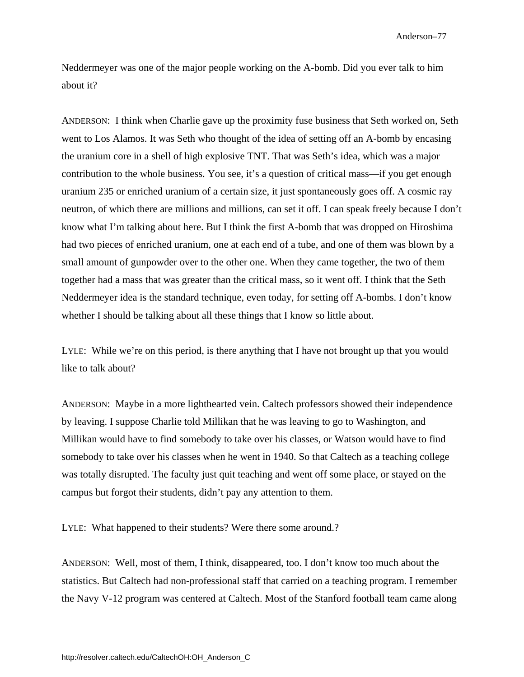Neddermeyer was one of the major people working on the A-bomb. Did you ever talk to him about it?

ANDERSON: I think when Charlie gave up the proximity fuse business that Seth worked on, Seth went to Los Alamos. It was Seth who thought of the idea of setting off an A-bomb by encasing the uranium core in a shell of high explosive TNT. That was Seth's idea, which was a major contribution to the whole business. You see, it's a question of critical mass—if you get enough uranium 235 or enriched uranium of a certain size, it just spontaneously goes off. A cosmic ray neutron, of which there are millions and millions, can set it off. I can speak freely because I don't know what I'm talking about here. But I think the first A-bomb that was dropped on Hiroshima had two pieces of enriched uranium, one at each end of a tube, and one of them was blown by a small amount of gunpowder over to the other one. When they came together, the two of them together had a mass that was greater than the critical mass, so it went off. I think that the Seth Neddermeyer idea is the standard technique, even today, for setting off A-bombs. I don't know whether I should be talking about all these things that I know so little about.

LYLE: While we're on this period, is there anything that I have not brought up that you would like to talk about?

ANDERSON: Maybe in a more lighthearted vein. Caltech professors showed their independence by leaving. I suppose Charlie told Millikan that he was leaving to go to Washington, and Millikan would have to find somebody to take over his classes, or Watson would have to find somebody to take over his classes when he went in 1940. So that Caltech as a teaching college was totally disrupted. The faculty just quit teaching and went off some place, or stayed on the campus but forgot their students, didn't pay any attention to them.

LYLE: What happened to their students? Were there some around.?

ANDERSON: Well, most of them, I think, disappeared, too. I don't know too much about the statistics. But Caltech had non-professional staff that carried on a teaching program. I remember the Navy V-12 program was centered at Caltech. Most of the Stanford football team came along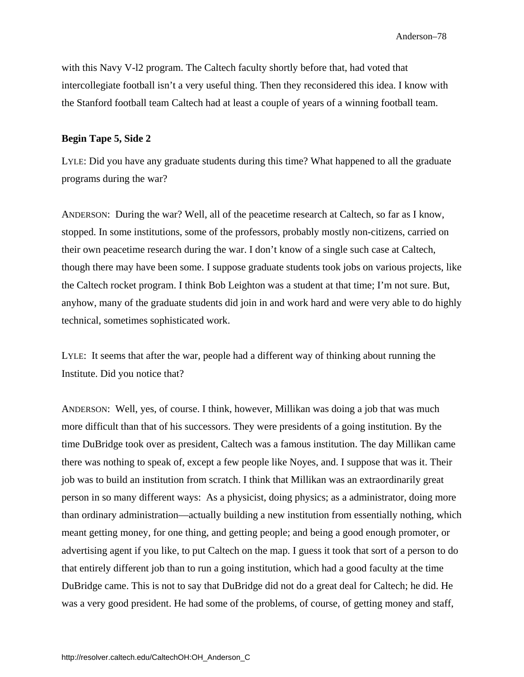with this Navy V-l2 program. The Caltech faculty shortly before that, had voted that intercollegiate football isn't a very useful thing. Then they reconsidered this idea. I know with the Stanford football team Caltech had at least a couple of years of a winning football team.

### **Begin Tape 5, Side 2**

LYLE: Did you have any graduate students during this time? What happened to all the graduate programs during the war?

ANDERSON: During the war? Well, all of the peacetime research at Caltech, so far as I know, stopped. In some institutions, some of the professors, probably mostly non-citizens, carried on their own peacetime research during the war. I don't know of a single such case at Caltech, though there may have been some. I suppose graduate students took jobs on various projects, like the Caltech rocket program. I think Bob Leighton was a student at that time; I'm not sure. But, anyhow, many of the graduate students did join in and work hard and were very able to do highly technical, sometimes sophisticated work.

LYLE: It seems that after the war, people had a different way of thinking about running the Institute. Did you notice that?

ANDERSON: Well, yes, of course. I think, however, Millikan was doing a job that was much more difficult than that of his successors. They were presidents of a going institution. By the time DuBridge took over as president, Caltech was a famous institution. The day Millikan came there was nothing to speak of, except a few people like Noyes, and. I suppose that was it. Their job was to build an institution from scratch. I think that Millikan was an extraordinarily great person in so many different ways: As a physicist, doing physics; as a administrator, doing more than ordinary administration—actually building a new institution from essentially nothing, which meant getting money, for one thing, and getting people; and being a good enough promoter, or advertising agent if you like, to put Caltech on the map. I guess it took that sort of a person to do that entirely different job than to run a going institution, which had a good faculty at the time DuBridge came. This is not to say that DuBridge did not do a great deal for Caltech; he did. He was a very good president. He had some of the problems, of course, of getting money and staff,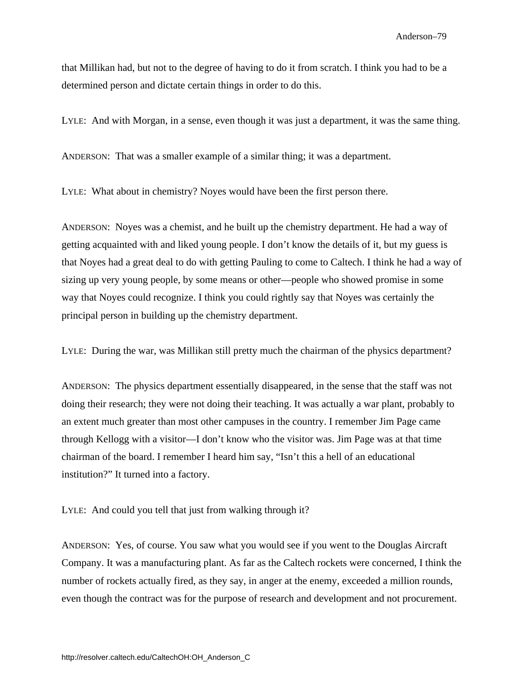that Millikan had, but not to the degree of having to do it from scratch. I think you had to be a determined person and dictate certain things in order to do this.

LYLE: And with Morgan, in a sense, even though it was just a department, it was the same thing.

ANDERSON: That was a smaller example of a similar thing; it was a department.

LYLE: What about in chemistry? Noyes would have been the first person there.

ANDERSON: Noyes was a chemist, and he built up the chemistry department. He had a way of getting acquainted with and liked young people. I don't know the details of it, but my guess is that Noyes had a great deal to do with getting Pauling to come to Caltech. I think he had a way of sizing up very young people, by some means or other—people who showed promise in some way that Noyes could recognize. I think you could rightly say that Noyes was certainly the principal person in building up the chemistry department.

LYLE: During the war, was Millikan still pretty much the chairman of the physics department?

ANDERSON: The physics department essentially disappeared, in the sense that the staff was not doing their research; they were not doing their teaching. It was actually a war plant, probably to an extent much greater than most other campuses in the country. I remember Jim Page came through Kellogg with a visitor—I don't know who the visitor was. Jim Page was at that time chairman of the board. I remember I heard him say, "Isn't this a hell of an educational institution?" It turned into a factory.

LYLE: And could you tell that just from walking through it?

ANDERSON: Yes, of course. You saw what you would see if you went to the Douglas Aircraft Company. It was a manufacturing plant. As far as the Caltech rockets were concerned, I think the number of rockets actually fired, as they say, in anger at the enemy, exceeded a million rounds, even though the contract was for the purpose of research and development and not procurement.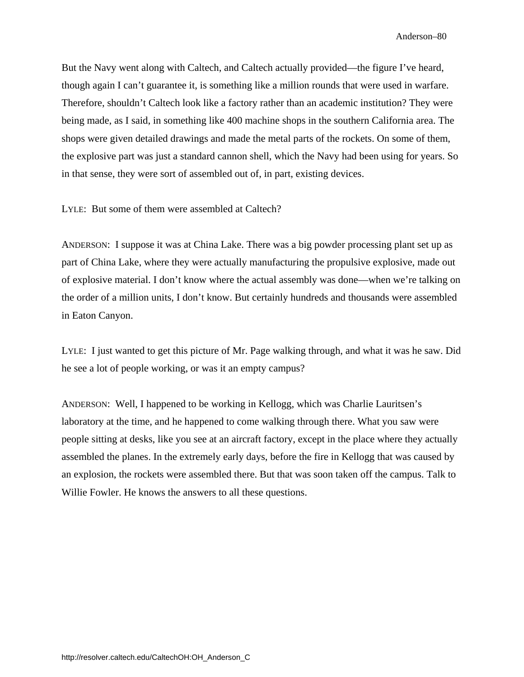But the Navy went along with Caltech, and Caltech actually provided—the figure I've heard, though again I can't guarantee it, is something like a million rounds that were used in warfare. Therefore, shouldn't Caltech look like a factory rather than an academic institution? They were being made, as I said, in something like 400 machine shops in the southern California area. The shops were given detailed drawings and made the metal parts of the rockets. On some of them, the explosive part was just a standard cannon shell, which the Navy had been using for years. So in that sense, they were sort of assembled out of, in part, existing devices.

LYLE: But some of them were assembled at Caltech?

ANDERSON: I suppose it was at China Lake. There was a big powder processing plant set up as part of China Lake, where they were actually manufacturing the propulsive explosive, made out of explosive material. I don't know where the actual assembly was done—when we're talking on the order of a million units, I don't know. But certainly hundreds and thousands were assembled in Eaton Canyon.

LYLE: I just wanted to get this picture of Mr. Page walking through, and what it was he saw. Did he see a lot of people working, or was it an empty campus?

ANDERSON: Well, I happened to be working in Kellogg, which was Charlie Lauritsen's laboratory at the time, and he happened to come walking through there. What you saw were people sitting at desks, like you see at an aircraft factory, except in the place where they actually assembled the planes. In the extremely early days, before the fire in Kellogg that was caused by an explosion, the rockets were assembled there. But that was soon taken off the campus. Talk to Willie Fowler. He knows the answers to all these questions.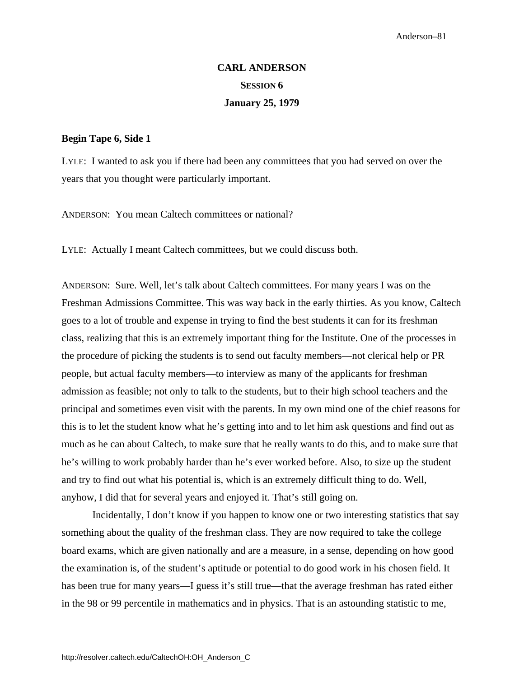# **CARL ANDERSON SESSION 6 January 25, 1979**

### **Begin Tape 6, Side 1**

LYLE: I wanted to ask you if there had been any committees that you had served on over the years that you thought were particularly important.

ANDERSON: You mean Caltech committees or national?

LYLE: Actually I meant Caltech committees, but we could discuss both.

ANDERSON: Sure. Well, let's talk about Caltech committees. For many years I was on the Freshman Admissions Committee. This was way back in the early thirties. As you know, Caltech goes to a lot of trouble and expense in trying to find the best students it can for its freshman class, realizing that this is an extremely important thing for the Institute. One of the processes in the procedure of picking the students is to send out faculty members—not clerical help or PR people, but actual faculty members—to interview as many of the applicants for freshman admission as feasible; not only to talk to the students, but to their high school teachers and the principal and sometimes even visit with the parents. In my own mind one of the chief reasons for this is to let the student know what he's getting into and to let him ask questions and find out as much as he can about Caltech, to make sure that he really wants to do this, and to make sure that he's willing to work probably harder than he's ever worked before. Also, to size up the student and try to find out what his potential is, which is an extremely difficult thing to do. Well, anyhow, I did that for several years and enjoyed it. That's still going on.

Incidentally, I don't know if you happen to know one or two interesting statistics that say something about the quality of the freshman class. They are now required to take the college board exams, which are given nationally and are a measure, in a sense, depending on how good the examination is, of the student's aptitude or potential to do good work in his chosen field. It has been true for many years—I guess it's still true—that the average freshman has rated either in the 98 or 99 percentile in mathematics and in physics. That is an astounding statistic to me,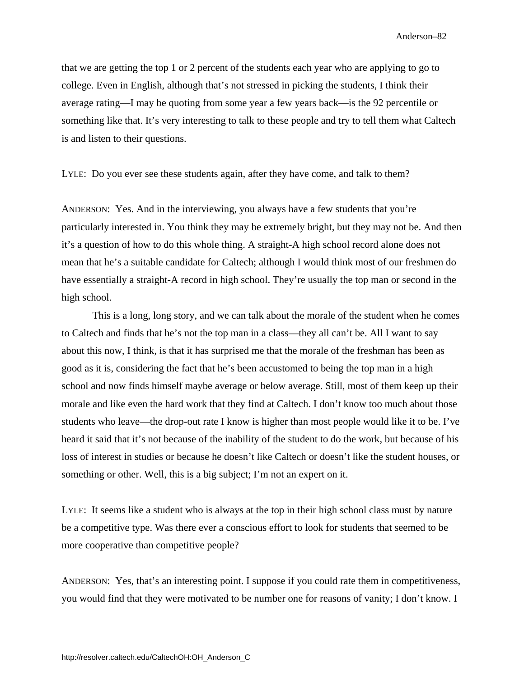that we are getting the top 1 or 2 percent of the students each year who are applying to go to college. Even in English, although that's not stressed in picking the students, I think their average rating—I may be quoting from some year a few years back—is the 92 percentile or something like that. It's very interesting to talk to these people and try to tell them what Caltech is and listen to their questions.

LYLE: Do you ever see these students again, after they have come, and talk to them?

ANDERSON: Yes. And in the interviewing, you always have a few students that you're particularly interested in. You think they may be extremely bright, but they may not be. And then it's a question of how to do this whole thing. A straight-A high school record alone does not mean that he's a suitable candidate for Caltech; although I would think most of our freshmen do have essentially a straight-A record in high school. They're usually the top man or second in the high school.

This is a long, long story, and we can talk about the morale of the student when he comes to Caltech and finds that he's not the top man in a class—they all can't be. All I want to say about this now, I think, is that it has surprised me that the morale of the freshman has been as good as it is, considering the fact that he's been accustomed to being the top man in a high school and now finds himself maybe average or below average. Still, most of them keep up their morale and like even the hard work that they find at Caltech. I don't know too much about those students who leave—the drop-out rate I know is higher than most people would like it to be. I've heard it said that it's not because of the inability of the student to do the work, but because of his loss of interest in studies or because he doesn't like Caltech or doesn't like the student houses, or something or other. Well, this is a big subject; I'm not an expert on it.

LYLE: It seems like a student who is always at the top in their high school class must by nature be a competitive type. Was there ever a conscious effort to look for students that seemed to be more cooperative than competitive people?

ANDERSON: Yes, that's an interesting point. I suppose if you could rate them in competitiveness, you would find that they were motivated to be number one for reasons of vanity; I don't know. I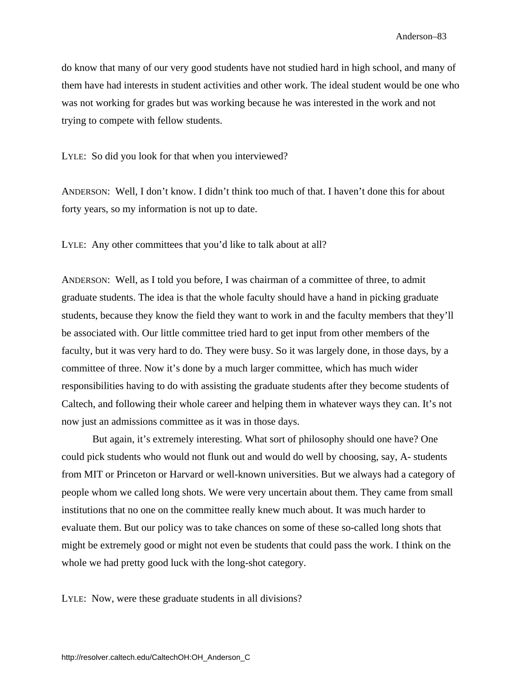do know that many of our very good students have not studied hard in high school, and many of them have had interests in student activities and other work. The ideal student would be one who was not working for grades but was working because he was interested in the work and not trying to compete with fellow students.

LYLE: So did you look for that when you interviewed?

ANDERSON: Well, I don't know. I didn't think too much of that. I haven't done this for about forty years, so my information is not up to date.

LYLE: Any other committees that you'd like to talk about at all?

ANDERSON: Well, as I told you before, I was chairman of a committee of three, to admit graduate students. The idea is that the whole faculty should have a hand in picking graduate students, because they know the field they want to work in and the faculty members that they'll be associated with. Our little committee tried hard to get input from other members of the faculty, but it was very hard to do. They were busy. So it was largely done, in those days, by a committee of three. Now it's done by a much larger committee, which has much wider responsibilities having to do with assisting the graduate students after they become students of Caltech, and following their whole career and helping them in whatever ways they can. It's not now just an admissions committee as it was in those days.

But again, it's extremely interesting. What sort of philosophy should one have? One could pick students who would not flunk out and would do well by choosing, say, A- students from MIT or Princeton or Harvard or well-known universities. But we always had a category of people whom we called long shots. We were very uncertain about them. They came from small institutions that no one on the committee really knew much about. It was much harder to evaluate them. But our policy was to take chances on some of these so-called long shots that might be extremely good or might not even be students that could pass the work. I think on the whole we had pretty good luck with the long-shot category.

LYLE: Now, were these graduate students in all divisions?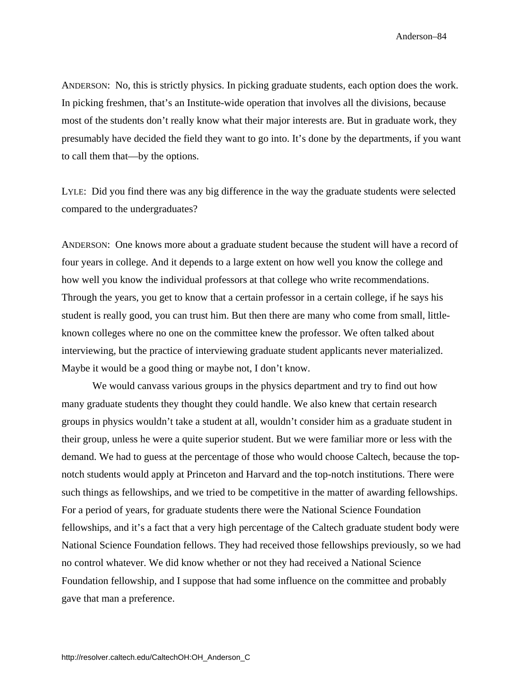ANDERSON: No, this is strictly physics. In picking graduate students, each option does the work. In picking freshmen, that's an Institute-wide operation that involves all the divisions, because most of the students don't really know what their major interests are. But in graduate work, they presumably have decided the field they want to go into. It's done by the departments, if you want to call them that—by the options.

LYLE: Did you find there was any big difference in the way the graduate students were selected compared to the undergraduates?

ANDERSON: One knows more about a graduate student because the student will have a record of four years in college. And it depends to a large extent on how well you know the college and how well you know the individual professors at that college who write recommendations. Through the years, you get to know that a certain professor in a certain college, if he says his student is really good, you can trust him. But then there are many who come from small, littleknown colleges where no one on the committee knew the professor. We often talked about interviewing, but the practice of interviewing graduate student applicants never materialized. Maybe it would be a good thing or maybe not, I don't know.

We would canvass various groups in the physics department and try to find out how many graduate students they thought they could handle. We also knew that certain research groups in physics wouldn't take a student at all, wouldn't consider him as a graduate student in their group, unless he were a quite superior student. But we were familiar more or less with the demand. We had to guess at the percentage of those who would choose Caltech, because the topnotch students would apply at Princeton and Harvard and the top-notch institutions. There were such things as fellowships, and we tried to be competitive in the matter of awarding fellowships. For a period of years, for graduate students there were the National Science Foundation fellowships, and it's a fact that a very high percentage of the Caltech graduate student body were National Science Foundation fellows. They had received those fellowships previously, so we had no control whatever. We did know whether or not they had received a National Science Foundation fellowship, and I suppose that had some influence on the committee and probably gave that man a preference.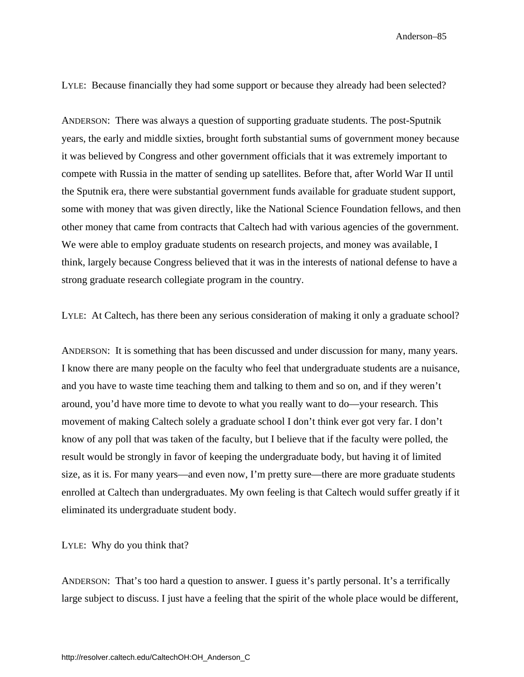LYLE: Because financially they had some support or because they already had been selected?

ANDERSON: There was always a question of supporting graduate students. The post-Sputnik years, the early and middle sixties, brought forth substantial sums of government money because it was believed by Congress and other government officials that it was extremely important to compete with Russia in the matter of sending up satellites. Before that, after World War II until the Sputnik era, there were substantial government funds available for graduate student support, some with money that was given directly, like the National Science Foundation fellows, and then other money that came from contracts that Caltech had with various agencies of the government. We were able to employ graduate students on research projects, and money was available, I think, largely because Congress believed that it was in the interests of national defense to have a strong graduate research collegiate program in the country.

LYLE: At Caltech, has there been any serious consideration of making it only a graduate school?

ANDERSON: It is something that has been discussed and under discussion for many, many years. I know there are many people on the faculty who feel that undergraduate students are a nuisance, and you have to waste time teaching them and talking to them and so on, and if they weren't around, you'd have more time to devote to what you really want to do—your research. This movement of making Caltech solely a graduate school I don't think ever got very far. I don't know of any poll that was taken of the faculty, but I believe that if the faculty were polled, the result would be strongly in favor of keeping the undergraduate body, but having it of limited size, as it is. For many years—and even now, I'm pretty sure—there are more graduate students enrolled at Caltech than undergraduates. My own feeling is that Caltech would suffer greatly if it eliminated its undergraduate student body.

LYLE: Why do you think that?

ANDERSON: That's too hard a question to answer. I guess it's partly personal. It's a terrifically large subject to discuss. I just have a feeling that the spirit of the whole place would be different,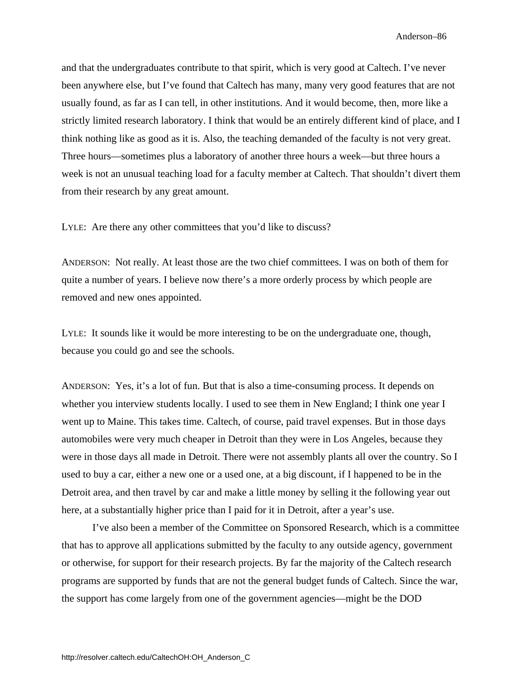and that the undergraduates contribute to that spirit, which is very good at Caltech. I've never been anywhere else, but I've found that Caltech has many, many very good features that are not usually found, as far as I can tell, in other institutions. And it would become, then, more like a strictly limited research laboratory. I think that would be an entirely different kind of place, and I think nothing like as good as it is. Also, the teaching demanded of the faculty is not very great. Three hours—sometimes plus a laboratory of another three hours a week—but three hours a week is not an unusual teaching load for a faculty member at Caltech. That shouldn't divert them from their research by any great amount.

LYLE: Are there any other committees that you'd like to discuss?

ANDERSON: Not really. At least those are the two chief committees. I was on both of them for quite a number of years. I believe now there's a more orderly process by which people are removed and new ones appointed.

LYLE: It sounds like it would be more interesting to be on the undergraduate one, though, because you could go and see the schools.

ANDERSON: Yes, it's a lot of fun. But that is also a time-consuming process. It depends on whether you interview students locally. I used to see them in New England; I think one year I went up to Maine. This takes time. Caltech, of course, paid travel expenses. But in those days automobiles were very much cheaper in Detroit than they were in Los Angeles, because they were in those days all made in Detroit. There were not assembly plants all over the country. So I used to buy a car, either a new one or a used one, at a big discount, if I happened to be in the Detroit area, and then travel by car and make a little money by selling it the following year out here, at a substantially higher price than I paid for it in Detroit, after a year's use.

I've also been a member of the Committee on Sponsored Research, which is a committee that has to approve all applications submitted by the faculty to any outside agency, government or otherwise, for support for their research projects. By far the majority of the Caltech research programs are supported by funds that are not the general budget funds of Caltech. Since the war, the support has come largely from one of the government agencies—might be the DOD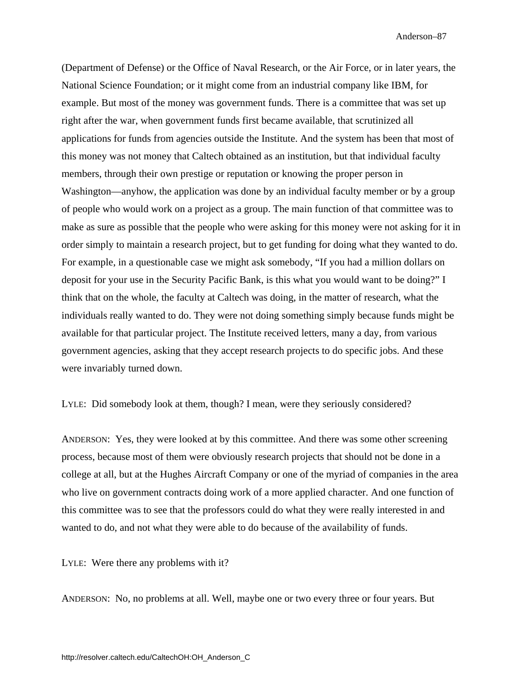(Department of Defense) or the Office of Naval Research, or the Air Force, or in later years, the National Science Foundation; or it might come from an industrial company like IBM, for example. But most of the money was government funds. There is a committee that was set up right after the war, when government funds first became available, that scrutinized all applications for funds from agencies outside the Institute. And the system has been that most of this money was not money that Caltech obtained as an institution, but that individual faculty members, through their own prestige or reputation or knowing the proper person in Washington—anyhow, the application was done by an individual faculty member or by a group of people who would work on a project as a group. The main function of that committee was to make as sure as possible that the people who were asking for this money were not asking for it in order simply to maintain a research project, but to get funding for doing what they wanted to do. For example, in a questionable case we might ask somebody, "If you had a million dollars on deposit for your use in the Security Pacific Bank, is this what you would want to be doing?" I think that on the whole, the faculty at Caltech was doing, in the matter of research, what the individuals really wanted to do. They were not doing something simply because funds might be available for that particular project. The Institute received letters, many a day, from various government agencies, asking that they accept research projects to do specific jobs. And these were invariably turned down.

LYLE: Did somebody look at them, though? I mean, were they seriously considered?

ANDERSON: Yes, they were looked at by this committee. And there was some other screening process, because most of them were obviously research projects that should not be done in a college at all, but at the Hughes Aircraft Company or one of the myriad of companies in the area who live on government contracts doing work of a more applied character. And one function of this committee was to see that the professors could do what they were really interested in and wanted to do, and not what they were able to do because of the availability of funds.

LYLE: Were there any problems with it?

ANDERSON: No, no problems at all. Well, maybe one or two every three or four years. But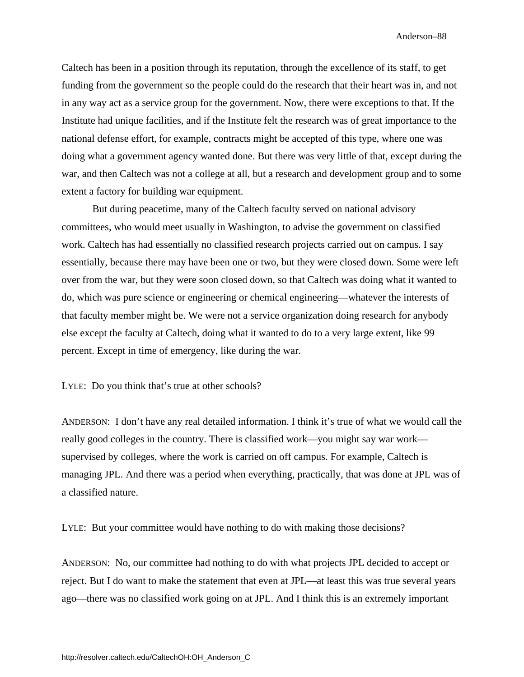Caltech has been in a position through its reputation, through the excellence of its staff, to get funding from the government so the people could do the research that their heart was in, and not in any way act as a service group for the government. Now, there were exceptions to that. If the Institute had unique facilities, and if the Institute felt the research was of great importance to the national defense effort, for example, contracts might be accepted of this type, where one was doing what a government agency wanted done. But there was very little of that, except during the war, and then Caltech was not a college at all, but a research and development group and to some extent a factory for building war equipment.

But during peacetime, many of the Caltech faculty served on national advisory committees, who would meet usually in Washington, to advise the government on classified work. Caltech has had essentially no classified research projects carried out on campus. I say essentially, because there may have been one or two, but they were closed down. Some were left over from the war, but they were soon closed down, so that Caltech was doing what it wanted to do, which was pure science or engineering or chemical engineering—whatever the interests of that faculty member might be. We were not a service organization doing research for anybody else except the faculty at Caltech, doing what it wanted to do to a very large extent, like 99 percent. Except in time of emergency, like during the war.

LYLE: Do you think that's true at other schools?

ANDERSON: I don't have any real detailed information. I think it's true of what we would call the really good colleges in the country. There is classified work—you might say war work supervised by colleges, where the work is carried on off campus. For example, Caltech is managing JPL. And there was a period when everything, practically, that was done at JPL was of a classified nature.

LYLE: But your committee would have nothing to do with making those decisions?

ANDERSON: No, our committee had nothing to do with what projects JPL decided to accept or reject. But I do want to make the statement that even at JPL—at least this was true several years ago—there was no classified work going on at JPL. And I think this is an extremely important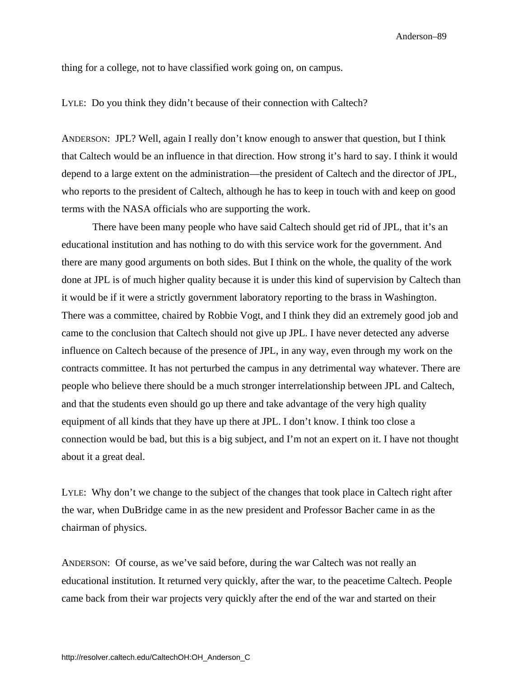thing for a college, not to have classified work going on, on campus.

LYLE: Do you think they didn't because of their connection with Caltech?

ANDERSON: JPL? Well, again I really don't know enough to answer that question, but I think that Caltech would be an influence in that direction. How strong it's hard to say. I think it would depend to a large extent on the administration—the president of Caltech and the director of JPL, who reports to the president of Caltech, although he has to keep in touch with and keep on good terms with the NASA officials who are supporting the work.

There have been many people who have said Caltech should get rid of JPL, that it's an educational institution and has nothing to do with this service work for the government. And there are many good arguments on both sides. But I think on the whole, the quality of the work done at JPL is of much higher quality because it is under this kind of supervision by Caltech than it would be if it were a strictly government laboratory reporting to the brass in Washington. There was a committee, chaired by Robbie Vogt, and I think they did an extremely good job and came to the conclusion that Caltech should not give up JPL. I have never detected any adverse influence on Caltech because of the presence of JPL, in any way, even through my work on the contracts committee. It has not perturbed the campus in any detrimental way whatever. There are people who believe there should be a much stronger interrelationship between JPL and Caltech, and that the students even should go up there and take advantage of the very high quality equipment of all kinds that they have up there at JPL. I don't know. I think too close a connection would be bad, but this is a big subject, and I'm not an expert on it. I have not thought about it a great deal.

LYLE: Why don't we change to the subject of the changes that took place in Caltech right after the war, when DuBridge came in as the new president and Professor Bacher came in as the chairman of physics.

ANDERSON: Of course, as we've said before, during the war Caltech was not really an educational institution. It returned very quickly, after the war, to the peacetime Caltech. People came back from their war projects very quickly after the end of the war and started on their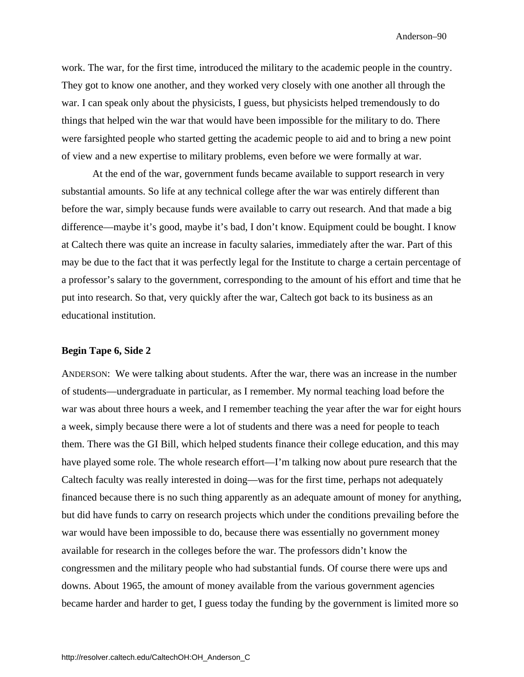work. The war, for the first time, introduced the military to the academic people in the country. They got to know one another, and they worked very closely with one another all through the war. I can speak only about the physicists, I guess, but physicists helped tremendously to do things that helped win the war that would have been impossible for the military to do. There were farsighted people who started getting the academic people to aid and to bring a new point of view and a new expertise to military problems, even before we were formally at war.

At the end of the war, government funds became available to support research in very substantial amounts. So life at any technical college after the war was entirely different than before the war, simply because funds were available to carry out research. And that made a big difference—maybe it's good, maybe it's bad, I don't know. Equipment could be bought. I know at Caltech there was quite an increase in faculty salaries, immediately after the war. Part of this may be due to the fact that it was perfectly legal for the Institute to charge a certain percentage of a professor's salary to the government, corresponding to the amount of his effort and time that he put into research. So that, very quickly after the war, Caltech got back to its business as an educational institution.

### **Begin Tape 6, Side 2**

ANDERSON: We were talking about students. After the war, there was an increase in the number of students—undergraduate in particular, as I remember. My normal teaching load before the war was about three hours a week, and I remember teaching the year after the war for eight hours a week, simply because there were a lot of students and there was a need for people to teach them. There was the GI Bill, which helped students finance their college education, and this may have played some role. The whole research effort—I'm talking now about pure research that the Caltech faculty was really interested in doing—was for the first time, perhaps not adequately financed because there is no such thing apparently as an adequate amount of money for anything, but did have funds to carry on research projects which under the conditions prevailing before the war would have been impossible to do, because there was essentially no government money available for research in the colleges before the war. The professors didn't know the congressmen and the military people who had substantial funds. Of course there were ups and downs. About 1965, the amount of money available from the various government agencies became harder and harder to get, I guess today the funding by the government is limited more so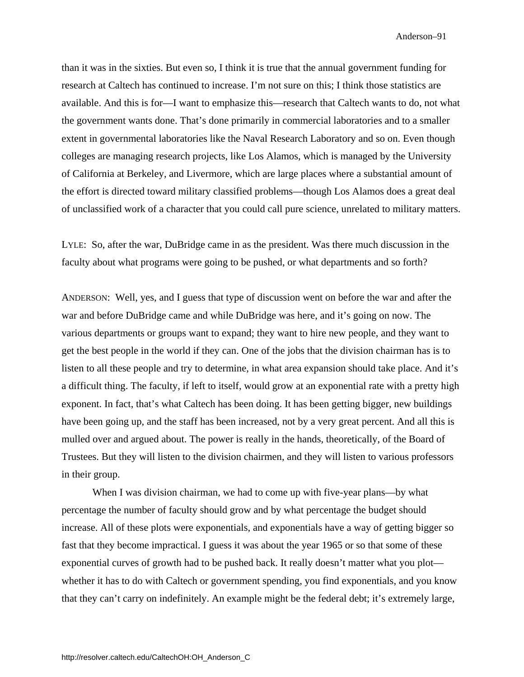than it was in the sixties. But even so, I think it is true that the annual government funding for research at Caltech has continued to increase. I'm not sure on this; I think those statistics are available. And this is for—I want to emphasize this—research that Caltech wants to do, not what the government wants done. That's done primarily in commercial laboratories and to a smaller extent in governmental laboratories like the Naval Research Laboratory and so on. Even though colleges are managing research projects, like Los Alamos, which is managed by the University of California at Berkeley, and Livermore, which are large places where a substantial amount of the effort is directed toward military classified problems—though Los Alamos does a great deal of unclassified work of a character that you could call pure science, unrelated to military matters.

LYLE: So, after the war, DuBridge came in as the president. Was there much discussion in the faculty about what programs were going to be pushed, or what departments and so forth?

ANDERSON: Well, yes, and I guess that type of discussion went on before the war and after the war and before DuBridge came and while DuBridge was here, and it's going on now. The various departments or groups want to expand; they want to hire new people, and they want to get the best people in the world if they can. One of the jobs that the division chairman has is to listen to all these people and try to determine, in what area expansion should take place. And it's a difficult thing. The faculty, if left to itself, would grow at an exponential rate with a pretty high exponent. In fact, that's what Caltech has been doing. It has been getting bigger, new buildings have been going up, and the staff has been increased, not by a very great percent. And all this is mulled over and argued about. The power is really in the hands, theoretically, of the Board of Trustees. But they will listen to the division chairmen, and they will listen to various professors in their group.

When I was division chairman, we had to come up with five-year plans—by what percentage the number of faculty should grow and by what percentage the budget should increase. All of these plots were exponentials, and exponentials have a way of getting bigger so fast that they become impractical. I guess it was about the year 1965 or so that some of these exponential curves of growth had to be pushed back. It really doesn't matter what you plot whether it has to do with Caltech or government spending, you find exponentials, and you know that they can't carry on indefinitely. An example might be the federal debt; it's extremely large,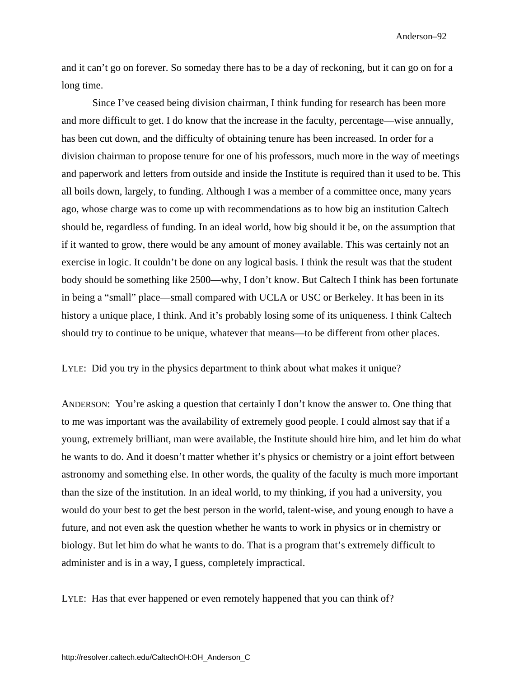and it can't go on forever. So someday there has to be a day of reckoning, but it can go on for a long time.

Since I've ceased being division chairman, I think funding for research has been more and more difficult to get. I do know that the increase in the faculty, percentage—wise annually, has been cut down, and the difficulty of obtaining tenure has been increased. In order for a division chairman to propose tenure for one of his professors, much more in the way of meetings and paperwork and letters from outside and inside the Institute is required than it used to be. This all boils down, largely, to funding. Although I was a member of a committee once, many years ago, whose charge was to come up with recommendations as to how big an institution Caltech should be, regardless of funding. In an ideal world, how big should it be, on the assumption that if it wanted to grow, there would be any amount of money available. This was certainly not an exercise in logic. It couldn't be done on any logical basis. I think the result was that the student body should be something like 2500—why, I don't know. But Caltech I think has been fortunate in being a "small" place—small compared with UCLA or USC or Berkeley. It has been in its history a unique place, I think. And it's probably losing some of its uniqueness. I think Caltech should try to continue to be unique, whatever that means—to be different from other places.

LYLE: Did you try in the physics department to think about what makes it unique?

ANDERSON: You're asking a question that certainly I don't know the answer to. One thing that to me was important was the availability of extremely good people. I could almost say that if a young, extremely brilliant, man were available, the Institute should hire him, and let him do what he wants to do. And it doesn't matter whether it's physics or chemistry or a joint effort between astronomy and something else. In other words, the quality of the faculty is much more important than the size of the institution. In an ideal world, to my thinking, if you had a university, you would do your best to get the best person in the world, talent-wise, and young enough to have a future, and not even ask the question whether he wants to work in physics or in chemistry or biology. But let him do what he wants to do. That is a program that's extremely difficult to administer and is in a way, I guess, completely impractical.

LYLE: Has that ever happened or even remotely happened that you can think of?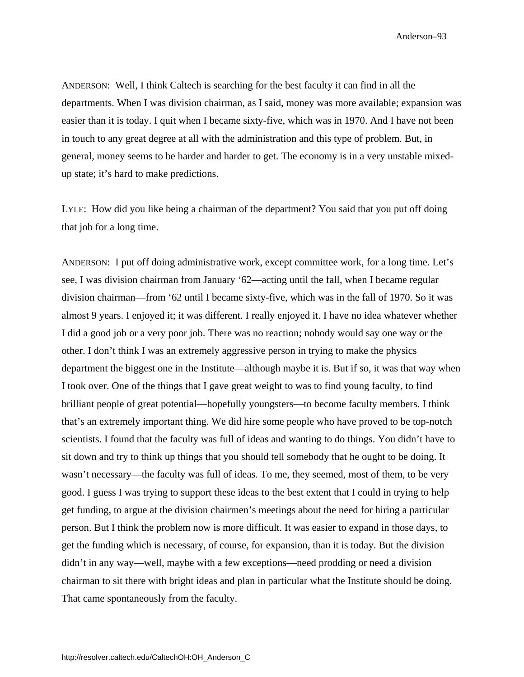ANDERSON: Well, I think Caltech is searching for the best faculty it can find in all the departments. When I was division chairman, as I said, money was more available; expansion was easier than it is today. I quit when I became sixty-five, which was in 1970. And I have not been in touch to any great degree at all with the administration and this type of problem. But, in general, money seems to be harder and harder to get. The economy is in a very unstable mixedup state; it's hard to make predictions.

LYLE: How did you like being a chairman of the department? You said that you put off doing that job for a long time.

ANDERSON: I put off doing administrative work, except committee work, for a long time. Let's see, I was division chairman from January '62—acting until the fall, when I became regular division chairman—from '62 until I became sixty-five, which was in the fall of 1970. So it was almost 9 years. I enjoyed it; it was different. I really enjoyed it. I have no idea whatever whether I did a good job or a very poor job. There was no reaction; nobody would say one way or the other. I don't think I was an extremely aggressive person in trying to make the physics department the biggest one in the Institute—although maybe it is. But if so, it was that way when I took over. One of the things that I gave great weight to was to find young faculty, to find brilliant people of great potential—hopefully youngsters—to become faculty members. I think that's an extremely important thing. We did hire some people who have proved to be top-notch scientists. I found that the faculty was full of ideas and wanting to do things. You didn't have to sit down and try to think up things that you should tell somebody that he ought to be doing. It wasn't necessary—the faculty was full of ideas. To me, they seemed, most of them, to be very good. I guess I was trying to support these ideas to the best extent that I could in trying to help get funding, to argue at the division chairmen's meetings about the need for hiring a particular person. But I think the problem now is more difficult. It was easier to expand in those days, to get the funding which is necessary, of course, for expansion, than it is today. But the division didn't in any way—well, maybe with a few exceptions—need prodding or need a division chairman to sit there with bright ideas and plan in particular what the Institute should be doing. That came spontaneously from the faculty.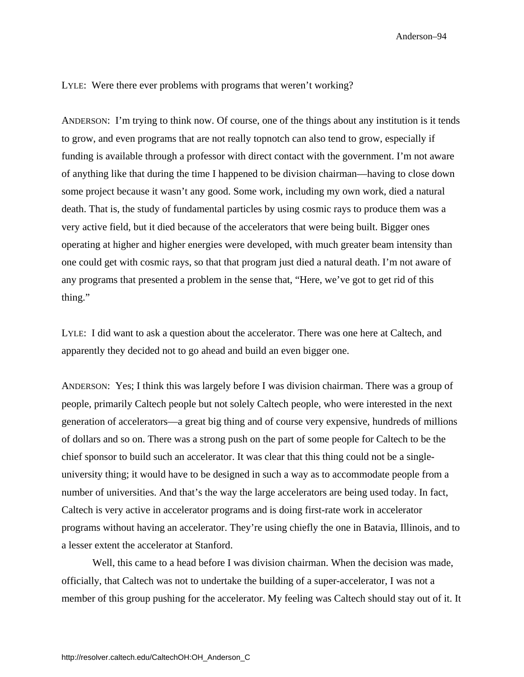LYLE: Were there ever problems with programs that weren't working?

ANDERSON: I'm trying to think now. Of course, one of the things about any institution is it tends to grow, and even programs that are not really topnotch can also tend to grow, especially if funding is available through a professor with direct contact with the government. I'm not aware of anything like that during the time I happened to be division chairman—having to close down some project because it wasn't any good. Some work, including my own work, died a natural death. That is, the study of fundamental particles by using cosmic rays to produce them was a very active field, but it died because of the accelerators that were being built. Bigger ones operating at higher and higher energies were developed, with much greater beam intensity than one could get with cosmic rays, so that that program just died a natural death. I'm not aware of any programs that presented a problem in the sense that, "Here, we've got to get rid of this thing."

LYLE: I did want to ask a question about the accelerator. There was one here at Caltech, and apparently they decided not to go ahead and build an even bigger one.

ANDERSON: Yes; I think this was largely before I was division chairman. There was a group of people, primarily Caltech people but not solely Caltech people, who were interested in the next generation of accelerators—a great big thing and of course very expensive, hundreds of millions of dollars and so on. There was a strong push on the part of some people for Caltech to be the chief sponsor to build such an accelerator. It was clear that this thing could not be a singleuniversity thing; it would have to be designed in such a way as to accommodate people from a number of universities. And that's the way the large accelerators are being used today. In fact, Caltech is very active in accelerator programs and is doing first-rate work in accelerator programs without having an accelerator. They're using chiefly the one in Batavia, Illinois, and to a lesser extent the accelerator at Stanford.

Well, this came to a head before I was division chairman. When the decision was made, officially, that Caltech was not to undertake the building of a super-accelerator, I was not a member of this group pushing for the accelerator. My feeling was Caltech should stay out of it. It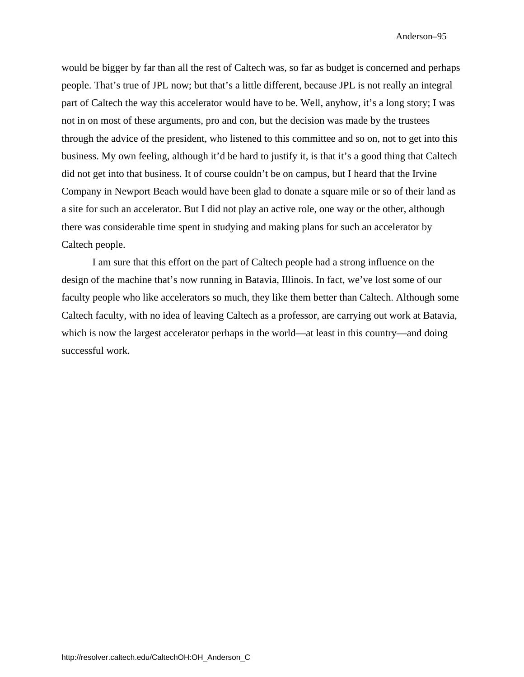would be bigger by far than all the rest of Caltech was, so far as budget is concerned and perhaps people. That's true of JPL now; but that's a little different, because JPL is not really an integral part of Caltech the way this accelerator would have to be. Well, anyhow, it's a long story; I was not in on most of these arguments, pro and con, but the decision was made by the trustees through the advice of the president, who listened to this committee and so on, not to get into this business. My own feeling, although it'd be hard to justify it, is that it's a good thing that Caltech did not get into that business. It of course couldn't be on campus, but I heard that the Irvine Company in Newport Beach would have been glad to donate a square mile or so of their land as a site for such an accelerator. But I did not play an active role, one way or the other, although there was considerable time spent in studying and making plans for such an accelerator by Caltech people.

I am sure that this effort on the part of Caltech people had a strong influence on the design of the machine that's now running in Batavia, Illinois. In fact, we've lost some of our faculty people who like accelerators so much, they like them better than Caltech. Although some Caltech faculty, with no idea of leaving Caltech as a professor, are carrying out work at Batavia, which is now the largest accelerator perhaps in the world—at least in this country—and doing successful work.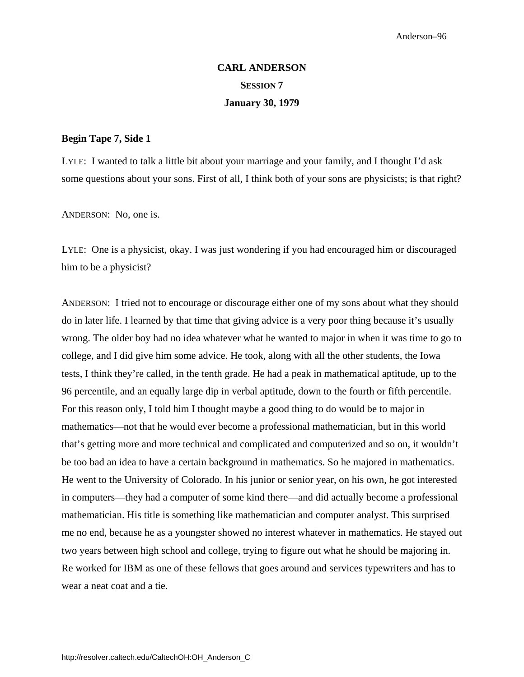# **CARL ANDERSON SESSION 7 January 30, 1979**

### **Begin Tape 7, Side 1**

LYLE: I wanted to talk a little bit about your marriage and your family, and I thought I'd ask some questions about your sons. First of all, I think both of your sons are physicists; is that right?

ANDERSON: No, one is.

LYLE: One is a physicist, okay. I was just wondering if you had encouraged him or discouraged him to be a physicist?

ANDERSON: I tried not to encourage or discourage either one of my sons about what they should do in later life. I learned by that time that giving advice is a very poor thing because it's usually wrong. The older boy had no idea whatever what he wanted to major in when it was time to go to college, and I did give him some advice. He took, along with all the other students, the Iowa tests, I think they're called, in the tenth grade. He had a peak in mathematical aptitude, up to the 96 percentile, and an equally large dip in verbal aptitude, down to the fourth or fifth percentile. For this reason only, I told him I thought maybe a good thing to do would be to major in mathematics—not that he would ever become a professional mathematician, but in this world that's getting more and more technical and complicated and computerized and so on, it wouldn't be too bad an idea to have a certain background in mathematics. So he majored in mathematics. He went to the University of Colorado. In his junior or senior year, on his own, he got interested in computers—they had a computer of some kind there—and did actually become a professional mathematician. His title is something like mathematician and computer analyst. This surprised me no end, because he as a youngster showed no interest whatever in mathematics. He stayed out two years between high school and college, trying to figure out what he should be majoring in. Re worked for IBM as one of these fellows that goes around and services typewriters and has to wear a neat coat and a tie.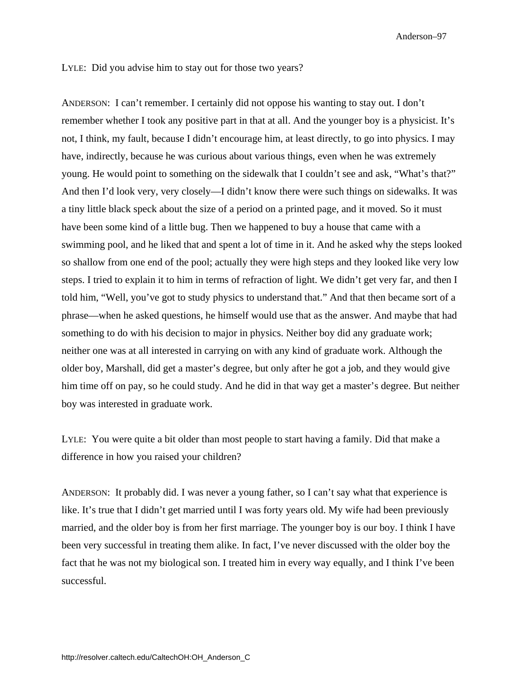#### LYLE: Did you advise him to stay out for those two years?

ANDERSON: I can't remember. I certainly did not oppose his wanting to stay out. I don't remember whether I took any positive part in that at all. And the younger boy is a physicist. It's not, I think, my fault, because I didn't encourage him, at least directly, to go into physics. I may have, indirectly, because he was curious about various things, even when he was extremely young. He would point to something on the sidewalk that I couldn't see and ask, "What's that?" And then I'd look very, very closely—I didn't know there were such things on sidewalks. It was a tiny little black speck about the size of a period on a printed page, and it moved. So it must have been some kind of a little bug. Then we happened to buy a house that came with a swimming pool, and he liked that and spent a lot of time in it. And he asked why the steps looked so shallow from one end of the pool; actually they were high steps and they looked like very low steps. I tried to explain it to him in terms of refraction of light. We didn't get very far, and then I told him, "Well, you've got to study physics to understand that." And that then became sort of a phrase—when he asked questions, he himself would use that as the answer. And maybe that had something to do with his decision to major in physics. Neither boy did any graduate work; neither one was at all interested in carrying on with any kind of graduate work. Although the older boy, Marshall, did get a master's degree, but only after he got a job, and they would give him time off on pay, so he could study. And he did in that way get a master's degree. But neither boy was interested in graduate work.

LYLE: You were quite a bit older than most people to start having a family. Did that make a difference in how you raised your children?

ANDERSON: It probably did. I was never a young father, so I can't say what that experience is like. It's true that I didn't get married until I was forty years old. My wife had been previously married, and the older boy is from her first marriage. The younger boy is our boy. I think I have been very successful in treating them alike. In fact, I've never discussed with the older boy the fact that he was not my biological son. I treated him in every way equally, and I think I've been successful.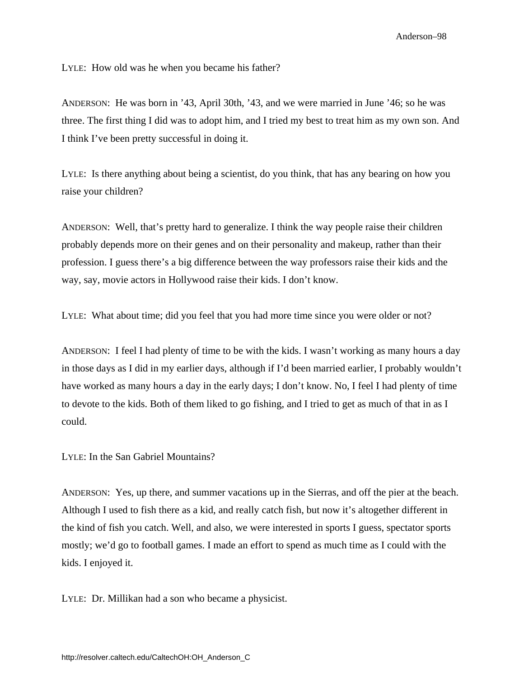LYLE: How old was he when you became his father?

ANDERSON: He was born in '43, April 30th, '43, and we were married in June '46; so he was three. The first thing I did was to adopt him, and I tried my best to treat him as my own son. And I think I've been pretty successful in doing it.

LYLE: Is there anything about being a scientist, do you think, that has any bearing on how you raise your children?

ANDERSON: Well, that's pretty hard to generalize. I think the way people raise their children probably depends more on their genes and on their personality and makeup, rather than their profession. I guess there's a big difference between the way professors raise their kids and the way, say, movie actors in Hollywood raise their kids. I don't know.

LYLE: What about time; did you feel that you had more time since you were older or not?

ANDERSON: I feel I had plenty of time to be with the kids. I wasn't working as many hours a day in those days as I did in my earlier days, although if I'd been married earlier, I probably wouldn't have worked as many hours a day in the early days; I don't know. No, I feel I had plenty of time to devote to the kids. Both of them liked to go fishing, and I tried to get as much of that in as I could.

LYLE: In the San Gabriel Mountains?

ANDERSON: Yes, up there, and summer vacations up in the Sierras, and off the pier at the beach. Although I used to fish there as a kid, and really catch fish, but now it's altogether different in the kind of fish you catch. Well, and also, we were interested in sports I guess, spectator sports mostly; we'd go to football games. I made an effort to spend as much time as I could with the kids. I enjoyed it.

LYLE: Dr. Millikan had a son who became a physicist.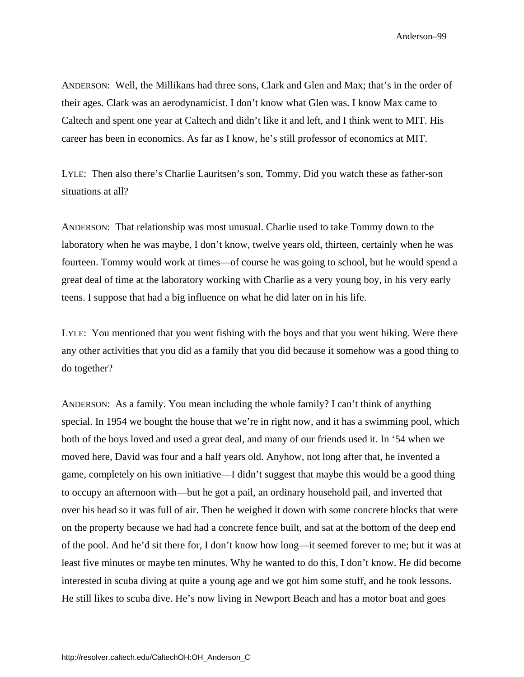ANDERSON: Well, the Millikans had three sons, Clark and Glen and Max; that's in the order of their ages. Clark was an aerodynamicist. I don't know what Glen was. I know Max came to Caltech and spent one year at Caltech and didn't like it and left, and I think went to MIT. His career has been in economics. As far as I know, he's still professor of economics at MIT.

LYLE: Then also there's Charlie Lauritsen's son, Tommy. Did you watch these as father-son situations at all?

ANDERSON: That relationship was most unusual. Charlie used to take Tommy down to the laboratory when he was maybe, I don't know, twelve years old, thirteen, certainly when he was fourteen. Tommy would work at times—of course he was going to school, but he would spend a great deal of time at the laboratory working with Charlie as a very young boy, in his very early teens. I suppose that had a big influence on what he did later on in his life.

LYLE: You mentioned that you went fishing with the boys and that you went hiking. Were there any other activities that you did as a family that you did because it somehow was a good thing to do together?

ANDERSON: As a family. You mean including the whole family? I can't think of anything special. In 1954 we bought the house that we're in right now, and it has a swimming pool, which both of the boys loved and used a great deal, and many of our friends used it. In '54 when we moved here, David was four and a half years old. Anyhow, not long after that, he invented a game, completely on his own initiative—I didn't suggest that maybe this would be a good thing to occupy an afternoon with—but he got a pail, an ordinary household pail, and inverted that over his head so it was full of air. Then he weighed it down with some concrete blocks that were on the property because we had had a concrete fence built, and sat at the bottom of the deep end of the pool. And he'd sit there for, I don't know how long—it seemed forever to me; but it was at least five minutes or maybe ten minutes. Why he wanted to do this, I don't know. He did become interested in scuba diving at quite a young age and we got him some stuff, and he took lessons. He still likes to scuba dive. He's now living in Newport Beach and has a motor boat and goes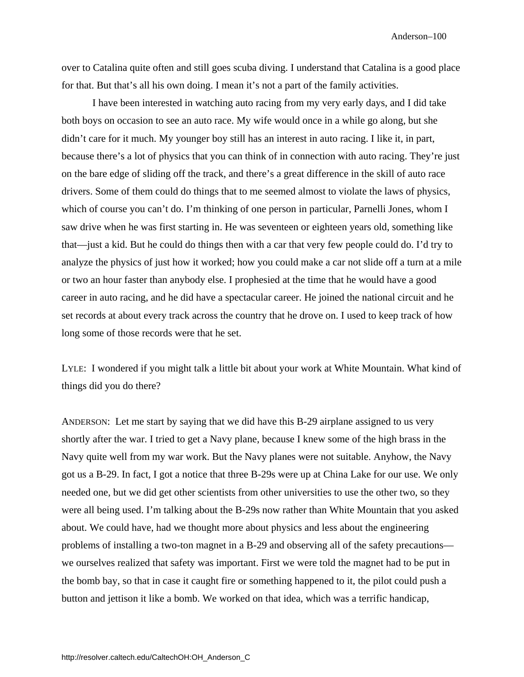over to Catalina quite often and still goes scuba diving. I understand that Catalina is a good place for that. But that's all his own doing. I mean it's not a part of the family activities.

I have been interested in watching auto racing from my very early days, and I did take both boys on occasion to see an auto race. My wife would once in a while go along, but she didn't care for it much. My younger boy still has an interest in auto racing. I like it, in part, because there's a lot of physics that you can think of in connection with auto racing. They're just on the bare edge of sliding off the track, and there's a great difference in the skill of auto race drivers. Some of them could do things that to me seemed almost to violate the laws of physics, which of course you can't do. I'm thinking of one person in particular, Parnelli Jones, whom I saw drive when he was first starting in. He was seventeen or eighteen years old, something like that—just a kid. But he could do things then with a car that very few people could do. I'd try to analyze the physics of just how it worked; how you could make a car not slide off a turn at a mile or two an hour faster than anybody else. I prophesied at the time that he would have a good career in auto racing, and he did have a spectacular career. He joined the national circuit and he set records at about every track across the country that he drove on. I used to keep track of how long some of those records were that he set.

LYLE: I wondered if you might talk a little bit about your work at White Mountain. What kind of things did you do there?

ANDERSON: Let me start by saying that we did have this B-29 airplane assigned to us very shortly after the war. I tried to get a Navy plane, because I knew some of the high brass in the Navy quite well from my war work. But the Navy planes were not suitable. Anyhow, the Navy got us a B-29. In fact, I got a notice that three B-29s were up at China Lake for our use. We only needed one, but we did get other scientists from other universities to use the other two, so they were all being used. I'm talking about the B-29s now rather than White Mountain that you asked about. We could have, had we thought more about physics and less about the engineering problems of installing a two-ton magnet in a B-29 and observing all of the safety precautions we ourselves realized that safety was important. First we were told the magnet had to be put in the bomb bay, so that in case it caught fire or something happened to it, the pilot could push a button and jettison it like a bomb. We worked on that idea, which was a terrific handicap,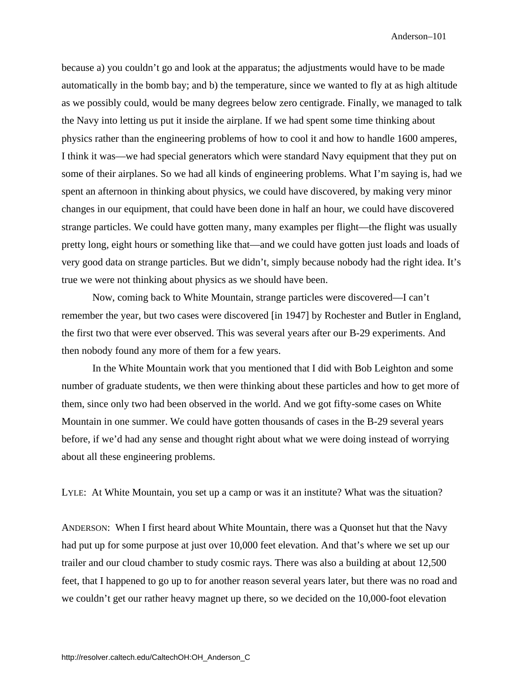because a) you couldn't go and look at the apparatus; the adjustments would have to be made automatically in the bomb bay; and b) the temperature, since we wanted to fly at as high altitude as we possibly could, would be many degrees below zero centigrade. Finally, we managed to talk the Navy into letting us put it inside the airplane. If we had spent some time thinking about physics rather than the engineering problems of how to cool it and how to handle 1600 amperes, I think it was—we had special generators which were standard Navy equipment that they put on some of their airplanes. So we had all kinds of engineering problems. What I'm saying is, had we spent an afternoon in thinking about physics, we could have discovered, by making very minor changes in our equipment, that could have been done in half an hour, we could have discovered strange particles. We could have gotten many, many examples per flight—the flight was usually pretty long, eight hours or something like that—and we could have gotten just loads and loads of very good data on strange particles. But we didn't, simply because nobody had the right idea. It's true we were not thinking about physics as we should have been.

Now, coming back to White Mountain, strange particles were discovered—I can't remember the year, but two cases were discovered [in 1947] by Rochester and Butler in England, the first two that were ever observed. This was several years after our B-29 experiments. And then nobody found any more of them for a few years.

In the White Mountain work that you mentioned that I did with Bob Leighton and some number of graduate students, we then were thinking about these particles and how to get more of them, since only two had been observed in the world. And we got fifty-some cases on White Mountain in one summer. We could have gotten thousands of cases in the B-29 several years before, if we'd had any sense and thought right about what we were doing instead of worrying about all these engineering problems.

LYLE: At White Mountain, you set up a camp or was it an institute? What was the situation?

ANDERSON: When I first heard about White Mountain, there was a Quonset hut that the Navy had put up for some purpose at just over 10,000 feet elevation. And that's where we set up our trailer and our cloud chamber to study cosmic rays. There was also a building at about 12,500 feet, that I happened to go up to for another reason several years later, but there was no road and we couldn't get our rather heavy magnet up there, so we decided on the 10,000-foot elevation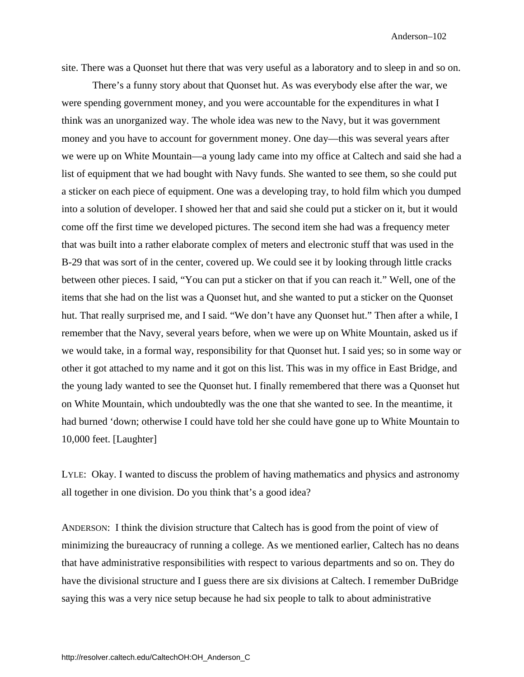site. There was a Quonset hut there that was very useful as a laboratory and to sleep in and so on.

There's a funny story about that Quonset hut. As was everybody else after the war, we were spending government money, and you were accountable for the expenditures in what I think was an unorganized way. The whole idea was new to the Navy, but it was government money and you have to account for government money. One day—this was several years after we were up on White Mountain—a young lady came into my office at Caltech and said she had a list of equipment that we had bought with Navy funds. She wanted to see them, so she could put a sticker on each piece of equipment. One was a developing tray, to hold film which you dumped into a solution of developer. I showed her that and said she could put a sticker on it, but it would come off the first time we developed pictures. The second item she had was a frequency meter that was built into a rather elaborate complex of meters and electronic stuff that was used in the B-29 that was sort of in the center, covered up. We could see it by looking through little cracks between other pieces. I said, "You can put a sticker on that if you can reach it." Well, one of the items that she had on the list was a Quonset hut, and she wanted to put a sticker on the Quonset hut. That really surprised me, and I said. "We don't have any Quonset hut." Then after a while, I remember that the Navy, several years before, when we were up on White Mountain, asked us if we would take, in a formal way, responsibility for that Quonset hut. I said yes; so in some way or other it got attached to my name and it got on this list. This was in my office in East Bridge, and the young lady wanted to see the Quonset hut. I finally remembered that there was a Quonset hut on White Mountain, which undoubtedly was the one that she wanted to see. In the meantime, it had burned 'down; otherwise I could have told her she could have gone up to White Mountain to 10,000 feet. [Laughter]

LYLE: Okay. I wanted to discuss the problem of having mathematics and physics and astronomy all together in one division. Do you think that's a good idea?

ANDERSON: I think the division structure that Caltech has is good from the point of view of minimizing the bureaucracy of running a college. As we mentioned earlier, Caltech has no deans that have administrative responsibilities with respect to various departments and so on. They do have the divisional structure and I guess there are six divisions at Caltech. I remember DuBridge saying this was a very nice setup because he had six people to talk to about administrative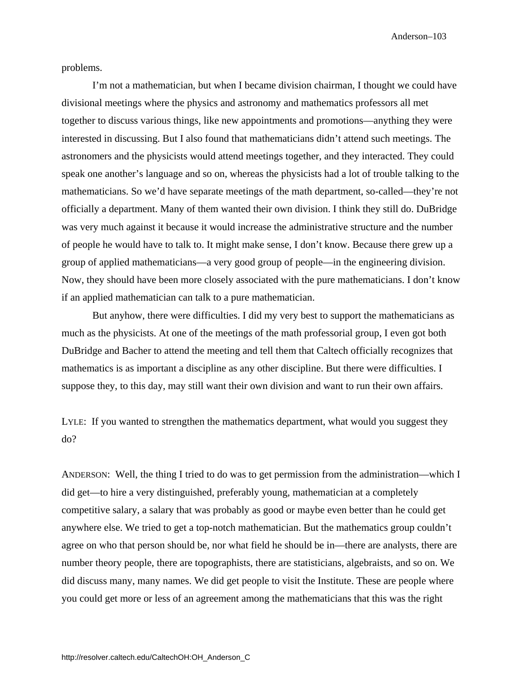problems.

I'm not a mathematician, but when I became division chairman, I thought we could have divisional meetings where the physics and astronomy and mathematics professors all met together to discuss various things, like new appointments and promotions—anything they were interested in discussing. But I also found that mathematicians didn't attend such meetings. The astronomers and the physicists would attend meetings together, and they interacted. They could speak one another's language and so on, whereas the physicists had a lot of trouble talking to the mathematicians. So we'd have separate meetings of the math department, so-called—they're not officially a department. Many of them wanted their own division. I think they still do. DuBridge was very much against it because it would increase the administrative structure and the number of people he would have to talk to. It might make sense, I don't know. Because there grew up a group of applied mathematicians—a very good group of people—in the engineering division. Now, they should have been more closely associated with the pure mathematicians. I don't know if an applied mathematician can talk to a pure mathematician.

But anyhow, there were difficulties. I did my very best to support the mathematicians as much as the physicists. At one of the meetings of the math professorial group, I even got both DuBridge and Bacher to attend the meeting and tell them that Caltech officially recognizes that mathematics is as important a discipline as any other discipline. But there were difficulties. I suppose they, to this day, may still want their own division and want to run their own affairs.

LYLE: If you wanted to strengthen the mathematics department, what would you suggest they do?

ANDERSON: Well, the thing I tried to do was to get permission from the administration—which I did get—to hire a very distinguished, preferably young, mathematician at a completely competitive salary, a salary that was probably as good or maybe even better than he could get anywhere else. We tried to get a top-notch mathematician. But the mathematics group couldn't agree on who that person should be, nor what field he should be in—there are analysts, there are number theory people, there are topographists, there are statisticians, algebraists, and so on. We did discuss many, many names. We did get people to visit the Institute. These are people where you could get more or less of an agreement among the mathematicians that this was the right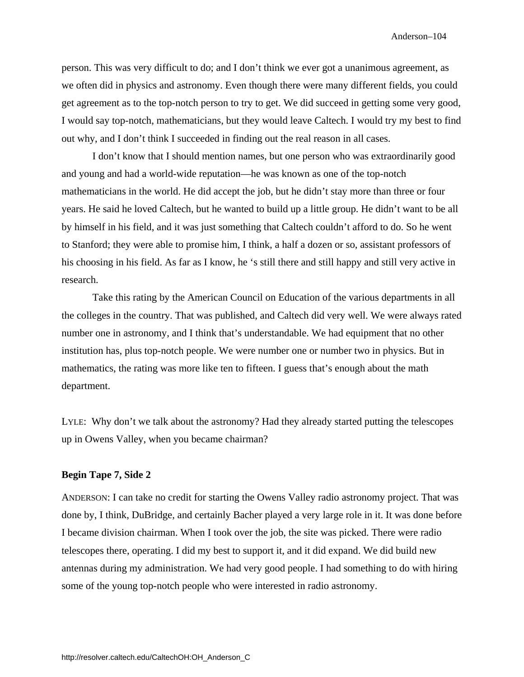person. This was very difficult to do; and I don't think we ever got a unanimous agreement, as we often did in physics and astronomy. Even though there were many different fields, you could get agreement as to the top-notch person to try to get. We did succeed in getting some very good, I would say top-notch, mathematicians, but they would leave Caltech. I would try my best to find out why, and I don't think I succeeded in finding out the real reason in all cases.

I don't know that I should mention names, but one person who was extraordinarily good and young and had a world-wide reputation—he was known as one of the top-notch mathematicians in the world. He did accept the job, but he didn't stay more than three or four years. He said he loved Caltech, but he wanted to build up a little group. He didn't want to be all by himself in his field, and it was just something that Caltech couldn't afford to do. So he went to Stanford; they were able to promise him, I think, a half a dozen or so, assistant professors of his choosing in his field. As far as I know, he 's still there and still happy and still very active in research.

Take this rating by the American Council on Education of the various departments in all the colleges in the country. That was published, and Caltech did very well. We were always rated number one in astronomy, and I think that's understandable. We had equipment that no other institution has, plus top-notch people. We were number one or number two in physics. But in mathematics, the rating was more like ten to fifteen. I guess that's enough about the math department.

LYLE: Why don't we talk about the astronomy? Had they already started putting the telescopes up in Owens Valley, when you became chairman?

## **Begin Tape 7, Side 2**

ANDERSON: I can take no credit for starting the Owens Valley radio astronomy project. That was done by, I think, DuBridge, and certainly Bacher played a very large role in it. It was done before I became division chairman. When I took over the job, the site was picked. There were radio telescopes there, operating. I did my best to support it, and it did expand. We did build new antennas during my administration. We had very good people. I had something to do with hiring some of the young top-notch people who were interested in radio astronomy.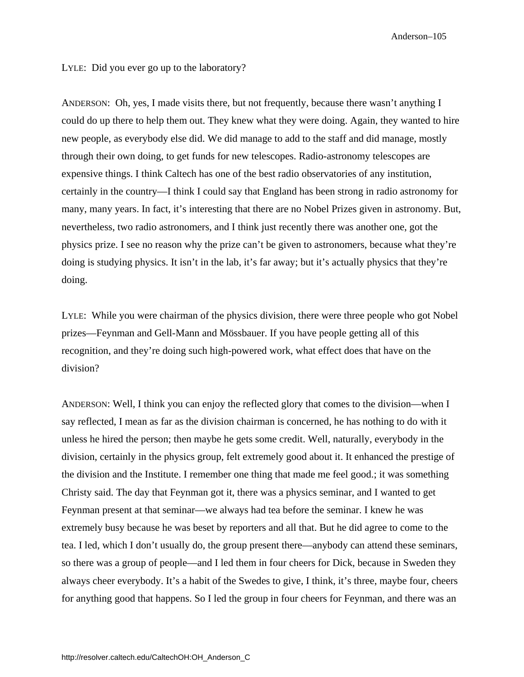LYLE: Did you ever go up to the laboratory?

ANDERSON: Oh, yes, I made visits there, but not frequently, because there wasn't anything I could do up there to help them out. They knew what they were doing. Again, they wanted to hire new people, as everybody else did. We did manage to add to the staff and did manage, mostly through their own doing, to get funds for new telescopes. Radio-astronomy telescopes are expensive things. I think Caltech has one of the best radio observatories of any institution, certainly in the country—I think I could say that England has been strong in radio astronomy for many, many years. In fact, it's interesting that there are no Nobel Prizes given in astronomy. But, nevertheless, two radio astronomers, and I think just recently there was another one, got the physics prize. I see no reason why the prize can't be given to astronomers, because what they're doing is studying physics. It isn't in the lab, it's far away; but it's actually physics that they're doing.

LYLE: While you were chairman of the physics division, there were three people who got Nobel prizes—Feynman and Gell-Mann and Mössbauer. If you have people getting all of this recognition, and they're doing such high-powered work, what effect does that have on the division?

ANDERSON: Well, I think you can enjoy the reflected glory that comes to the division—when I say reflected, I mean as far as the division chairman is concerned, he has nothing to do with it unless he hired the person; then maybe he gets some credit. Well, naturally, everybody in the division, certainly in the physics group, felt extremely good about it. It enhanced the prestige of the division and the Institute. I remember one thing that made me feel good.; it was something Christy said. The day that Feynman got it, there was a physics seminar, and I wanted to get Feynman present at that seminar—we always had tea before the seminar. I knew he was extremely busy because he was beset by reporters and all that. But he did agree to come to the tea. I led, which I don't usually do, the group present there—anybody can attend these seminars, so there was a group of people—and I led them in four cheers for Dick, because in Sweden they always cheer everybody. It's a habit of the Swedes to give, I think, it's three, maybe four, cheers for anything good that happens. So I led the group in four cheers for Feynman, and there was an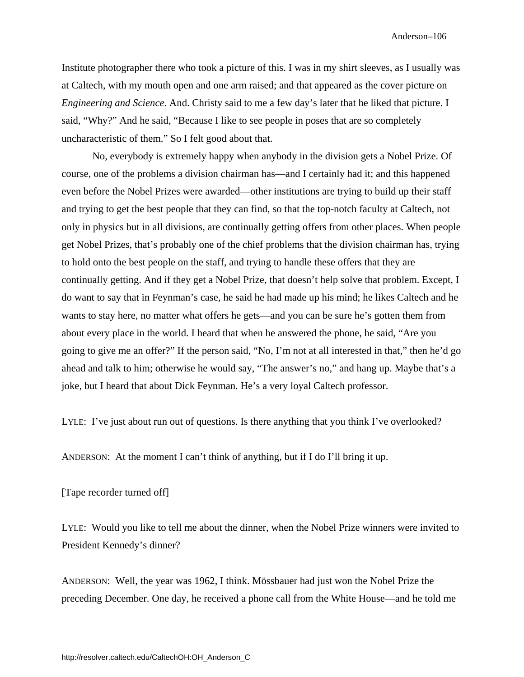Institute photographer there who took a picture of this. I was in my shirt sleeves, as I usually was at Caltech, with my mouth open and one arm raised; and that appeared as the cover picture on *Engineering and Science*. And. Christy said to me a few day's later that he liked that picture. I said, "Why?" And he said, "Because I like to see people in poses that are so completely uncharacteristic of them." So I felt good about that.

No, everybody is extremely happy when anybody in the division gets a Nobel Prize. Of course, one of the problems a division chairman has—and I certainly had it; and this happened even before the Nobel Prizes were awarded—other institutions are trying to build up their staff and trying to get the best people that they can find, so that the top-notch faculty at Caltech, not only in physics but in all divisions, are continually getting offers from other places. When people get Nobel Prizes, that's probably one of the chief problems that the division chairman has, trying to hold onto the best people on the staff, and trying to handle these offers that they are continually getting. And if they get a Nobel Prize, that doesn't help solve that problem. Except, I do want to say that in Feynman's case, he said he had made up his mind; he likes Caltech and he wants to stay here, no matter what offers he gets—and you can be sure he's gotten them from about every place in the world. I heard that when he answered the phone, he said, "Are you going to give me an offer?" If the person said, "No, I'm not at all interested in that," then he'd go ahead and talk to him; otherwise he would say, "The answer's no," and hang up. Maybe that's a joke, but I heard that about Dick Feynman. He's a very loyal Caltech professor.

LYLE: I've just about run out of questions. Is there anything that you think I've overlooked?

ANDERSON: At the moment I can't think of anything, but if I do I'll bring it up.

[Tape recorder turned off]

LYLE: Would you like to tell me about the dinner, when the Nobel Prize winners were invited to President Kennedy's dinner?

ANDERSON: Well, the year was 1962, I think. Mössbauer had just won the Nobel Prize the preceding December. One day, he received a phone call from the White House—and he told me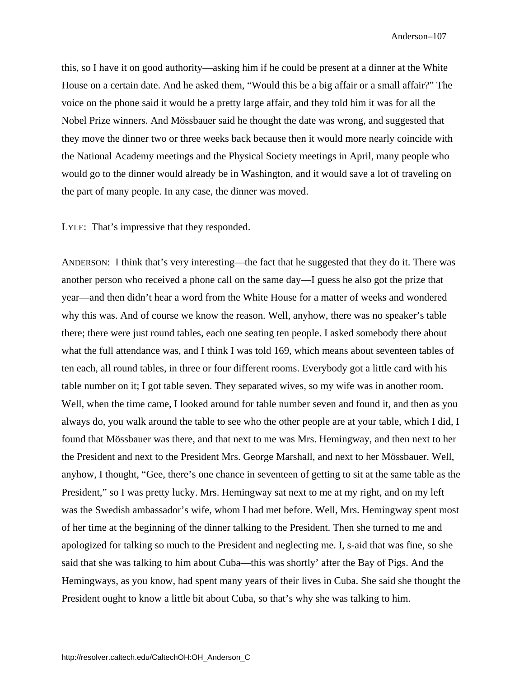this, so I have it on good authority—asking him if he could be present at a dinner at the White House on a certain date. And he asked them, "Would this be a big affair or a small affair?" The voice on the phone said it would be a pretty large affair, and they told him it was for all the Nobel Prize winners. And Mössbauer said he thought the date was wrong, and suggested that they move the dinner two or three weeks back because then it would more nearly coincide with the National Academy meetings and the Physical Society meetings in April, many people who would go to the dinner would already be in Washington, and it would save a lot of traveling on the part of many people. In any case, the dinner was moved.

LYLE: That's impressive that they responded.

ANDERSON: I think that's very interesting—the fact that he suggested that they do it. There was another person who received a phone call on the same day—I guess he also got the prize that year—and then didn't hear a word from the White House for a matter of weeks and wondered why this was. And of course we know the reason. Well, anyhow, there was no speaker's table there; there were just round tables, each one seating ten people. I asked somebody there about what the full attendance was, and I think I was told 169, which means about seventeen tables of ten each, all round tables, in three or four different rooms. Everybody got a little card with his table number on it; I got table seven. They separated wives, so my wife was in another room. Well, when the time came, I looked around for table number seven and found it, and then as you always do, you walk around the table to see who the other people are at your table, which I did, I found that Mössbauer was there, and that next to me was Mrs. Hemingway, and then next to her the President and next to the President Mrs. George Marshall, and next to her Mössbauer. Well, anyhow, I thought, "Gee, there's one chance in seventeen of getting to sit at the same table as the President," so I was pretty lucky. Mrs. Hemingway sat next to me at my right, and on my left was the Swedish ambassador's wife, whom I had met before. Well, Mrs. Hemingway spent most of her time at the beginning of the dinner talking to the President. Then she turned to me and apologized for talking so much to the President and neglecting me. I, s-aid that was fine, so she said that she was talking to him about Cuba—this was shortly' after the Bay of Pigs. And the Hemingways, as you know, had spent many years of their lives in Cuba. She said she thought the President ought to know a little bit about Cuba, so that's why she was talking to him.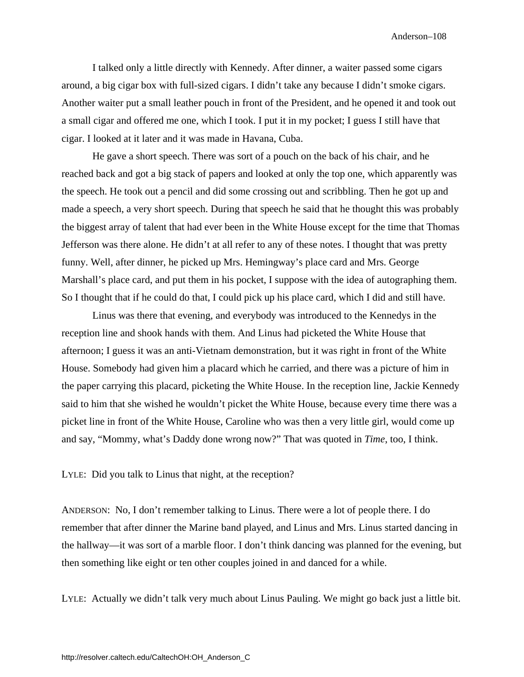I talked only a little directly with Kennedy. After dinner, a waiter passed some cigars around, a big cigar box with full-sized cigars. I didn't take any because I didn't smoke cigars. Another waiter put a small leather pouch in front of the President, and he opened it and took out a small cigar and offered me one, which I took. I put it in my pocket; I guess I still have that cigar. I looked at it later and it was made in Havana, Cuba.

He gave a short speech. There was sort of a pouch on the back of his chair, and he reached back and got a big stack of papers and looked at only the top one, which apparently was the speech. He took out a pencil and did some crossing out and scribbling. Then he got up and made a speech, a very short speech. During that speech he said that he thought this was probably the biggest array of talent that had ever been in the White House except for the time that Thomas Jefferson was there alone. He didn't at all refer to any of these notes. I thought that was pretty funny. Well, after dinner, he picked up Mrs. Hemingway's place card and Mrs. George Marshall's place card, and put them in his pocket, I suppose with the idea of autographing them. So I thought that if he could do that, I could pick up his place card, which I did and still have.

Linus was there that evening, and everybody was introduced to the Kennedys in the reception line and shook hands with them. And Linus had picketed the White House that afternoon; I guess it was an anti-Vietnam demonstration, but it was right in front of the White House. Somebody had given him a placard which he carried, and there was a picture of him in the paper carrying this placard, picketing the White House. In the reception line, Jackie Kennedy said to him that she wished he wouldn't picket the White House, because every time there was a picket line in front of the White House, Caroline who was then a very little girl, would come up and say, "Mommy, what's Daddy done wrong now?" That was quoted in *Time*, too, I think.

LYLE: Did you talk to Linus that night, at the reception?

ANDERSON: No, I don't remember talking to Linus. There were a lot of people there. I do remember that after dinner the Marine band played, and Linus and Mrs. Linus started dancing in the hallway—it was sort of a marble floor. I don't think dancing was planned for the evening, but then something like eight or ten other couples joined in and danced for a while.

LYLE: Actually we didn't talk very much about Linus Pauling. We might go back just a little bit.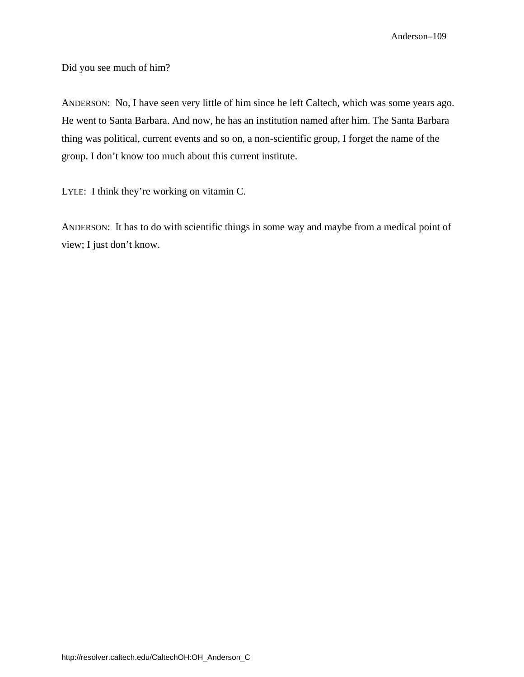Did you see much of him?

ANDERSON: No, I have seen very little of him since he left Caltech, which was some years ago. He went to Santa Barbara. And now, he has an institution named after him. The Santa Barbara thing was political, current events and so on, a non-scientific group, I forget the name of the group. I don't know too much about this current institute.

LYLE: I think they're working on vitamin C.

ANDERSON: It has to do with scientific things in some way and maybe from a medical point of view; I just don't know.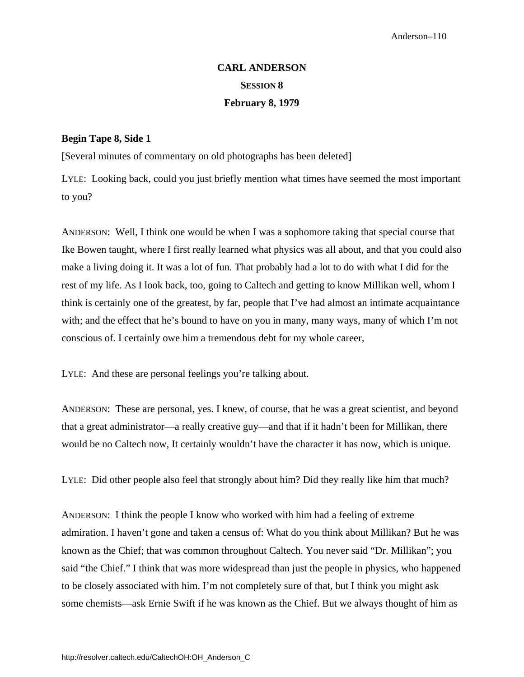## **CARL ANDERSON SESSION 8 February 8, 1979**

## **Begin Tape 8, Side 1**

[Several minutes of commentary on old photographs has been deleted]

LYLE: Looking back, could you just briefly mention what times have seemed the most important to you?

ANDERSON: Well, I think one would be when I was a sophomore taking that special course that Ike Bowen taught, where I first really learned what physics was all about, and that you could also make a living doing it. It was a lot of fun. That probably had a lot to do with what I did for the rest of my life. As I look back, too, going to Caltech and getting to know Millikan well, whom I think is certainly one of the greatest, by far, people that I've had almost an intimate acquaintance with; and the effect that he's bound to have on you in many, many ways, many of which I'm not conscious of. I certainly owe him a tremendous debt for my whole career,

LYLE: And these are personal feelings you're talking about.

ANDERSON: These are personal, yes. I knew, of course, that he was a great scientist, and beyond that a great administrator—a really creative guy—and that if it hadn't been for Millikan, there would be no Caltech now, It certainly wouldn't have the character it has now, which is unique.

LYLE: Did other people also feel that strongly about him? Did they really like him that much?

ANDERSON: I think the people I know who worked with him had a feeling of extreme admiration. I haven't gone and taken a census of: What do you think about Millikan? But he was known as the Chief; that was common throughout Caltech. You never said "Dr. Millikan"; you said "the Chief." I think that was more widespread than just the people in physics, who happened to be closely associated with him. I'm not completely sure of that, but I think you might ask some chemists—ask Ernie Swift if he was known as the Chief. But we always thought of him as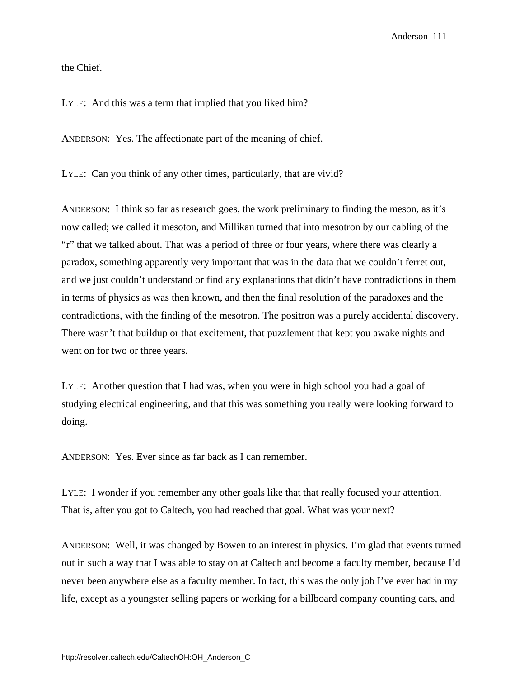the Chief.

LYLE: And this was a term that implied that you liked him?

ANDERSON: Yes. The affectionate part of the meaning of chief.

LYLE: Can you think of any other times, particularly, that are vivid?

ANDERSON: I think so far as research goes, the work preliminary to finding the meson, as it's now called; we called it mesoton, and Millikan turned that into mesotron by our cabling of the "r" that we talked about. That was a period of three or four years, where there was clearly a paradox, something apparently very important that was in the data that we couldn't ferret out, and we just couldn't understand or find any explanations that didn't have contradictions in them in terms of physics as was then known, and then the final resolution of the paradoxes and the contradictions, with the finding of the mesotron. The positron was a purely accidental discovery. There wasn't that buildup or that excitement, that puzzlement that kept you awake nights and went on for two or three years.

LYLE: Another question that I had was, when you were in high school you had a goal of studying electrical engineering, and that this was something you really were looking forward to doing.

ANDERSON: Yes. Ever since as far back as I can remember.

LYLE: I wonder if you remember any other goals like that that really focused your attention. That is, after you got to Caltech, you had reached that goal. What was your next?

ANDERSON: Well, it was changed by Bowen to an interest in physics. I'm glad that events turned out in such a way that I was able to stay on at Caltech and become a faculty member, because I'd never been anywhere else as a faculty member. In fact, this was the only job I've ever had in my life, except as a youngster selling papers or working for a billboard company counting cars, and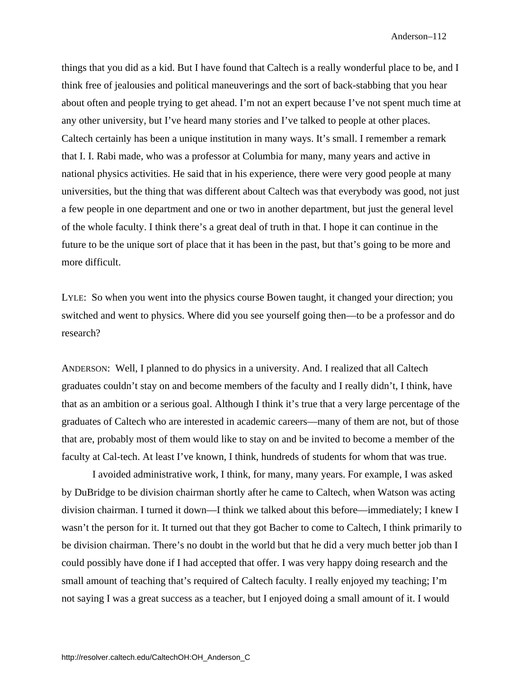things that you did as a kid. But I have found that Caltech is a really wonderful place to be, and I think free of jealousies and political maneuverings and the sort of back-stabbing that you hear about often and people trying to get ahead. I'm not an expert because I've not spent much time at any other university, but I've heard many stories and I've talked to people at other places. Caltech certainly has been a unique institution in many ways. It's small. I remember a remark that I. I. Rabi made, who was a professor at Columbia for many, many years and active in national physics activities. He said that in his experience, there were very good people at many universities, but the thing that was different about Caltech was that everybody was good, not just a few people in one department and one or two in another department, but just the general level of the whole faculty. I think there's a great deal of truth in that. I hope it can continue in the future to be the unique sort of place that it has been in the past, but that's going to be more and more difficult.

LYLE: So when you went into the physics course Bowen taught, it changed your direction; you switched and went to physics. Where did you see yourself going then—to be a professor and do research?

ANDERSON: Well, I planned to do physics in a university. And. I realized that all Caltech graduates couldn't stay on and become members of the faculty and I really didn't, I think, have that as an ambition or a serious goal. Although I think it's true that a very large percentage of the graduates of Caltech who are interested in academic careers—many of them are not, but of those that are, probably most of them would like to stay on and be invited to become a member of the faculty at Cal-tech. At least I've known, I think, hundreds of students for whom that was true.

I avoided administrative work, I think, for many, many years. For example, I was asked by DuBridge to be division chairman shortly after he came to Caltech, when Watson was acting division chairman. I turned it down—I think we talked about this before—immediately; I knew I wasn't the person for it. It turned out that they got Bacher to come to Caltech, I think primarily to be division chairman. There's no doubt in the world but that he did a very much better job than I could possibly have done if I had accepted that offer. I was very happy doing research and the small amount of teaching that's required of Caltech faculty. I really enjoyed my teaching; I'm not saying I was a great success as a teacher, but I enjoyed doing a small amount of it. I would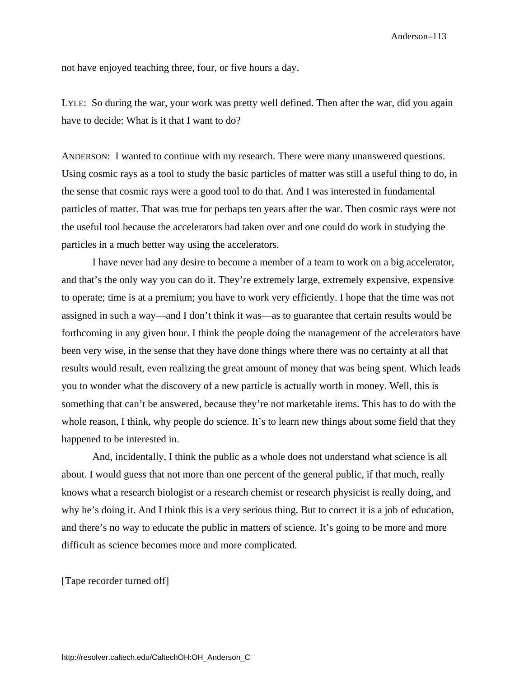not have enjoyed teaching three, four, or five hours a day.

LYLE: So during the war, your work was pretty well defined. Then after the war, did you again have to decide: What is it that I want to do?

ANDERSON: I wanted to continue with my research. There were many unanswered questions. Using cosmic rays as a tool to study the basic particles of matter was still a useful thing to do, in the sense that cosmic rays were a good tool to do that. And I was interested in fundamental particles of matter. That was true for perhaps ten years after the war. Then cosmic rays were not the useful tool because the accelerators had taken over and one could do work in studying the particles in a much better way using the accelerators.

I have never had any desire to become a member of a team to work on a big accelerator, and that's the only way you can do it. They're extremely large, extremely expensive, expensive to operate; time is at a premium; you have to work very efficiently. I hope that the time was not assigned in such a way—and I don't think it was—as to guarantee that certain results would be forthcoming in any given hour. I think the people doing the management of the accelerators have been very wise, in the sense that they have done things where there was no certainty at all that results would result, even realizing the great amount of money that was being spent. Which leads you to wonder what the discovery of a new particle is actually worth in money. Well, this is something that can't be answered, because they're not marketable items. This has to do with the whole reason, I think, why people do science. It's to learn new things about some field that they happened to be interested in.

And, incidentally, I think the public as a whole does not understand what science is all about. I would guess that not more than one percent of the general public, if that much, really knows what a research biologist or a research chemist or research physicist is really doing, and why he's doing it. And I think this is a very serious thing. But to correct it is a job of education, and there's no way to educate the public in matters of science. It's going to be more and more difficult as science becomes more and more complicated.

[Tape recorder turned off]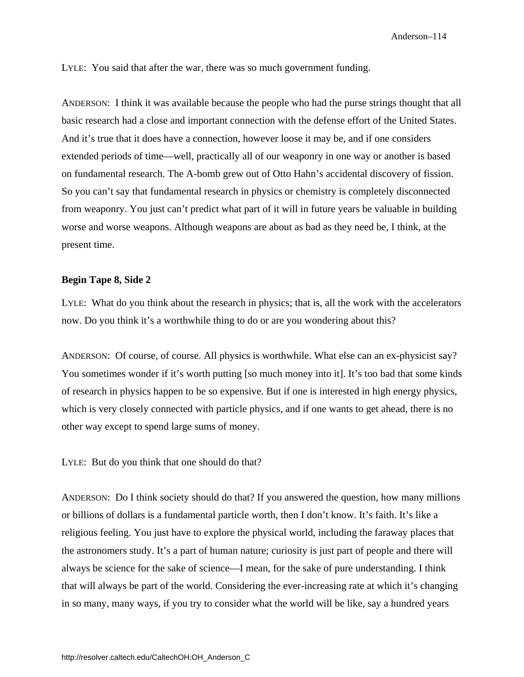LYLE: You said that after the war, there was so much government funding.

ANDERSON: I think it was available because the people who had the purse strings thought that all basic research had a close and important connection with the defense effort of the United States. And it's true that it does have a connection, however loose it may be, and if one considers extended periods of time—well, practically all of our weaponry in one way or another is based on fundamental research. The A-bomb grew out of Otto Hahn's accidental discovery of fission. So you can't say that fundamental research in physics or chemistry is completely disconnected from weaponry. You just can't predict what part of it will in future years be valuable in building worse and worse weapons. Although weapons are about as bad as they need be, I think, at the present time.

## **Begin Tape 8, Side 2**

LYLE: What do you think about the research in physics; that is, all the work with the accelerators now. Do you think it's a worthwhile thing to do or are you wondering about this?

ANDERSON: Of course, of course. All physics is worthwhile. What else can an ex-physicist say? You sometimes wonder if it's worth putting [so much money into it]. It's too bad that some kinds of research in physics happen to be so expensive. But if one is interested in high energy physics, which is very closely connected with particle physics, and if one wants to get ahead, there is no other way except to spend large sums of money.

LYLE: But do you think that one should do that?

ANDERSON: Do I think society should do that? If you answered the question, how many millions or billions of dollars is a fundamental particle worth, then I don't know. It's faith. It's like a religious feeling. You just have to explore the physical world, including the faraway places that the astronomers study. It's a part of human nature; curiosity is just part of people and there will always be science for the sake of science—I mean, for the sake of pure understanding. I think that will always be part of the world. Considering the ever-increasing rate at which it's changing in so many, many ways, if you try to consider what the world will be like, say a hundred years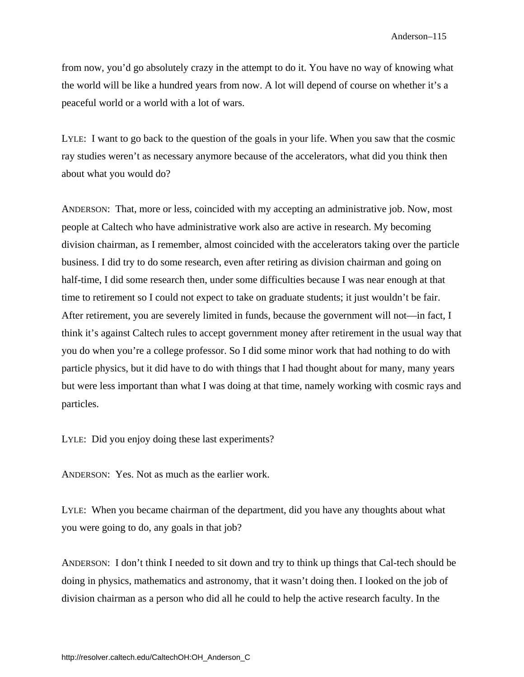from now, you'd go absolutely crazy in the attempt to do it. You have no way of knowing what the world will be like a hundred years from now. A lot will depend of course on whether it's a peaceful world or a world with a lot of wars.

LYLE: I want to go back to the question of the goals in your life. When you saw that the cosmic ray studies weren't as necessary anymore because of the accelerators, what did you think then about what you would do?

ANDERSON: That, more or less, coincided with my accepting an administrative job. Now, most people at Caltech who have administrative work also are active in research. My becoming division chairman, as I remember, almost coincided with the accelerators taking over the particle business. I did try to do some research, even after retiring as division chairman and going on half-time, I did some research then, under some difficulties because I was near enough at that time to retirement so I could not expect to take on graduate students; it just wouldn't be fair. After retirement, you are severely limited in funds, because the government will not—in fact, I think it's against Caltech rules to accept government money after retirement in the usual way that you do when you're a college professor. So I did some minor work that had nothing to do with particle physics, but it did have to do with things that I had thought about for many, many years but were less important than what I was doing at that time, namely working with cosmic rays and particles.

LYLE: Did you enjoy doing these last experiments?

ANDERSON: Yes. Not as much as the earlier work.

LYLE: When you became chairman of the department, did you have any thoughts about what you were going to do, any goals in that job?

ANDERSON: I don't think I needed to sit down and try to think up things that Cal-tech should be doing in physics, mathematics and astronomy, that it wasn't doing then. I looked on the job of division chairman as a person who did all he could to help the active research faculty. In the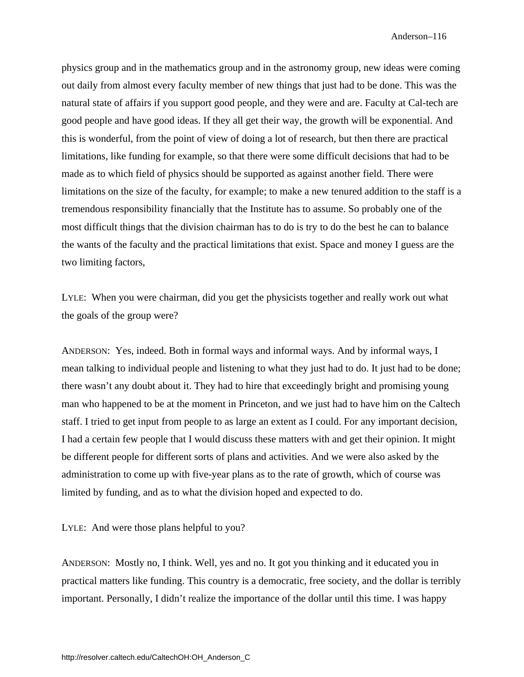physics group and in the mathematics group and in the astronomy group, new ideas were coming out daily from almost every faculty member of new things that just had to be done. This was the natural state of affairs if you support good people, and they were and are. Faculty at Cal-tech are good people and have good ideas. If they all get their way, the growth will be exponential. And this is wonderful, from the point of view of doing a lot of research, but then there are practical limitations, like funding for example, so that there were some difficult decisions that had to be made as to which field of physics should be supported as against another field. There were limitations on the size of the faculty, for example; to make a new tenured addition to the staff is a tremendous responsibility financially that the Institute has to assume. So probably one of the most difficult things that the division chairman has to do is try to do the best he can to balance the wants of the faculty and the practical limitations that exist. Space and money I guess are the two limiting factors,

LYLE: When you were chairman, did you get the physicists together and really work out what the goals of the group were?

ANDERSON: Yes, indeed. Both in formal ways and informal ways. And by informal ways, I mean talking to individual people and listening to what they just had to do. It just had to be done; there wasn't any doubt about it. They had to hire that exceedingly bright and promising young man who happened to be at the moment in Princeton, and we just had to have him on the Caltech staff. I tried to get input from people to as large an extent as I could. For any important decision, I had a certain few people that I would discuss these matters with and get their opinion. It might be different people for different sorts of plans and activities. And we were also asked by the administration to come up with five-year plans as to the rate of growth, which of course was limited by funding, and as to what the division hoped and expected to do.

LYLE: And were those plans helpful to you?

ANDERSON: Mostly no, I think. Well, yes and no. It got you thinking and it educated you in practical matters like funding. This country is a democratic, free society, and the dollar is terribly important. Personally, I didn't realize the importance of the dollar until this time. I was happy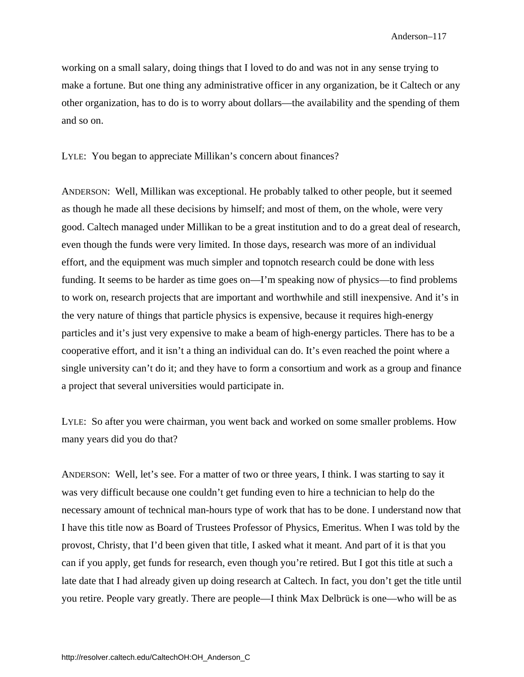working on a small salary, doing things that I loved to do and was not in any sense trying to make a fortune. But one thing any administrative officer in any organization, be it Caltech or any other organization, has to do is to worry about dollars—the availability and the spending of them and so on.

LYLE: You began to appreciate Millikan's concern about finances?

ANDERSON: Well, Millikan was exceptional. He probably talked to other people, but it seemed as though he made all these decisions by himself; and most of them, on the whole, were very good. Caltech managed under Millikan to be a great institution and to do a great deal of research, even though the funds were very limited. In those days, research was more of an individual effort, and the equipment was much simpler and topnotch research could be done with less funding. It seems to be harder as time goes on—I'm speaking now of physics—to find problems to work on, research projects that are important and worthwhile and still inexpensive. And it's in the very nature of things that particle physics is expensive, because it requires high-energy particles and it's just very expensive to make a beam of high-energy particles. There has to be a cooperative effort, and it isn't a thing an individual can do. It's even reached the point where a single university can't do it; and they have to form a consortium and work as a group and finance a project that several universities would participate in.

LYLE: So after you were chairman, you went back and worked on some smaller problems. How many years did you do that?

ANDERSON: Well, let's see. For a matter of two or three years, I think. I was starting to say it was very difficult because one couldn't get funding even to hire a technician to help do the necessary amount of technical man-hours type of work that has to be done. I understand now that I have this title now as Board of Trustees Professor of Physics, Emeritus. When I was told by the provost, Christy, that I'd been given that title, I asked what it meant. And part of it is that you can if you apply, get funds for research, even though you're retired. But I got this title at such a late date that I had already given up doing research at Caltech. In fact, you don't get the title until you retire. People vary greatly. There are people—I think Max Delbrück is one—who will be as